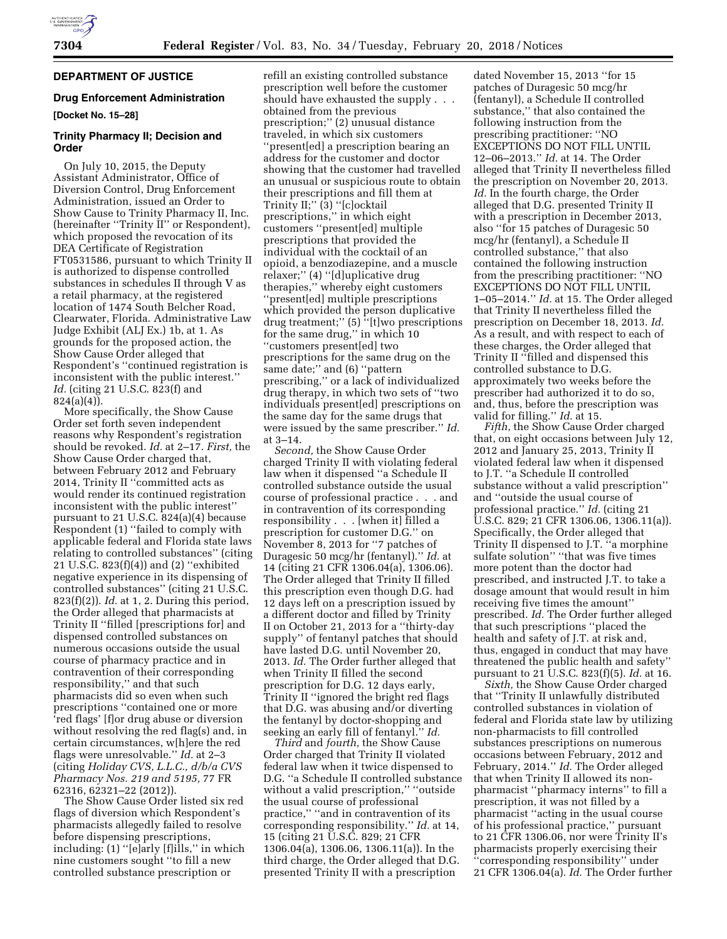# **DEPARTMENT OF JUSTICE**

#### **Drug Enforcement Administration**

**[Docket No. 15–28]** 

# **Trinity Pharmacy II; Decision and Order**

On July 10, 2015, the Deputy Assistant Administrator, Office of Diversion Control, Drug Enforcement Administration, issued an Order to Show Cause to Trinity Pharmacy II, Inc. (hereinafter ''Trinity II'' or Respondent), which proposed the revocation of its DEA Certificate of Registration FT0531586, pursuant to which Trinity II is authorized to dispense controlled substances in schedules II through V as a retail pharmacy, at the registered location of 1474 South Belcher Road, Clearwater, Florida. Administrative Law Judge Exhibit (ALJ Ex.) 1b, at 1. As grounds for the proposed action, the Show Cause Order alleged that Respondent's ''continued registration is inconsistent with the public interest.'' *Id.* (citing 21 U.S.C. 823(f) and 824(a)(4)).

More specifically, the Show Cause Order set forth seven independent reasons why Respondent's registration should be revoked. *Id.* at 2–17. *First,* the Show Cause Order charged that, between February 2012 and February 2014, Trinity II ''committed acts as would render its continued registration inconsistent with the public interest'' pursuant to 21 U.S.C. 824(a)(4) because Respondent (1) ''failed to comply with applicable federal and Florida state laws relating to controlled substances'' (citing 21 U.S.C. 823(f)(4)) and (2) ''exhibited negative experience in its dispensing of controlled substances'' (citing 21 U.S.C. 823(f)(2)). *Id.* at 1, 2. During this period, the Order alleged that pharmacists at Trinity II ''filled [prescriptions for] and dispensed controlled substances on numerous occasions outside the usual course of pharmacy practice and in contravention of their corresponding responsibility,'' and that such pharmacists did so even when such prescriptions ''contained one or more 'red flags' [f]or drug abuse or diversion without resolving the red flag(s) and, in certain circumstances, w[h]ere the red flags were unresolvable.'' *Id.* at 2–3 (citing *Holiday CVS, L.L.C., d/b/a CVS Pharmacy Nos. 219 and 5195,* 77 FR 62316, 62321–22 (2012)).

The Show Cause Order listed six red flags of diversion which Respondent's pharmacists allegedly failed to resolve before dispensing prescriptions, including: (1) ''[e]arly [f]ills,'' in which nine customers sought ''to fill a new controlled substance prescription or

refill an existing controlled substance prescription well before the customer should have exhausted the supply . . . obtained from the previous prescription;'' (2) unusual distance traveled, in which six customers ''present[ed] a prescription bearing an address for the customer and doctor showing that the customer had travelled an unusual or suspicious route to obtain their prescriptions and fill them at Trinity II;'' (3) ''[c]ocktail prescriptions,'' in which eight customers ''present[ed] multiple prescriptions that provided the individual with the cocktail of an opioid, a benzodiazepine, and a muscle relaxer;'' (4) ''[d]uplicative drug therapies,'' whereby eight customers ''present[ed] multiple prescriptions which provided the person duplicative drug treatment;'' (5) ''[t]wo prescriptions for the same drug,'' in which 10 ''customers present[ed] two prescriptions for the same drug on the same date;'' and (6) ''pattern prescribing,'' or a lack of individualized drug therapy, in which two sets of ''two individuals present[ed] prescriptions on the same day for the same drugs that were issued by the same prescriber.'' *Id.*  at 3–14.

*Second,* the Show Cause Order charged Trinity II with violating federal law when it dispensed ''a Schedule II controlled substance outside the usual course of professional practice . . . and in contravention of its corresponding responsibility . . . [when it] filled a prescription for customer D.G.'' on November 8, 2013 for ''7 patches of Duragesic 50 mcg/hr (fentanyl).'' *Id.* at 14 (citing 21 CFR 1306.04(a), 1306.06). The Order alleged that Trinity II filled this prescription even though D.G. had 12 days left on a prescription issued by a different doctor and filled by Trinity II on October 21, 2013 for a ''thirty-day supply'' of fentanyl patches that should have lasted D.G. until November 20, 2013. *Id.* The Order further alleged that when Trinity II filled the second prescription for D.G. 12 days early, Trinity II ''ignored the bright red flags that D.G. was abusing and/or diverting the fentanyl by doctor-shopping and seeking an early fill of fentanyl.'' *Id.* 

*Third* and *fourth,* the Show Cause Order charged that Trinity II violated federal law when it twice dispensed to D.G. ''a Schedule II controlled substance without a valid prescription,'' ''outside the usual course of professional practice,'' ''and in contravention of its corresponding responsibility.'' *Id.* at 14, 15 (citing 21 U.S.C. 829; 21 CFR 1306.04(a), 1306.06, 1306.11(a)). In the third charge, the Order alleged that D.G. presented Trinity II with a prescription

dated November 15, 2013 ''for 15 patches of Duragesic 50 mcg/hr (fentanyl), a Schedule II controlled substance,'' that also contained the following instruction from the prescribing practitioner: ''NO EXCEPTIONS DO NOT FILL UNTIL 12–06–2013.'' *Id.* at 14. The Order alleged that Trinity II nevertheless filled the prescription on November 20, 2013. *Id.* In the fourth charge, the Order alleged that D.G. presented Trinity II with a prescription in December 2013, also ''for 15 patches of Duragesic 50 mcg/hr (fentanyl), a Schedule II controlled substance,'' that also contained the following instruction from the prescribing practitioner: ''NO EXCEPTIONS DO NOT FILL UNTIL 1–05–2014.'' *Id.* at 15. The Order alleged that Trinity II nevertheless filled the prescription on December 18, 2013. *Id.*  As a result, and with respect to each of these charges, the Order alleged that Trinity II ''filled and dispensed this controlled substance to D.G. approximately two weeks before the prescriber had authorized it to do so, and, thus, before the prescription was valid for filling.'' *Id.* at 15.

*Fifth,* the Show Cause Order charged that, on eight occasions between July 12, 2012 and January 25, 2013, Trinity II violated federal law when it dispensed to J.T. ''a Schedule II controlled substance without a valid prescription'' and ''outside the usual course of professional practice.'' *Id.* (citing 21 U.S.C. 829; 21 CFR 1306.06, 1306.11(a)). Specifically, the Order alleged that Trinity II dispensed to J.T. ''a morphine sulfate solution'' ''that was five times more potent than the doctor had prescribed, and instructed J.T. to take a dosage amount that would result in him receiving five times the amount'' prescribed. *Id.* The Order further alleged that such prescriptions ''placed the health and safety of J.T. at risk and, thus, engaged in conduct that may have threatened the public health and safety'' pursuant to 21 U.S.C. 823(f)(5). *Id.* at 16.

*Sixth,* the Show Cause Order charged that ''Trinity II unlawfully distributed controlled substances in violation of federal and Florida state law by utilizing non-pharmacists to fill controlled substances prescriptions on numerous occasions between February, 2012 and February, 2014.'' *Id.* The Order alleged that when Trinity II allowed its nonpharmacist ''pharmacy interns'' to fill a prescription, it was not filled by a pharmacist ''acting in the usual course of his professional practice,'' pursuant to 21 CFR 1306.06, nor were Trinity II's pharmacists properly exercising their ''corresponding responsibility'' under 21 CFR 1306.04(a). *Id.* The Order further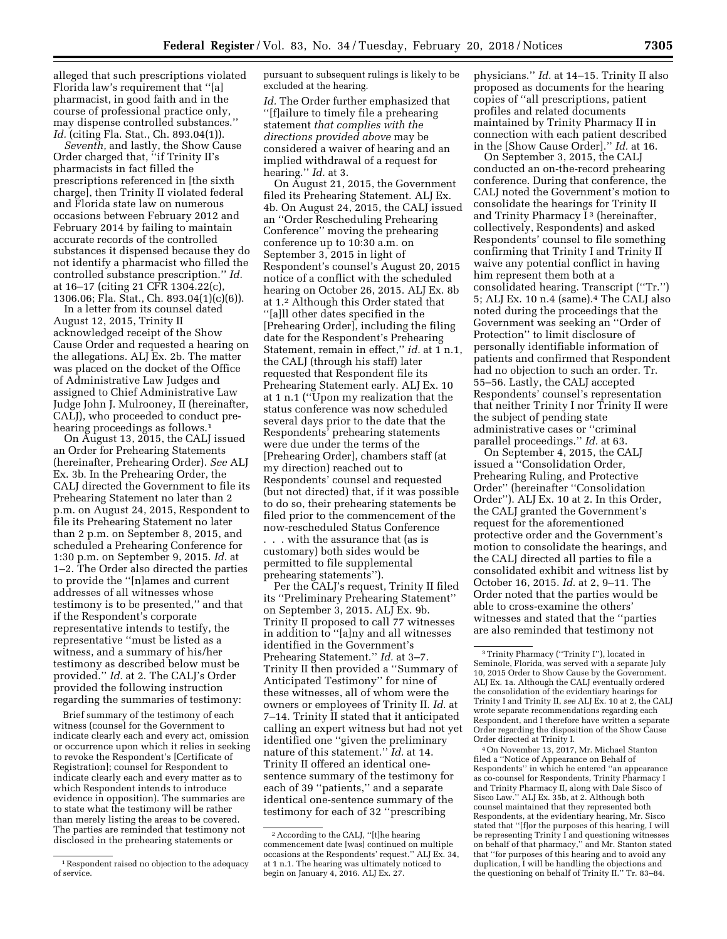alleged that such prescriptions violated Florida law's requirement that ''[a] pharmacist, in good faith and in the course of professional practice only, may dispense controlled substances.'' *Id.* (citing Fla. Stat., Ch. 893.04(1)).

*Seventh,* and lastly, the Show Cause Order charged that, ''if Trinity II's pharmacists in fact filled the prescriptions referenced in [the sixth charge], then Trinity II violated federal and Florida state law on numerous occasions between February 2012 and February 2014 by failing to maintain accurate records of the controlled substances it dispensed because they do not identify a pharmacist who filled the controlled substance prescription.'' *Id.*  at 16–17 (citing 21 CFR 1304.22(c), 1306.06; Fla. Stat., Ch. 893.04(1)(c)(6)).

In a letter from its counsel dated August 12, 2015, Trinity II acknowledged receipt of the Show Cause Order and requested a hearing on the allegations. ALJ Ex. 2b. The matter was placed on the docket of the Office of Administrative Law Judges and assigned to Chief Administrative Law Judge John J. Mulrooney, II (hereinafter, CALJ), who proceeded to conduct prehearing proceedings as follows.<sup>1</sup>

On August 13, 2015, the CALJ issued an Order for Prehearing Statements (hereinafter, Prehearing Order). *See* ALJ Ex. 3b. In the Prehearing Order, the CALJ directed the Government to file its Prehearing Statement no later than 2 p.m. on August 24, 2015, Respondent to file its Prehearing Statement no later than 2 p.m. on September 8, 2015, and scheduled a Prehearing Conference for 1:30 p.m. on September 9, 2015. *Id.* at 1–2. The Order also directed the parties to provide the ''[n]ames and current addresses of all witnesses whose testimony is to be presented,'' and that if the Respondent's corporate representative intends to testify, the representative ''must be listed as a witness, and a summary of his/her testimony as described below must be provided.'' *Id.* at 2. The CALJ's Order provided the following instruction regarding the summaries of testimony:

Brief summary of the testimony of each witness (counsel for the Government to indicate clearly each and every act, omission or occurrence upon which it relies in seeking to revoke the Respondent's [Certificate of Registration]; counsel for Respondent to indicate clearly each and every matter as to which Respondent intends to introduce evidence in opposition). The summaries are to state what the testimony will be rather than merely listing the areas to be covered. The parties are reminded that testimony not disclosed in the prehearing statements or

pursuant to subsequent rulings is likely to be excluded at the hearing.

*Id.* The Order further emphasized that ''[f]ailure to timely file a prehearing statement *that complies with the directions provided above* may be considered a waiver of hearing and an implied withdrawal of a request for hearing.'' *Id.* at 3.

On August 21, 2015, the Government filed its Prehearing Statement. ALJ Ex. 4b. On August 24, 2015, the CALJ issued an ''Order Rescheduling Prehearing Conference'' moving the prehearing conference up to 10:30 a.m. on September 3, 2015 in light of Respondent's counsel's August 20, 2015 notice of a conflict with the scheduled hearing on October 26, 2015. ALJ Ex. 8b at 1.2 Although this Order stated that ''[a]ll other dates specified in the [Prehearing Order], including the filing date for the Respondent's Prehearing Statement, remain in effect,'' *id.* at 1 n.1, the CALJ (through his staff) later requested that Respondent file its Prehearing Statement early. ALJ Ex. 10 at 1 n.1 (''Upon my realization that the status conference was now scheduled several days prior to the date that the Respondents' prehearing statements were due under the terms of the [Prehearing Order], chambers staff (at my direction) reached out to Respondents' counsel and requested (but not directed) that, if it was possible to do so, their prehearing statements be filed prior to the commencement of the now-rescheduled Status Conference . . . with the assurance that (as is customary) both sides would be permitted to file supplemental prehearing statements'').

Per the CALJ's request, Trinity II filed its ''Preliminary Prehearing Statement'' on September 3, 2015. ALJ Ex. 9b. Trinity II proposed to call 77 witnesses in addition to ''[a]ny and all witnesses identified in the Government's Prehearing Statement.'' *Id.* at 3–7. Trinity II then provided a ''Summary of Anticipated Testimony'' for nine of these witnesses, all of whom were the owners or employees of Trinity II. *Id.* at 7–14. Trinity II stated that it anticipated calling an expert witness but had not yet identified one ''given the preliminary nature of this statement.'' *Id.* at 14. Trinity II offered an identical onesentence summary of the testimony for each of 39 ''patients,'' and a separate identical one-sentence summary of the testimony for each of 32 ''prescribing

physicians.'' *Id.* at 14–15. Trinity II also proposed as documents for the hearing copies of ''all prescriptions, patient profiles and related documents maintained by Trinity Pharmacy II in connection with each patient described in the [Show Cause Order].'' *Id.* at 16.

On September 3, 2015, the CALJ conducted an on-the-record prehearing conference. During that conference, the CALJ noted the Government's motion to consolidate the hearings for Trinity II and Trinity Pharmacy I<sup>3</sup> (hereinafter, collectively, Respondents) and asked Respondents' counsel to file something confirming that Trinity I and Trinity II waive any potential conflict in having him represent them both at a consolidated hearing. Transcript (''Tr.'') 5; ALJ Ex. 10 n.4 (same).4 The CALJ also noted during the proceedings that the Government was seeking an ''Order of Protection'' to limit disclosure of personally identifiable information of patients and confirmed that Respondent had no objection to such an order. Tr. 55–56. Lastly, the CALJ accepted Respondents' counsel's representation that neither Trinity I nor Trinity II were the subject of pending state administrative cases or ''criminal parallel proceedings.'' *Id.* at 63.

On September 4, 2015, the CALJ issued a ''Consolidation Order, Prehearing Ruling, and Protective Order'' (hereinafter ''Consolidation Order''). ALJ Ex. 10 at 2. In this Order, the CALJ granted the Government's request for the aforementioned protective order and the Government's motion to consolidate the hearings, and the CALJ directed all parties to file a consolidated exhibit and witness list by October 16, 2015. *Id.* at 2, 9–11. The Order noted that the parties would be able to cross-examine the others' witnesses and stated that the ''parties are also reminded that testimony not

4On November 13, 2017, Mr. Michael Stanton filed a ''Notice of Appearance on Behalf of Respondents'' in which he entered ''an appearance as co-counsel for Respondents, Trinity Pharmacy I and Trinity Pharmacy II, along with Dale Sisco of Sisco Law.'' ALJ Ex. 35b, at 2. Although both counsel maintained that they represented both Respondents, at the evidentiary hearing, Mr. Sisco stated that ''[f]or the purposes of this hearing, I will be representing Trinity I and questioning witnesses on behalf of that pharmacy,'' and Mr. Stanton stated that ''for purposes of this hearing and to avoid any duplication, I will be handling the objections and the questioning on behalf of Trinity II.'' Tr. 83–84.

<sup>1</sup>Respondent raised no objection to the adequacy of service.

<sup>2</sup>According to the CALJ, ''[t]he hearing commencement date [was] continued on multiple occasions at the Respondents' request.'' ALJ Ex. 34, at 1 n.1. The hearing was ultimately noticed to begin on January 4, 2016. ALJ Ex. 27.

<sup>3</sup>Trinity Pharmacy (''Trinity I''), located in Seminole, Florida, was served with a separate July 10, 2015 Order to Show Cause by the Government. ALJ Ex. 1a. Although the CALJ eventually ordered the consolidation of the evidentiary hearings for Trinity I and Trinity II, *see* ALJ Ex. 10 at 2, the CALJ wrote separate recommendations regarding each Respondent, and I therefore have written a separate Order regarding the disposition of the Show Cause Order directed at Trinity I.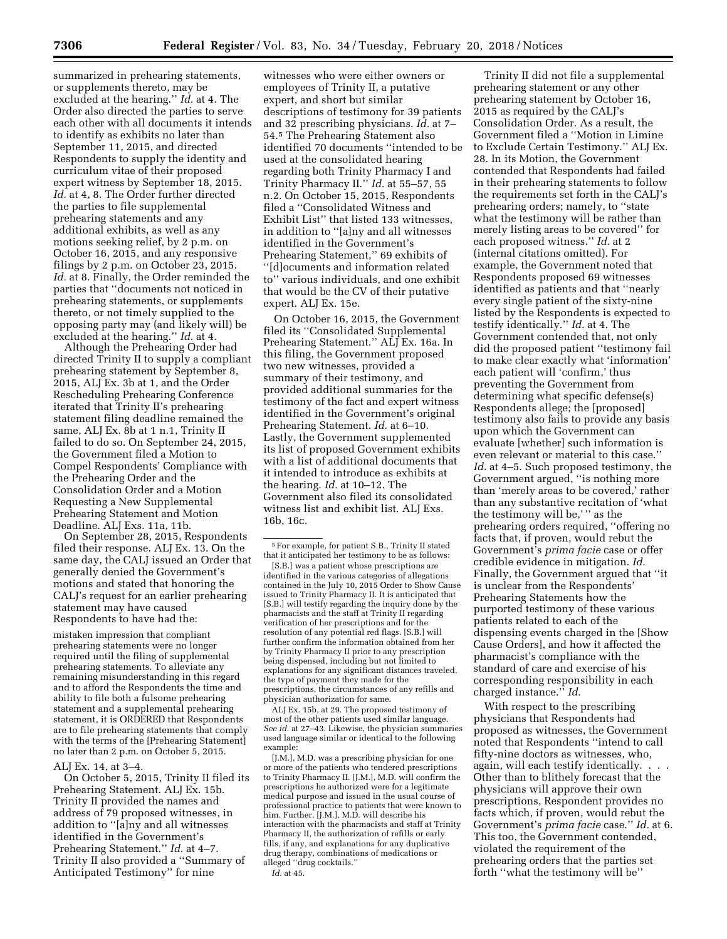summarized in prehearing statements, or supplements thereto, may be excluded at the hearing.'' *Id.* at 4. The Order also directed the parties to serve each other with all documents it intends to identify as exhibits no later than September 11, 2015, and directed Respondents to supply the identity and curriculum vitae of their proposed expert witness by September 18, 2015. *Id.* at 4, 8. The Order further directed the parties to file supplemental prehearing statements and any additional exhibits, as well as any motions seeking relief, by 2 p.m. on October 16, 2015, and any responsive filings by 2 p.m. on October 23, 2015. *Id.* at 8. Finally, the Order reminded the parties that ''documents not noticed in prehearing statements, or supplements thereto, or not timely supplied to the opposing party may (and likely will) be excluded at the hearing.'' *Id.* at 4.

Although the Prehearing Order had directed Trinity II to supply a compliant prehearing statement by September 8, 2015, ALJ Ex. 3b at 1, and the Order Rescheduling Prehearing Conference iterated that Trinity II's prehearing statement filing deadline remained the same, ALJ Ex. 8b at 1 n.1, Trinity II failed to do so. On September 24, 2015, the Government filed a Motion to Compel Respondents' Compliance with the Prehearing Order and the Consolidation Order and a Motion Requesting a New Supplemental Prehearing Statement and Motion Deadline. ALJ Exs. 11a, 11b.

On September 28, 2015, Respondents filed their response. ALJ Ex. 13. On the same day, the CALJ issued an Order that generally denied the Government's motions and stated that honoring the CALJ's request for an earlier prehearing statement may have caused Respondents to have had the:

mistaken impression that compliant prehearing statements were no longer required until the filing of supplemental prehearing statements. To alleviate any remaining misunderstanding in this regard and to afford the Respondents the time and ability to file both a fulsome prehearing statement and a supplemental prehearing statement, it is ORDERED that Respondents are to file prehearing statements that comply with the terms of the [Prehearing Statement] no later than 2 p.m. on October 5, 2015.

#### ALJ Ex. 14, at 3–4.

On October 5, 2015, Trinity II filed its Prehearing Statement. ALJ Ex. 15b. Trinity II provided the names and address of 79 proposed witnesses, in addition to ''[a]ny and all witnesses identified in the Government's Prehearing Statement.'' *Id.* at 4–7. Trinity II also provided a ''Summary of Anticipated Testimony'' for nine

witnesses who were either owners or employees of Trinity II, a putative expert, and short but similar descriptions of testimony for 39 patients and 32 prescribing physicians. *Id.* at 7– 54.5 The Prehearing Statement also identified 70 documents ''intended to be used at the consolidated hearing regarding both Trinity Pharmacy I and Trinity Pharmacy II.'' *Id.* at 55–57, 55 n.2. On October 15, 2015, Respondents filed a ''Consolidated Witness and Exhibit List'' that listed 133 witnesses, in addition to ''[a]ny and all witnesses identified in the Government's Prehearing Statement,'' 69 exhibits of ''[d]ocuments and information related to'' various individuals, and one exhibit that would be the CV of their putative expert. ALJ Ex. 15e.

On October 16, 2015, the Government filed its ''Consolidated Supplemental Prehearing Statement.'' ALJ Ex. 16a. In this filing, the Government proposed two new witnesses, provided a summary of their testimony, and provided additional summaries for the testimony of the fact and expert witness identified in the Government's original Prehearing Statement. *Id.* at 6–10. Lastly, the Government supplemented its list of proposed Government exhibits with a list of additional documents that it intended to introduce as exhibits at the hearing. *Id.* at 10–12. The Government also filed its consolidated witness list and exhibit list. ALJ Exs. 16b, 16c.

[S.B.] was a patient whose prescriptions are identified in the various categories of allegations contained in the July 10, 2015 Order to Show Cause issued to Trinity Pharmacy II. It is anticipated that [S.B.] will testify regarding the inquiry done by the pharmacists and the staff at Trinity II regarding verification of her prescriptions and for the resolution of any potential red flags. [S.B.] will further confirm the information obtained from her by Trinity Pharmacy II prior to any prescription being dispensed, including but not limited to explanations for any significant distances traveled, the type of payment they made for the prescriptions, the circumstances of any refills and physician authorization for same.

ALJ Ex. 15b, at 29. The proposed testimony of most of the other patients used similar language. *See id.* at 27–43. Likewise, the physician summaries used language similar or identical to the following example:

[J.M.], M.D. was a prescribing physician for one or more of the patients who tendered prescriptions to Trinity Pharmacy II. [J.M.], M.D. will confirm the prescriptions he authorized were for a legitimate medical purpose and issued in the usual course of professional practice to patients that were known to him. Further, [J.M.], M.D. will describe his interaction with the pharmacists and staff at Trinity Pharmacy II, the authorization of refills or early fills, if any, and explanations for any duplicative drug therapy, combinations of medications or alleged ''drug cocktails.''

*Id.* at 45.

Trinity II did not file a supplemental prehearing statement or any other prehearing statement by October 16, 2015 as required by the CALJ's Consolidation Order. As a result, the Government filed a ''Motion in Limine to Exclude Certain Testimony.'' ALJ Ex. 28. In its Motion, the Government contended that Respondents had failed in their prehearing statements to follow the requirements set forth in the CALJ's prehearing orders; namely, to ''state what the testimony will be rather than merely listing areas to be covered'' for each proposed witness.'' *Id.* at 2 (internal citations omitted). For example, the Government noted that Respondents proposed 69 witnesses identified as patients and that ''nearly every single patient of the sixty-nine listed by the Respondents is expected to testify identically.'' *Id.* at 4. The Government contended that, not only did the proposed patient ''testimony fail to make clear exactly what 'information' each patient will 'confirm,' thus preventing the Government from determining what specific defense(s) Respondents allege; the [proposed] testimony also fails to provide any basis upon which the Government can evaluate [whether] such information is even relevant or material to this case.'' *Id.* at 4–5. Such proposed testimony, the Government argued, ''is nothing more than 'merely areas to be covered,' rather than any substantive recitation of 'what the testimony will be,' '' as the prehearing orders required, ''offering no facts that, if proven, would rebut the Government's *prima facie* case or offer credible evidence in mitigation. *Id.*  Finally, the Government argued that ''it is unclear from the Respondents' Prehearing Statements how the purported testimony of these various patients related to each of the dispensing events charged in the [Show Cause Orders], and how it affected the pharmacist's compliance with the standard of care and exercise of his corresponding responsibility in each charged instance.'' *Id.* 

With respect to the prescribing physicians that Respondents had proposed as witnesses, the Government noted that Respondents ''intend to call fifty-nine doctors as witnesses, who, again, will each testify identically. . . . Other than to blithely forecast that the physicians will approve their own prescriptions, Respondent provides no facts which, if proven, would rebut the Government's *prima facie* case.'' *Id.* at 6. This too, the Government contended, violated the requirement of the prehearing orders that the parties set forth ''what the testimony will be''

<sup>5</sup>For example, for patient S.B., Trinity II stated that it anticipated her testimony to be as follows: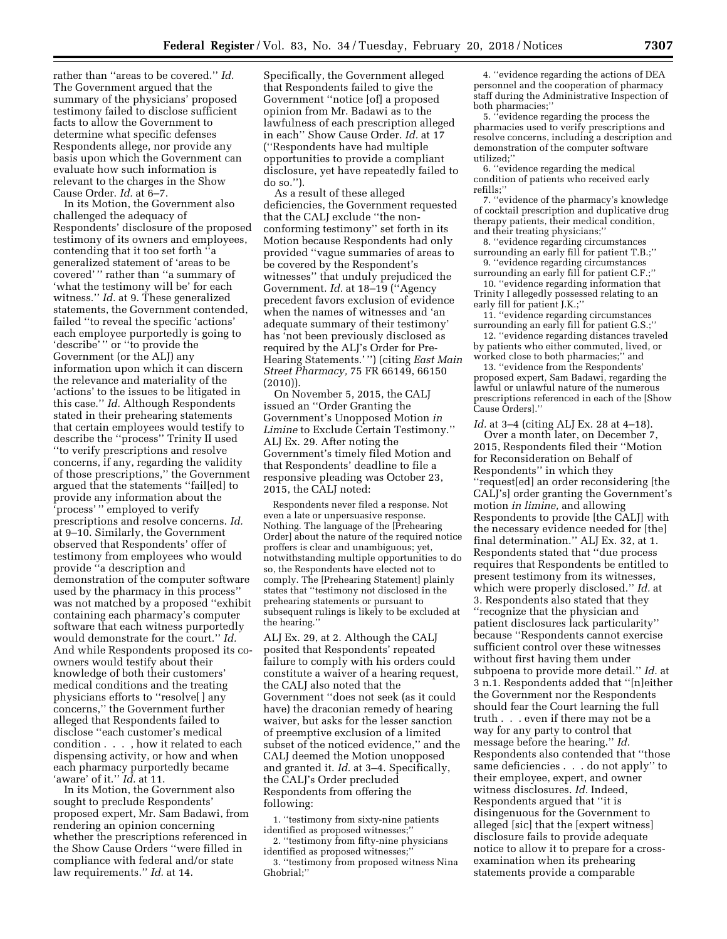rather than ''areas to be covered.'' *Id.*  The Government argued that the summary of the physicians' proposed testimony failed to disclose sufficient facts to allow the Government to determine what specific defenses Respondents allege, nor provide any basis upon which the Government can evaluate how such information is relevant to the charges in the Show Cause Order. *Id.* at 6–7.

In its Motion, the Government also challenged the adequacy of Respondents' disclosure of the proposed testimony of its owners and employees, contending that it too set forth ''a generalized statement of 'areas to be covered' '' rather than ''a summary of 'what the testimony will be' for each witness.'' *Id.* at 9. These generalized statements, the Government contended, failed ''to reveal the specific 'actions' each employee purportedly is going to 'describe' '' or ''to provide the Government (or the ALJ) any information upon which it can discern the relevance and materiality of the 'actions' to the issues to be litigated in this case.'' *Id.* Although Respondents stated in their prehearing statements that certain employees would testify to describe the ''process'' Trinity II used ''to verify prescriptions and resolve concerns, if any, regarding the validity of those prescriptions,'' the Government argued that the statements ''fail[ed] to provide any information about the 'process' '' employed to verify prescriptions and resolve concerns. *Id.*  at 9–10. Similarly, the Government observed that Respondents' offer of testimony from employees who would provide ''a description and demonstration of the computer software used by the pharmacy in this process'' was not matched by a proposed ''exhibit containing each pharmacy's computer software that each witness purportedly would demonstrate for the court.'' *Id.*  And while Respondents proposed its coowners would testify about their knowledge of both their customers' medical conditions and the treating physicians efforts to ''resolve[ ] any concerns,'' the Government further alleged that Respondents failed to disclose ''each customer's medical condition . . . , how it related to each dispensing activity, or how and when each pharmacy purportedly became 'aware' of it.'' *Id.* at 11.

In its Motion, the Government also sought to preclude Respondents' proposed expert, Mr. Sam Badawi, from rendering an opinion concerning whether the prescriptions referenced in the Show Cause Orders ''were filled in compliance with federal and/or state law requirements.'' *Id.* at 14.

Specifically, the Government alleged that Respondents failed to give the Government ''notice [of] a proposed opinion from Mr. Badawi as to the lawfulness of each prescription alleged in each'' Show Cause Order. *Id.* at 17 (''Respondents have had multiple opportunities to provide a compliant disclosure, yet have repeatedly failed to do so.'').

As a result of these alleged deficiencies, the Government requested that the CALJ exclude ''the nonconforming testimony'' set forth in its Motion because Respondents had only provided ''vague summaries of areas to be covered by the Respondent's witnesses'' that unduly prejudiced the Government. *Id.* at 18–19 (''Agency precedent favors exclusion of evidence when the names of witnesses and 'an adequate summary of their testimony' has 'not been previously disclosed as required by the ALJ's Order for Pre-Hearing Statements.' '') (citing *East Main Street Pharmacy,* 75 FR 66149, 66150 (2010)).

On November 5, 2015, the CALJ issued an ''Order Granting the Government's Unopposed Motion *in Limine* to Exclude Certain Testimony.'' ALJ Ex. 29. After noting the Government's timely filed Motion and that Respondents' deadline to file a responsive pleading was October 23, 2015, the CALJ noted:

Respondents never filed a response. Not even a late or unpersuasive response. Nothing. The language of the [Prehearing Order] about the nature of the required notice proffers is clear and unambiguous; yet, notwithstanding multiple opportunities to do so, the Respondents have elected not to comply. The [Prehearing Statement] plainly states that ''testimony not disclosed in the prehearing statements or pursuant to subsequent rulings is likely to be excluded at the hearing.''

ALJ Ex. 29, at 2. Although the CALJ posited that Respondents' repeated failure to comply with his orders could constitute a waiver of a hearing request, the CALJ also noted that the Government ''does not seek (as it could have) the draconian remedy of hearing waiver, but asks for the lesser sanction of preemptive exclusion of a limited subset of the noticed evidence,'' and the CALJ deemed the Motion unopposed and granted it. *Id.* at 3–4. Specifically, the CALJ's Order precluded Respondents from offering the following:

1. ''testimony from sixty-nine patients identified as proposed witnesses;''

2. ''testimony from fifty-nine physicians identified as proposed witnesses;''

3. ''testimony from proposed witness Nina Ghobrial;''

4. ''evidence regarding the actions of DEA personnel and the cooperation of pharmacy staff during the Administrative Inspection of both pharmacies;''

5. ''evidence regarding the process the pharmacies used to verify prescriptions and resolve concerns, including a description and demonstration of the computer software utilized;''

6. ''evidence regarding the medical condition of patients who received early refills;''

7. ''evidence of the pharmacy's knowledge of cocktail prescription and duplicative drug therapy patients, their medical condition, and their treating physicians;''

8. ''evidence regarding circumstances surrounding an early fill for patient T.B.;''

9. ''evidence regarding circumstances surrounding an early fill for patient C.F.;''

10. ''evidence regarding information that Trinity I allegedly possessed relating to an early fill for patient J.K.;"

11. ''evidence regarding circumstances surrounding an early fill for patient G.S.;''

12. ''evidence regarding distances traveled by patients who either commuted, lived, or worked close to both pharmacies;'' and

13. ''evidence from the Respondents' proposed expert, Sam Badawi, regarding the lawful or unlawful nature of the numerous prescriptions referenced in each of the [Show Cause Orders].''

*Id.* at 3–4 (citing ALJ Ex. 28 at 4–18).

Over a month later, on December 7, 2015, Respondents filed their ''Motion for Reconsideration on Behalf of Respondents'' in which they ''request[ed] an order reconsidering [the CALJ's] order granting the Government's motion *in limine,* and allowing Respondents to provide [the CALJ] with the necessary evidence needed for [the] final determination.'' ALJ Ex. 32, at 1. Respondents stated that ''due process requires that Respondents be entitled to present testimony from its witnesses, which were properly disclosed.'' *Id.* at 3. Respondents also stated that they ''recognize that the physician and patient disclosures lack particularity'' because ''Respondents cannot exercise sufficient control over these witnesses without first having them under subpoena to provide more detail.'' *Id.* at 3 n.1. Respondents added that ''[n]either the Government nor the Respondents should fear the Court learning the full truth . . . even if there may not be a way for any party to control that message before the hearing.'' *Id.*  Respondents also contended that ''those same deficiencies . . . do not apply'' to their employee, expert, and owner witness disclosures. *Id.* Indeed, Respondents argued that ''it is disingenuous for the Government to alleged [sic] that the [expert witness] disclosure fails to provide adequate notice to allow it to prepare for a crossexamination when its prehearing statements provide a comparable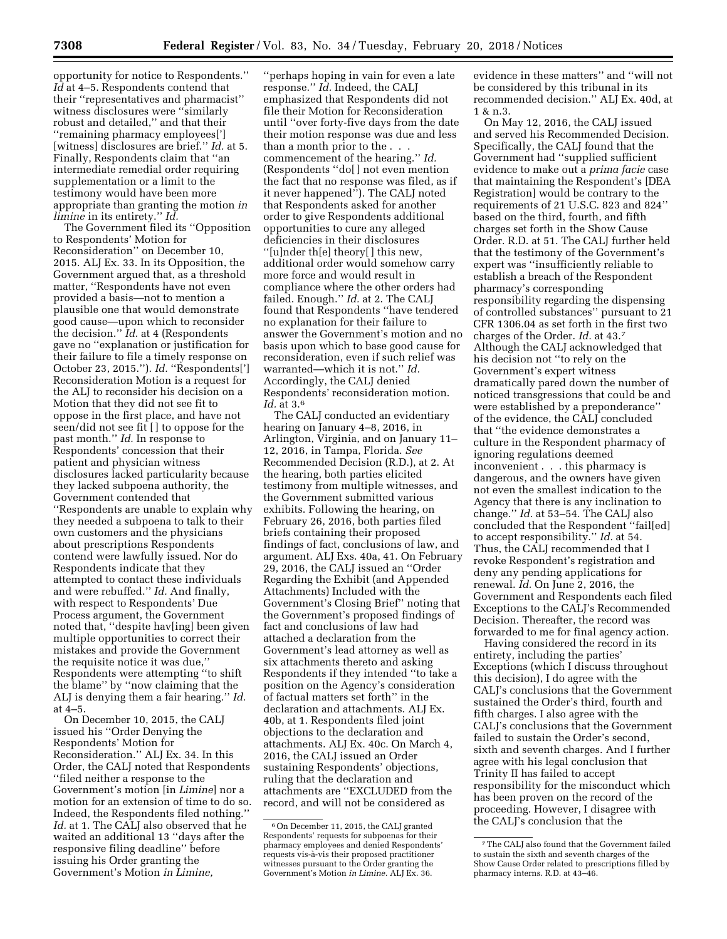opportunity for notice to Respondents.'' *Id* at 4–5. Respondents contend that their ''representatives and pharmacist'' witness disclosures were ''similarly robust and detailed,'' and that their ''remaining pharmacy employees['] [witness] disclosures are brief.'' *Id.* at 5. Finally, Respondents claim that ''an intermediate remedial order requiring supplementation or a limit to the testimony would have been more appropriate than granting the motion *in limine* in its entirety.'' *Id.* 

The Government filed its ''Opposition to Respondents' Motion for Reconsideration'' on December 10, 2015. ALJ Ex. 33. In its Opposition, the Government argued that, as a threshold matter, ''Respondents have not even provided a basis—not to mention a plausible one that would demonstrate good cause—upon which to reconsider the decision.'' *Id.* at 4 (Respondents gave no ''explanation or justification for their failure to file a timely response on October 23, 2015.''). *Id.* ''Respondents['] Reconsideration Motion is a request for the ALJ to reconsider his decision on a Motion that they did not see fit to oppose in the first place, and have not seen/did not see fit [ ] to oppose for the past month.'' *Id.* In response to Respondents' concession that their patient and physician witness disclosures lacked particularity because they lacked subpoena authority, the Government contended that ''Respondents are unable to explain why they needed a subpoena to talk to their own customers and the physicians about prescriptions Respondents contend were lawfully issued. Nor do Respondents indicate that they attempted to contact these individuals and were rebuffed.'' *Id.* And finally, with respect to Respondents' Due Process argument, the Government noted that, ''despite hav[ing] been given multiple opportunities to correct their mistakes and provide the Government the requisite notice it was due,'' Respondents were attempting ''to shift the blame'' by ''now claiming that the ALJ is denying them a fair hearing.'' *Id.* 

at 4–5. On December 10, 2015, the CALJ issued his ''Order Denying the Respondents' Motion for Reconsideration.'' ALJ Ex. 34. In this Order, the CALJ noted that Respondents ''filed neither a response to the Government's motion [in *Limine*] nor a motion for an extension of time to do so. Indeed, the Respondents filed nothing.'' *Id.* at 1. The CALJ also observed that he waited an additional 13 ''days after the responsive filing deadline'' before issuing his Order granting the Government's Motion *in Limine,* 

''perhaps hoping in vain for even a late response.'' *Id.* Indeed, the CALJ emphasized that Respondents did not file their Motion for Reconsideration until ''over forty-five days from the date their motion response was due and less than a month prior to the . . . commencement of the hearing.'' *Id.*  (Respondents ''do[ ] not even mention the fact that no response was filed, as if it never happened''). The CALJ noted that Respondents asked for another order to give Respondents additional opportunities to cure any alleged deficiencies in their disclosures ''[u]nder th[e] theory[ ] this new, additional order would somehow carry more force and would result in compliance where the other orders had failed. Enough.'' *Id.* at 2. The CALJ found that Respondents ''have tendered no explanation for their failure to answer the Government's motion and no basis upon which to base good cause for reconsideration, even if such relief was warranted—which it is not.'' *Id.*  Accordingly, the CALJ denied Respondents' reconsideration motion. *Id.* at 3.6

The CALJ conducted an evidentiary hearing on January 4–8, 2016, in Arlington, Virginia, and on January 11– 12, 2016, in Tampa, Florida. *See*  Recommended Decision (R.D.), at 2. At the hearing, both parties elicited testimony from multiple witnesses, and the Government submitted various exhibits. Following the hearing, on February 26, 2016, both parties filed briefs containing their proposed findings of fact, conclusions of law, and argument. ALJ Exs. 40a, 41. On February 29, 2016, the CALJ issued an ''Order Regarding the Exhibit (and Appended Attachments) Included with the Government's Closing Brief'' noting that the Government's proposed findings of fact and conclusions of law had attached a declaration from the Government's lead attorney as well as six attachments thereto and asking Respondents if they intended ''to take a position on the Agency's consideration of factual matters set forth'' in the declaration and attachments. ALJ Ex. 40b, at 1. Respondents filed joint objections to the declaration and attachments. ALJ Ex. 40c. On March 4, 2016, the CALJ issued an Order sustaining Respondents' objections, ruling that the declaration and attachments are ''EXCLUDED from the record, and will not be considered as

evidence in these matters'' and ''will not be considered by this tribunal in its recommended decision.'' ALJ Ex. 40d, at 1 & n.3.

On May 12, 2016, the CALJ issued and served his Recommended Decision. Specifically, the CALJ found that the Government had ''supplied sufficient evidence to make out a *prima facie* case that maintaining the Respondent's [DEA Registration] would be contrary to the requirements of 21 U.S.C. 823 and 824'' based on the third, fourth, and fifth charges set forth in the Show Cause Order. R.D. at 51. The CALJ further held that the testimony of the Government's expert was ''insufficiently reliable to establish a breach of the Respondent pharmacy's corresponding responsibility regarding the dispensing of controlled substances'' pursuant to 21 CFR 1306.04 as set forth in the first two charges of the Order. *Id.* at 43.7 Although the CALJ acknowledged that his decision not ''to rely on the Government's expert witness dramatically pared down the number of noticed transgressions that could be and were established by a preponderance'' of the evidence, the CALJ concluded that ''the evidence demonstrates a culture in the Respondent pharmacy of ignoring regulations deemed inconvenient . . . this pharmacy is dangerous, and the owners have given not even the smallest indication to the Agency that there is any inclination to change.'' *Id.* at 53–54. The CALJ also concluded that the Respondent ''fail[ed] to accept responsibility.'' *Id.* at 54. Thus, the CALJ recommended that I revoke Respondent's registration and deny any pending applications for renewal. *Id.* On June 2, 2016, the Government and Respondents each filed Exceptions to the CALJ's Recommended Decision. Thereafter, the record was forwarded to me for final agency action.

Having considered the record in its entirety, including the parties' Exceptions (which I discuss throughout this decision), I do agree with the CALJ's conclusions that the Government sustained the Order's third, fourth and fifth charges. I also agree with the CALJ's conclusions that the Government failed to sustain the Order's second, sixth and seventh charges. And I further agree with his legal conclusion that Trinity II has failed to accept responsibility for the misconduct which has been proven on the record of the proceeding. However, I disagree with the CALJ's conclusion that the

<sup>6</sup>On December 11, 2015, the CALJ granted Respondents' requests for subpoenas for their pharmacy employees and denied Respondents' requests vis-a`-vis their proposed practitioner witnesses pursuant to the Order granting the Government's Motion *in Limine.* ALJ Ex. 36.

<sup>7</sup>The CALJ also found that the Government failed to sustain the sixth and seventh charges of the Show Cause Order related to prescriptions filled by pharmacy interns. R.D. at 43–46.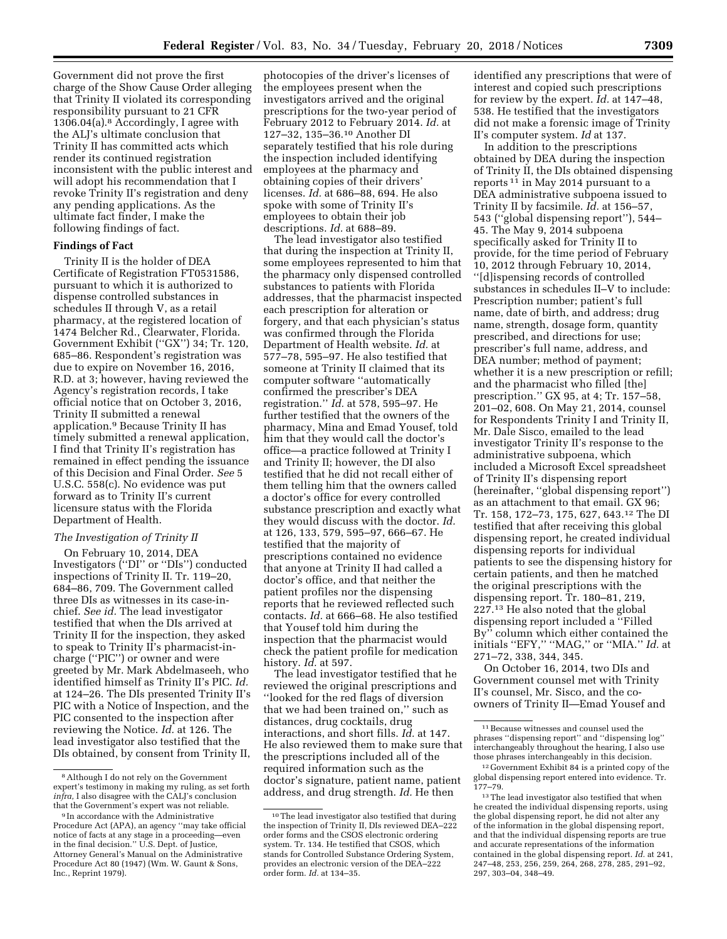Government did not prove the first charge of the Show Cause Order alleging that Trinity II violated its corresponding responsibility pursuant to 21 CFR 1306.04(a).8 Accordingly, I agree with the ALJ's ultimate conclusion that Trinity II has committed acts which render its continued registration inconsistent with the public interest and will adopt his recommendation that I revoke Trinity II's registration and deny any pending applications. As the ultimate fact finder, I make the following findings of fact.

## **Findings of Fact**

Trinity II is the holder of DEA Certificate of Registration FT0531586, pursuant to which it is authorized to dispense controlled substances in schedules II through V, as a retail pharmacy, at the registered location of 1474 Belcher Rd., Clearwater, Florida. Government Exhibit (''GX'') 34; Tr. 120, 685–86. Respondent's registration was due to expire on November 16, 2016, R.D. at 3; however, having reviewed the Agency's registration records, I take official notice that on October 3, 2016, Trinity II submitted a renewal application.9 Because Trinity II has timely submitted a renewal application, I find that Trinity II's registration has remained in effect pending the issuance of this Decision and Final Order. *See* 5 U.S.C. 558(c). No evidence was put forward as to Trinity II's current licensure status with the Florida Department of Health.

#### *The Investigation of Trinity II*

On February 10, 2014, DEA Investigators (''DI'' or ''DIs'') conducted inspections of Trinity II. Tr. 119–20, 684–86, 709. The Government called three DIs as witnesses in its case-inchief. *See id.* The lead investigator testified that when the DIs arrived at Trinity II for the inspection, they asked to speak to Trinity II's pharmacist-incharge (''PIC'') or owner and were greeted by Mr. Mark Abdelmaseeh, who identified himself as Trinity II's PIC. *Id.*  at 124–26. The DIs presented Trinity II's PIC with a Notice of Inspection, and the PIC consented to the inspection after reviewing the Notice. *Id.* at 126. The lead investigator also testified that the DIs obtained, by consent from Trinity II, photocopies of the driver's licenses of the employees present when the investigators arrived and the original prescriptions for the two-year period of February 2012 to February 2014. *Id.* at 127–32, 135–36.10 Another DI separately testified that his role during the inspection included identifying employees at the pharmacy and obtaining copies of their drivers' licenses. *Id.* at 686–88, 694. He also spoke with some of Trinity II's employees to obtain their job descriptions. *Id.* at 688–89.

The lead investigator also testified that during the inspection at Trinity II, some employees represented to him that the pharmacy only dispensed controlled substances to patients with Florida addresses, that the pharmacist inspected each prescription for alteration or forgery, and that each physician's status was confirmed through the Florida Department of Health website. *Id.* at 577–78, 595–97. He also testified that someone at Trinity II claimed that its computer software ''automatically confirmed the prescriber's DEA registration.'' *Id.* at 578, 595–97. He further testified that the owners of the pharmacy, Mina and Emad Yousef, told him that they would call the doctor's office—a practice followed at Trinity I and Trinity II; however, the DI also testified that he did not recall either of them telling him that the owners called a doctor's office for every controlled substance prescription and exactly what they would discuss with the doctor. *Id.*  at 126, 133, 579, 595–97, 666–67. He testified that the majority of prescriptions contained no evidence that anyone at Trinity II had called a doctor's office, and that neither the patient profiles nor the dispensing reports that he reviewed reflected such contacts. *Id.* at 666–68. He also testified that Yousef told him during the inspection that the pharmacist would check the patient profile for medication history. *Id.* at 597.

The lead investigator testified that he reviewed the original prescriptions and ''looked for the red flags of diversion that we had been trained on,'' such as distances, drug cocktails, drug interactions, and short fills. *Id.* at 147. He also reviewed them to make sure that the prescriptions included all of the required information such as the doctor's signature, patient name, patient address, and drug strength. *Id.* He then

identified any prescriptions that were of interest and copied such prescriptions for review by the expert. *Id.* at 147–48, 538. He testified that the investigators did not make a forensic image of Trinity II's computer system. *Id* at 137.

In addition to the prescriptions obtained by DEA during the inspection of Trinity II, the DIs obtained dispensing reports <sup>11</sup> in May 2014 pursuant to a DEA administrative subpoena issued to Trinity II by facsimile. *Id.* at 156–57, 543 (''global dispensing report''), 544– 45. The May 9, 2014 subpoena specifically asked for Trinity II to provide, for the time period of February 10, 2012 through February 10, 2014, ''[d]ispensing records of controlled substances in schedules II–V to include: Prescription number; patient's full name, date of birth, and address; drug name, strength, dosage form, quantity prescribed, and directions for use; prescriber's full name, address, and DEA number; method of payment; whether it is a new prescription or refill; and the pharmacist who filled [the] prescription.'' GX 95, at 4; Tr. 157–58, 201–02, 608. On May 21, 2014, counsel for Respondents Trinity I and Trinity II, Mr. Dale Sisco, emailed to the lead investigator Trinity II's response to the administrative subpoena, which included a Microsoft Excel spreadsheet of Trinity II's dispensing report (hereinafter, ''global dispensing report'') as an attachment to that email. GX 96; Tr. 158, 172–73, 175, 627, 643.12 The DI testified that after receiving this global dispensing report, he created individual dispensing reports for individual patients to see the dispensing history for certain patients, and then he matched the original prescriptions with the dispensing report. Tr. 180–81, 219, 227.13 He also noted that the global dispensing report included a ''Filled By'' column which either contained the initials ''EFY,'' ''MAG,'' or ''MIA.'' *Id.* at 271–72, 338, 344, 345.

On October 16, 2014, two DIs and Government counsel met with Trinity II's counsel, Mr. Sisco, and the coowners of Trinity II—Emad Yousef and

<sup>8</sup>Although I do not rely on the Government expert's testimony in making my ruling, as set forth *infra,* I also disagree with the CALJ's conclusion that the Government's expert was not reliable.

<sup>9</sup> In accordance with the Administrative Procedure Act (APA), an agency ''may take official notice of facts at any stage in a proceeding—even in the final decision.'' U.S. Dept. of Justice, Attorney General's Manual on the Administrative Procedure Act 80 (1947) (Wm. W. Gaunt & Sons, Inc., Reprint 1979).

<sup>10</sup>The lead investigator also testified that during the inspection of Trinity II, DIs reviewed DEA–222 order forms and the CSOS electronic ordering system. Tr. 134. He testified that CSOS, which stands for Controlled Substance Ordering System, provides an electronic version of the DEA–222 order form. *Id.* at 134–35.

 $^{\rm 11}\, \rm Because$  witnesses and counsel used the phrases ''dispensing report'' and ''dispensing log'' interchangeably throughout the hearing, I also use those phrases interchangeably in this decision.

<sup>&</sup>lt;sup>12</sup> Government Exhibit 84 is a printed copy of the global dispensing report entered into evidence. Tr. 177–79.

 $^{\rm 13}\!$  The lead investigator also testified that when he created the individual dispensing reports, using the global dispensing report, he did not alter any of the information in the global dispensing report, and that the individual dispensing reports are true and accurate representations of the information contained in the global dispensing report. *Id.* at 241, 247–48, 253, 256, 259, 264, 268, 278, 285, 291–92, 297, 303–04, 348–49.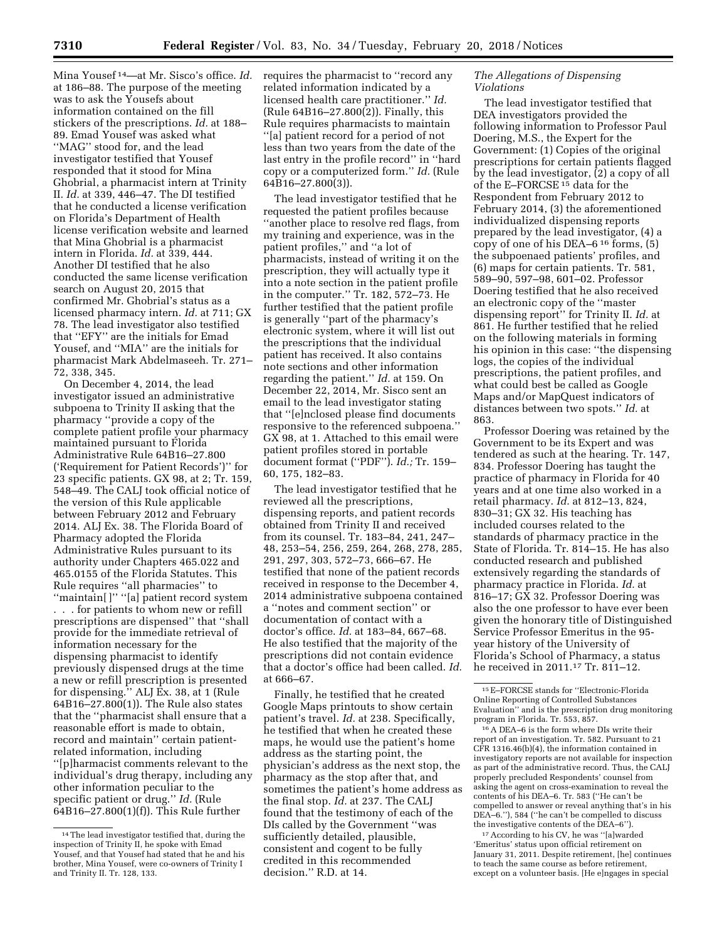Mina Yousef 14—at Mr. Sisco's office. *Id.*  at 186–88. The purpose of the meeting was to ask the Yousefs about information contained on the fill stickers of the prescriptions. *Id.* at 188– 89. Emad Yousef was asked what ''MAG'' stood for, and the lead investigator testified that Yousef responded that it stood for Mina Ghobrial, a pharmacist intern at Trinity II. *Id.* at 339, 446–47. The DI testified that he conducted a license verification on Florida's Department of Health license verification website and learned that Mina Ghobrial is a pharmacist intern in Florida. *Id.* at 339, 444. Another DI testified that he also conducted the same license verification search on August 20, 2015 that confirmed Mr. Ghobrial's status as a licensed pharmacy intern. *Id.* at 711; GX 78. The lead investigator also testified that ''EFY'' are the initials for Emad Yousef, and ''MIA'' are the initials for pharmacist Mark Abdelmaseeh. Tr. 271– 72, 338, 345.

On December 4, 2014, the lead investigator issued an administrative subpoena to Trinity II asking that the pharmacy ''provide a copy of the complete patient profile your pharmacy maintained pursuant to Florida Administrative Rule 64B16–27.800 ('Requirement for Patient Records')'' for 23 specific patients. GX 98, at 2; Tr. 159, 548–49. The CALJ took official notice of the version of this Rule applicable between February 2012 and February 2014. ALJ Ex. 38. The Florida Board of Pharmacy adopted the Florida Administrative Rules pursuant to its authority under Chapters 465.022 and 465.0155 of the Florida Statutes. This Rule requires ''all pharmacies'' to ''maintain[ ]'' ''[a] patient record system . . . for patients to whom new or refill prescriptions are dispensed'' that ''shall provide for the immediate retrieval of information necessary for the dispensing pharmacist to identify previously dispensed drugs at the time a new or refill prescription is presented for dispensing.'' ALJ Ex. 38, at 1 (Rule  $64B16 - 27.800(1)$ . The Rule also states that the ''pharmacist shall ensure that a reasonable effort is made to obtain, record and maintain'' certain patientrelated information, including ''[p]harmacist comments relevant to the individual's drug therapy, including any other information peculiar to the specific patient or drug.'' *Id.* (Rule 64B16–27.800(1)(f)). This Rule further

requires the pharmacist to ''record any related information indicated by a licensed health care practitioner.'' *Id.*  (Rule 64B16–27.800(2)). Finally, this Rule requires pharmacists to maintain ''[a] patient record for a period of not less than two years from the date of the last entry in the profile record'' in ''hard copy or a computerized form.'' *Id.* (Rule 64B16–27.800(3)).

The lead investigator testified that he requested the patient profiles because ''another place to resolve red flags, from my training and experience, was in the patient profiles,'' and ''a lot of pharmacists, instead of writing it on the prescription, they will actually type it into a note section in the patient profile in the computer.'' Tr. 182, 572–73. He further testified that the patient profile is generally ''part of the pharmacy's electronic system, where it will list out the prescriptions that the individual patient has received. It also contains note sections and other information regarding the patient.'' *Id.* at 159. On December 22, 2014, Mr. Sisco sent an email to the lead investigator stating that ''[e]nclosed please find documents responsive to the referenced subpoena.'' GX 98, at 1. Attached to this email were patient profiles stored in portable document format (''PDF''). *Id.;* Tr. 159– 60, 175, 182–83.

The lead investigator testified that he reviewed all the prescriptions, dispensing reports, and patient records obtained from Trinity II and received from its counsel. Tr. 183–84, 241, 247– 48, 253–54, 256, 259, 264, 268, 278, 285, 291, 297, 303, 572–73, 666–67. He testified that none of the patient records received in response to the December 4, 2014 administrative subpoena contained a ''notes and comment section'' or documentation of contact with a doctor's office. *Id.* at 183–84, 667–68. He also testified that the majority of the prescriptions did not contain evidence that a doctor's office had been called. *Id.*  at 666–67.

Finally, he testified that he created Google Maps printouts to show certain patient's travel. *Id.* at 238. Specifically, he testified that when he created these maps, he would use the patient's home address as the starting point, the physician's address as the next stop, the pharmacy as the stop after that, and sometimes the patient's home address as the final stop. *Id.* at 237. The CALJ found that the testimony of each of the DIs called by the Government ''was sufficiently detailed, plausible, consistent and cogent to be fully credited in this recommended decision.'' R.D. at 14.

## *The Allegations of Dispensing Violations*

The lead investigator testified that DEA investigators provided the following information to Professor Paul Doering, M.S., the Expert for the Government: (1) Copies of the original prescriptions for certain patients flagged by the lead investigator, (2) a copy of all of the E–FORCSE 15 data for the Respondent from February 2012 to February 2014, (3) the aforementioned individualized dispensing reports prepared by the lead investigator, (4) a copy of one of his DEA–6 16 forms, (5) the subpoenaed patients' profiles, and (6) maps for certain patients. Tr. 581, 589–90, 597–98, 601–02. Professor Doering testified that he also received an electronic copy of the ''master dispensing report'' for Trinity II. *Id.* at 861. He further testified that he relied on the following materials in forming his opinion in this case: ''the dispensing logs, the copies of the individual prescriptions, the patient profiles, and what could best be called as Google Maps and/or MapQuest indicators of distances between two spots.'' *Id.* at 863.

Professor Doering was retained by the Government to be its Expert and was tendered as such at the hearing. Tr. 147, 834. Professor Doering has taught the practice of pharmacy in Florida for 40 years and at one time also worked in a retail pharmacy. *Id.* at 812–13, 824, 830–31; GX 32. His teaching has included courses related to the standards of pharmacy practice in the State of Florida. Tr. 814–15. He has also conducted research and published extensively regarding the standards of pharmacy practice in Florida. *Id.* at 816–17; GX 32. Professor Doering was also the one professor to have ever been given the honorary title of Distinguished Service Professor Emeritus in the 95 year history of the University of Florida's School of Pharmacy, a status he received in 2011.17 Tr. 811–12.

16A DEA–6 is the form where DIs write their report of an investigation. Tr. 582. Pursuant to 21 CFR 1316.46(b)(4), the information contained in investigatory reports are not available for inspection as part of the administrative record. Thus, the CALJ properly precluded Respondents' counsel from asking the agent on cross-examination to reveal the contents of his DEA–6. Tr. 583 (''He can't be compelled to answer or reveal anything that's in his DEA–6.''), 584 (''he can't be compelled to discuss the investigative contents of the DEA–6'').

17According to his CV, he was ''[a]warded 'Emeritus' status upon official retirement on January 31, 2011. Despite retirement, [he] continues to teach the same course as before retirement, except on a volunteer basis. [He e]ngages in special

<sup>14</sup>The lead investigator testified that, during the inspection of Trinity II, he spoke with Emad Yousef, and that Yousef had stated that he and his brother, Mina Yousef, were co-owners of Trinity I and Trinity II. Tr. 128, 133.

<sup>15</sup>E–FORCSE stands for ''Electronic-Florida Online Reporting of Controlled Substances Evaluation'' and is the prescription drug monitoring program in Florida. Tr. 553, 857.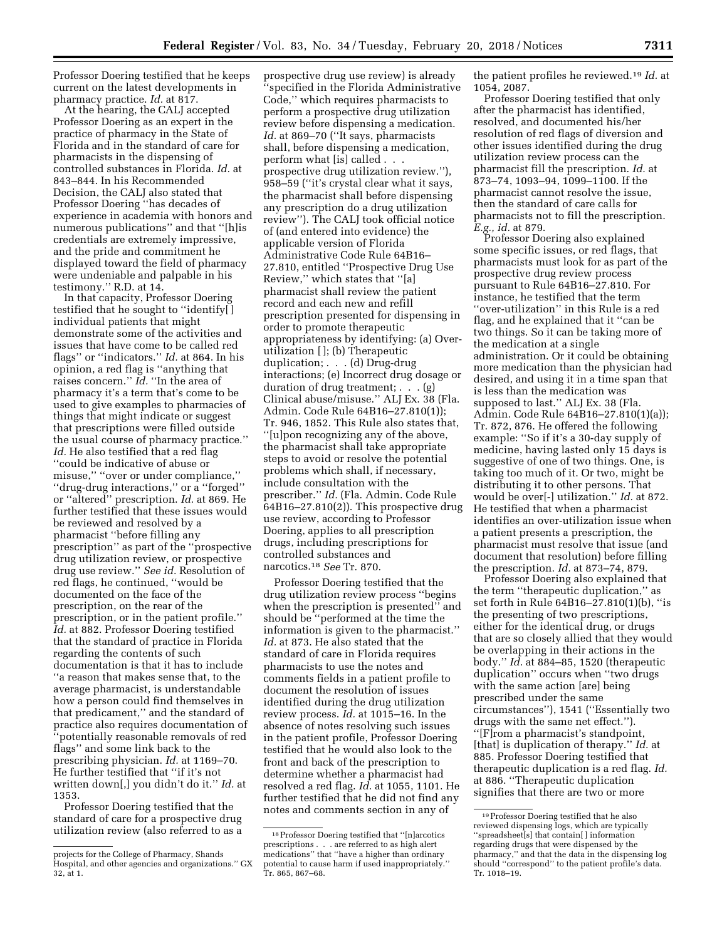Professor Doering testified that he keeps current on the latest developments in pharmacy practice. *Id.* at 817.

At the hearing, the CALJ accepted Professor Doering as an expert in the practice of pharmacy in the State of Florida and in the standard of care for pharmacists in the dispensing of controlled substances in Florida. *Id.* at 843–844. In his Recommended Decision, the CALJ also stated that Professor Doering ''has decades of experience in academia with honors and numerous publications'' and that ''[h]is credentials are extremely impressive, and the pride and commitment he displayed toward the field of pharmacy were undeniable and palpable in his testimony.'' R.D. at 14.

In that capacity, Professor Doering testified that he sought to ''identify[ ] individual patients that might demonstrate some of the activities and issues that have come to be called red flags'' or ''indicators.'' *Id.* at 864. In his opinion, a red flag is ''anything that raises concern.'' *Id.* ''In the area of pharmacy it's a term that's come to be used to give examples to pharmacies of things that might indicate or suggest that prescriptions were filled outside the usual course of pharmacy practice.'' *Id.* He also testified that a red flag ''could be indicative of abuse or misuse,'' ''over or under compliance,'' ''drug-drug interactions,'' or a ''forged'' or ''altered'' prescription. *Id.* at 869. He further testified that these issues would be reviewed and resolved by a pharmacist ''before filling any prescription'' as part of the ''prospective drug utilization review, or prospective drug use review.'' *See id.* Resolution of red flags, he continued, ''would be documented on the face of the prescription, on the rear of the prescription, or in the patient profile.'' *Id.* at 882. Professor Doering testified that the standard of practice in Florida regarding the contents of such documentation is that it has to include ''a reason that makes sense that, to the average pharmacist, is understandable how a person could find themselves in that predicament,'' and the standard of practice also requires documentation of 'potentially reasonable removals of red flags'' and some link back to the prescribing physician. *Id.* at 1169–70. He further testified that ''if it's not written down[,] you didn't do it.'' *Id.* at 1353.

Professor Doering testified that the standard of care for a prospective drug utilization review (also referred to as a

prospective drug use review) is already 'specified in the Florida Administrative Code,'' which requires pharmacists to perform a prospective drug utilization review before dispensing a medication. Id. at 869-70 ("It says, pharmacists shall, before dispensing a medication, perform what [is] called . . . prospective drug utilization review.''), 958–59 (''it's crystal clear what it says, the pharmacist shall before dispensing any prescription do a drug utilization review''). The CALJ took official notice of (and entered into evidence) the applicable version of Florida Administrative Code Rule 64B16– 27.810, entitled ''Prospective Drug Use Review,'' which states that ''[a] pharmacist shall review the patient record and each new and refill prescription presented for dispensing in order to promote therapeutic appropriateness by identifying: (a) Overutilization [ ]; (b) Therapeutic duplication; . . . (d) Drug-drug interactions; (e) Incorrect drug dosage or duration of drug treatment; . . . (g) Clinical abuse/misuse.'' ALJ Ex. 38 (Fla. Admin. Code Rule 64B16–27.810(1)); Tr. 946, 1852. This Rule also states that, ''[u]pon recognizing any of the above, the pharmacist shall take appropriate steps to avoid or resolve the potential problems which shall, if necessary, include consultation with the prescriber.'' *Id.* (Fla. Admin. Code Rule  $64B16 - 27.810(2)$ . This prospective drug use review, according to Professor Doering, applies to all prescription drugs, including prescriptions for controlled substances and narcotics.18 *See* Tr. 870.

Professor Doering testified that the drug utilization review process ''begins when the prescription is presented'' and should be ''performed at the time the information is given to the pharmacist.'' *Id.* at 873. He also stated that the standard of care in Florida requires pharmacists to use the notes and comments fields in a patient profile to document the resolution of issues identified during the drug utilization review process. *Id.* at 1015–16. In the absence of notes resolving such issues in the patient profile, Professor Doering testified that he would also look to the front and back of the prescription to determine whether a pharmacist had resolved a red flag. *Id.* at 1055, 1101. He further testified that he did not find any notes and comments section in any of

the patient profiles he reviewed.19 *Id.* at 1054, 2087.

Professor Doering testified that only after the pharmacist has identified, resolved, and documented his/her resolution of red flags of diversion and other issues identified during the drug utilization review process can the pharmacist fill the prescription. *Id.* at 873–74, 1093–94, 1099–1100. If the pharmacist cannot resolve the issue, then the standard of care calls for pharmacists not to fill the prescription. *E.g., id.* at 879.

Professor Doering also explained some specific issues, or red flags, that pharmacists must look for as part of the prospective drug review process pursuant to Rule 64B16–27.810. For instance, he testified that the term ''over-utilization'' in this Rule is a red flag, and he explained that it ''can be two things. So it can be taking more of the medication at a single administration. Or it could be obtaining more medication than the physician had desired, and using it in a time span that is less than the medication was supposed to last.'' ALJ Ex. 38 (Fla. Admin. Code Rule 64B16–27.810(1)(a)); Tr. 872, 876. He offered the following example: ''So if it's a 30-day supply of medicine, having lasted only 15 days is suggestive of one of two things. One, is taking too much of it. Or two, might be distributing it to other persons. That would be over[-] utilization.'' *Id.* at 872. He testified that when a pharmacist identifies an over-utilization issue when a patient presents a prescription, the pharmacist must resolve that issue (and document that resolution) before filling the prescription. *Id.* at 873–74, 879.

Professor Doering also explained that the term ''therapeutic duplication,'' as set forth in Rule 64B16–27.810(1)(b), ''is the presenting of two prescriptions, either for the identical drug, or drugs that are so closely allied that they would be overlapping in their actions in the body.'' *Id.* at 884–85, 1520 (therapeutic duplication'' occurs when ''two drugs with the same action [are] being prescribed under the same circumstances''), 1541 (''Essentially two drugs with the same net effect.''). ''[F]rom a pharmacist's standpoint, [that] is duplication of therapy.'' *Id.* at 885. Professor Doering testified that therapeutic duplication is a red flag. *Id.*  at 886. ''Therapeutic duplication signifies that there are two or more

projects for the College of Pharmacy, Shands Hospital, and other agencies and organizations.'' GX 32, at 1.

<sup>18</sup>Professor Doering testified that ''[n]arcotics prescriptions . . . are referred to as high alert medications'' that ''have a higher than ordinary potential to cause harm if used inappropriately.'' Tr. 865, 867–68.

<sup>19</sup>Professor Doering testified that he also reviewed dispensing logs, which are typically ''spreadsheet[s] that contain[ ] information regarding drugs that were dispensed by the pharmacy,'' and that the data in the dispensing log should ''correspond'' to the patient profile's data. Tr. 1018–19.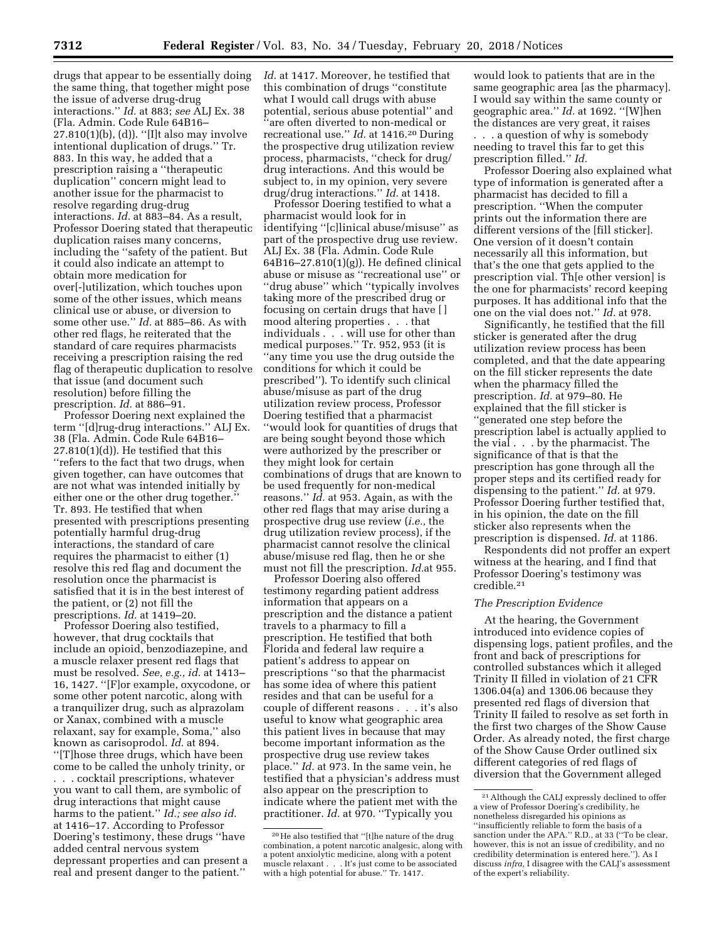drugs that appear to be essentially doing the same thing, that together might pose the issue of adverse drug-drug interactions.'' *Id.* at 883; *see* ALJ Ex. 38 (Fla. Admin. Code Rule 64B16– 27.810(1)(b), (d)). ''[I]t also may involve intentional duplication of drugs.'' Tr. 883. In this way, he added that a prescription raising a ''therapeutic duplication'' concern might lead to another issue for the pharmacist to resolve regarding drug-drug interactions. *Id.* at 883–84. As a result, Professor Doering stated that therapeutic duplication raises many concerns, including the ''safety of the patient. But it could also indicate an attempt to obtain more medication for over[-]utilization, which touches upon some of the other issues, which means clinical use or abuse, or diversion to some other use.'' *Id.* at 885–86. As with other red flags, he reiterated that the standard of care requires pharmacists receiving a prescription raising the red flag of therapeutic duplication to resolve that issue (and document such resolution) before filling the prescription. *Id.* at 886–91.

Professor Doering next explained the term ''[d]rug-drug interactions.'' ALJ Ex. 38 (Fla. Admin. Code Rule 64B16–  $27.810(1)(d)$ . He testified that this ''refers to the fact that two drugs, when given together, can have outcomes that are not what was intended initially by either one or the other drug together.'' Tr. 893. He testified that when presented with prescriptions presenting potentially harmful drug-drug interactions, the standard of care requires the pharmacist to either (1) resolve this red flag and document the resolution once the pharmacist is satisfied that it is in the best interest of the patient, or (2) not fill the prescriptions. *Id.* at 1419–20.

Professor Doering also testified, however, that drug cocktails that include an opioid, benzodiazepine, and a muscle relaxer present red flags that must be resolved. *See, e.g., id.* at 1413– 16, 1427. ''[F]or example, oxycodone, or some other potent narcotic, along with a tranquilizer drug, such as alprazolam or Xanax, combined with a muscle relaxant, say for example, Soma,'' also known as carisoprodol. *Id.* at 894. ''[T]hose three drugs, which have been come to be called the unholy trinity, or . . . cocktail prescriptions, whatever you want to call them, are symbolic of drug interactions that might cause harms to the patient.'' *Id.; see also id.*  at 1416–17. According to Professor Doering's testimony, these drugs ''have added central nervous system depressant properties and can present a real and present danger to the patient.''

*Id.* at 1417. Moreover, he testified that this combination of drugs ''constitute what I would call drugs with abuse potential, serious abuse potential'' and ''are often diverted to non-medical or recreational use.'' *Id.* at 1416.20 During the prospective drug utilization review process, pharmacists, ''check for drug/ drug interactions. And this would be subject to, in my opinion, very severe drug/drug interactions.'' *Id.* at 1418.

Professor Doering testified to what a pharmacist would look for in identifying ''[c]linical abuse/misuse'' as part of the prospective drug use review. ALJ Ex. 38 (Fla. Admin. Code Rule 64B16–27.810(1)(g)). He defined clinical abuse or misuse as ''recreational use'' or ''drug abuse'' which ''typically involves taking more of the prescribed drug or focusing on certain drugs that have [ ] mood altering properties . . . that individuals . . . will use for other than medical purposes.'' Tr. 952, 953 (it is ''any time you use the drug outside the conditions for which it could be prescribed''). To identify such clinical abuse/misuse as part of the drug utilization review process, Professor Doering testified that a pharmacist ''would look for quantities of drugs that are being sought beyond those which were authorized by the prescriber or they might look for certain combinations of drugs that are known to be used frequently for non-medical reasons.'' *Id.* at 953. Again, as with the other red flags that may arise during a prospective drug use review (*i.e.,* the drug utilization review process), if the pharmacist cannot resolve the clinical abuse/misuse red flag, then he or she must not fill the prescription. *Id.*at 955.

Professor Doering also offered testimony regarding patient address information that appears on a prescription and the distance a patient travels to a pharmacy to fill a prescription. He testified that both Florida and federal law require a patient's address to appear on prescriptions ''so that the pharmacist has some idea of where this patient resides and that can be useful for a couple of different reasons . . . it's also useful to know what geographic area this patient lives in because that may become important information as the prospective drug use review takes place.'' *Id.* at 973. In the same vein, he testified that a physician's address must also appear on the prescription to indicate where the patient met with the practitioner. *Id.* at 970. "Typically you

would look to patients that are in the same geographic area [as the pharmacy]. I would say within the same county or geographic area.'' *Id.* at 1692. ''[W]hen the distances are very great, it raises

. . . a question of why is somebody needing to travel this far to get this prescription filled.'' *Id.* 

Professor Doering also explained what type of information is generated after a pharmacist has decided to fill a prescription. ''When the computer prints out the information there are different versions of the [fill sticker]. One version of it doesn't contain necessarily all this information, but that's the one that gets applied to the prescription vial. Th[e other version] is the one for pharmacists' record keeping purposes. It has additional info that the one on the vial does not.'' *Id.* at 978.

Significantly, he testified that the fill sticker is generated after the drug utilization review process has been completed, and that the date appearing on the fill sticker represents the date when the pharmacy filled the prescription. *Id.* at 979–80. He explained that the fill sticker is ''generated one step before the prescription label is actually applied to the vial . . . by the pharmacist. The significance of that is that the prescription has gone through all the proper steps and its certified ready for dispensing to the patient.'' *Id.* at 979. Professor Doering further testified that, in his opinion, the date on the fill sticker also represents when the prescription is dispensed. *Id.* at 1186.

Respondents did not proffer an expert witness at the hearing, and I find that Professor Doering's testimony was credible.21

## *The Prescription Evidence*

At the hearing, the Government introduced into evidence copies of dispensing logs, patient profiles, and the front and back of prescriptions for controlled substances which it alleged Trinity II filled in violation of 21 CFR 1306.04(a) and 1306.06 because they presented red flags of diversion that Trinity II failed to resolve as set forth in the first two charges of the Show Cause Order. As already noted, the first charge of the Show Cause Order outlined six different categories of red flags of diversion that the Government alleged

<sup>20</sup>He also testified that ''[t]he nature of the drug combination, a potent narcotic analgesic, along with a potent anxiolytic medicine, along with a potent muscle relaxant . . . It's just come to be associated with a high potential for abuse.'' Tr. 1417.

<sup>21</sup>Although the CALJ expressly declined to offer a view of Professor Doering's credibility, he nonetheless disregarded his opinions as ''insufficiently reliable to form the basis of a sanction under the APA.'' R.D., at 33 (''To be clear, however, this is not an issue of credibility, and no credibility determination is entered here.''). As I discuss *infra,* I disagree with the CALJ's assessment of the expert's reliability.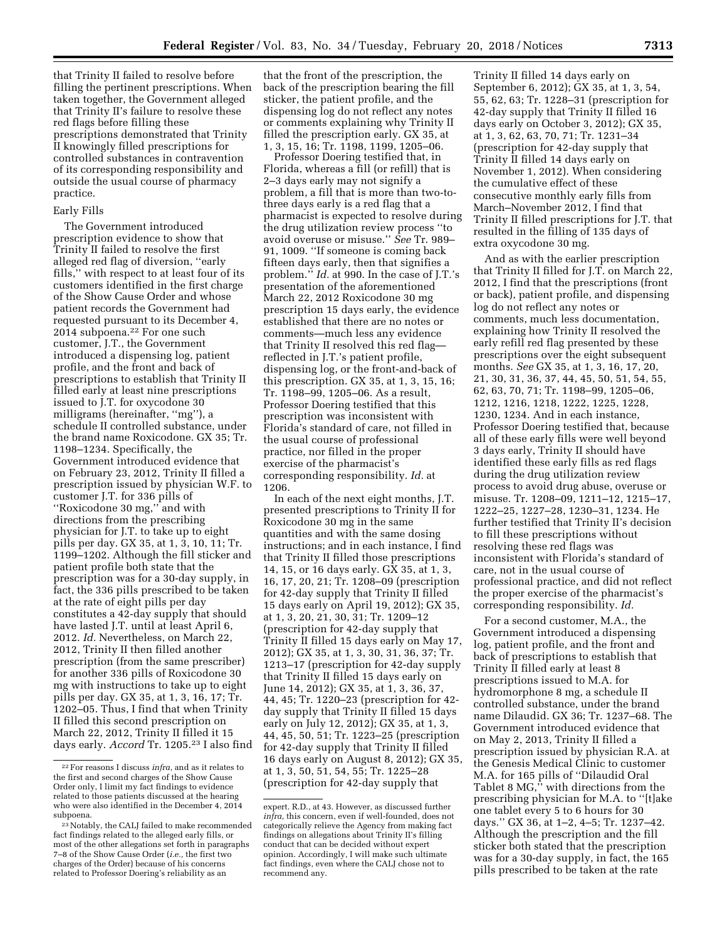that Trinity II failed to resolve before filling the pertinent prescriptions. When taken together, the Government alleged that Trinity II's failure to resolve these red flags before filling these prescriptions demonstrated that Trinity II knowingly filled prescriptions for controlled substances in contravention of its corresponding responsibility and outside the usual course of pharmacy practice.

#### Early Fills

The Government introduced prescription evidence to show that Trinity II failed to resolve the first alleged red flag of diversion, ''early fills,'' with respect to at least four of its customers identified in the first charge of the Show Cause Order and whose patient records the Government had requested pursuant to its December 4, 2014 subpoena.22 For one such customer, J.T., the Government introduced a dispensing log, patient profile, and the front and back of prescriptions to establish that Trinity II filled early at least nine prescriptions issued to J.T. for oxycodone 30 milligrams (hereinafter, ''mg''), a schedule II controlled substance, under the brand name Roxicodone. GX 35; Tr. 1198–1234. Specifically, the Government introduced evidence that on February 23, 2012, Trinity II filled a prescription issued by physician W.F. to customer J.T. for 336 pills of ''Roxicodone 30 mg,'' and with directions from the prescribing physician for J.T. to take up to eight pills per day. GX 35, at 1, 3, 10, 11; Tr. 1199–1202. Although the fill sticker and patient profile both state that the prescription was for a 30-day supply, in fact, the 336 pills prescribed to be taken at the rate of eight pills per day constitutes a 42-day supply that should have lasted J.T. until at least April 6, 2012. *Id.* Nevertheless, on March 22, 2012, Trinity II then filled another prescription (from the same prescriber) for another 336 pills of Roxicodone 30 mg with instructions to take up to eight pills per day. GX 35, at 1, 3, 16, 17; Tr. 1202–05. Thus, I find that when Trinity II filled this second prescription on March 22, 2012, Trinity II filled it 15 days early. *Accord* Tr. 1205.23 I also find that the front of the prescription, the back of the prescription bearing the fill sticker, the patient profile, and the dispensing log do not reflect any notes or comments explaining why Trinity II filled the prescription early. GX 35, at 1, 3, 15, 16; Tr. 1198, 1199, 1205–06.

Professor Doering testified that, in Florida, whereas a fill (or refill) that is 2–3 days early may not signify a problem, a fill that is more than two-tothree days early is a red flag that a pharmacist is expected to resolve during the drug utilization review process ''to avoid overuse or misuse.'' *See* Tr. 989– 91, 1009. ''If someone is coming back fifteen days early, then that signifies a problem.'' *Id.* at 990. In the case of J.T.'s presentation of the aforementioned March 22, 2012 Roxicodone 30 mg prescription 15 days early, the evidence established that there are no notes or comments—much less any evidence that Trinity II resolved this red flag reflected in J.T.'s patient profile, dispensing log, or the front-and-back of this prescription. GX 35, at 1, 3, 15, 16; Tr. 1198–99, 1205–06. As a result, Professor Doering testified that this prescription was inconsistent with Florida's standard of care, not filled in the usual course of professional practice, nor filled in the proper exercise of the pharmacist's corresponding responsibility. *Id.* at 1206.

In each of the next eight months, J.T. presented prescriptions to Trinity II for Roxicodone 30 mg in the same quantities and with the same dosing instructions; and in each instance, I find that Trinity II filled those prescriptions 14, 15, or 16 days early. GX 35, at 1, 3, 16, 17, 20, 21; Tr. 1208–09 (prescription for 42-day supply that Trinity II filled 15 days early on April 19, 2012); GX 35, at 1, 3, 20, 21, 30, 31; Tr. 1209–12 (prescription for 42-day supply that Trinity II filled 15 days early on May 17, 2012); GX 35, at 1, 3, 30, 31, 36, 37; Tr. 1213–17 (prescription for 42-day supply that Trinity II filled 15 days early on June 14, 2012); GX 35, at 1, 3, 36, 37, 44, 45; Tr. 1220–23 (prescription for 42 day supply that Trinity II filled 15 days early on July 12, 2012); GX 35, at 1, 3, 44, 45, 50, 51; Tr. 1223–25 (prescription for 42-day supply that Trinity II filled 16 days early on August 8, 2012); GX 35, at 1, 3, 50, 51, 54, 55; Tr. 1225–28 (prescription for 42-day supply that

Trinity II filled 14 days early on September 6, 2012); GX 35, at 1, 3, 54, 55, 62, 63; Tr. 1228–31 (prescription for 42-day supply that Trinity II filled 16 days early on October 3, 2012); GX 35, at 1, 3, 62, 63, 70, 71; Tr. 1231–34 (prescription for 42-day supply that Trinity II filled 14 days early on November 1, 2012). When considering the cumulative effect of these consecutive monthly early fills from March–November 2012, I find that Trinity II filled prescriptions for J.T. that resulted in the filling of 135 days of extra oxycodone 30 mg.

And as with the earlier prescription that Trinity II filled for J.T. on March 22, 2012, I find that the prescriptions (front or back), patient profile, and dispensing log do not reflect any notes or comments, much less documentation, explaining how Trinity II resolved the early refill red flag presented by these prescriptions over the eight subsequent months. *See* GX 35, at 1, 3, 16, 17, 20, 21, 30, 31, 36, 37, 44, 45, 50, 51, 54, 55, 62, 63, 70, 71; Tr. 1198–99, 1205–06, 1212, 1216, 1218, 1222, 1225, 1228, 1230, 1234. And in each instance, Professor Doering testified that, because all of these early fills were well beyond 3 days early, Trinity II should have identified these early fills as red flags during the drug utilization review process to avoid drug abuse, overuse or misuse. Tr. 1208–09, 1211–12, 1215–17, 1222–25, 1227–28, 1230–31, 1234. He further testified that Trinity II's decision to fill these prescriptions without resolving these red flags was inconsistent with Florida's standard of care, not in the usual course of professional practice, and did not reflect the proper exercise of the pharmacist's corresponding responsibility. *Id.* 

For a second customer, M.A., the Government introduced a dispensing log, patient profile, and the front and back of prescriptions to establish that Trinity II filled early at least 8 prescriptions issued to M.A. for hydromorphone 8 mg, a schedule II controlled substance, under the brand name Dilaudid. GX 36; Tr. 1237–68. The Government introduced evidence that on May 2, 2013, Trinity II filled a prescription issued by physician R.A. at the Genesis Medical Clinic to customer M.A. for 165 pills of ''Dilaudid Oral Tablet 8 MG,'' with directions from the prescribing physician for M.A. to ''[t]ake one tablet every 5 to 6 hours for 30 days.'' GX 36, at 1–2, 4–5; Tr. 1237–42. Although the prescription and the fill sticker both stated that the prescription was for a 30-day supply, in fact, the 165 pills prescribed to be taken at the rate

<sup>22</sup>For reasons I discuss *infra,* and as it relates to the first and second charges of the Show Cause Order only, I limit my fact findings to evidence related to those patients discussed at the hearing who were also identified in the December 4, 2014 subpoena.

<sup>23</sup>Notably, the CALJ failed to make recommended fact findings related to the alleged early fills, or most of the other allegations set forth in paragraphs 7–8 of the Show Cause Order (*i.e.,* the first two charges of the Order) because of his concerns related to Professor Doering's reliability as an

expert. R.D., at 43. However, as discussed further *infra,* this concern, even if well-founded, does not categorically relieve the Agency from making fact findings on allegations about Trinity II's filling conduct that can be decided without expert opinion. Accordingly, I will make such ultimate fact findings, even where the CALJ chose not to recommend any.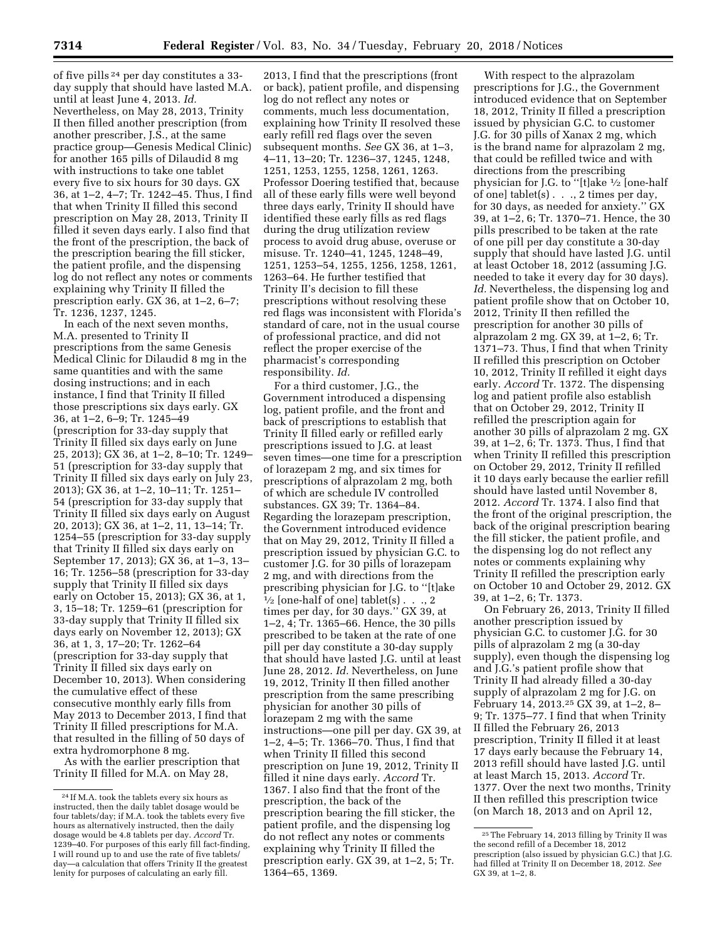of five pills 24 per day constitutes a 33 day supply that should have lasted M.A. until at least June 4, 2013. *Id.*  Nevertheless, on May 28, 2013, Trinity II then filled another prescription (from another prescriber, J.S., at the same practice group—Genesis Medical Clinic) for another 165 pills of Dilaudid 8 mg with instructions to take one tablet every five to six hours for 30 days. GX 36, at 1–2, 4–7; Tr. 1242–45. Thus, I find that when Trinity II filled this second prescription on May 28, 2013, Trinity II filled it seven days early. I also find that the front of the prescription, the back of the prescription bearing the fill sticker, the patient profile, and the dispensing log do not reflect any notes or comments explaining why Trinity II filled the prescription early. GX 36, at 1–2, 6–7; Tr. 1236, 1237, 1245.

In each of the next seven months, M.A. presented to Trinity II prescriptions from the same Genesis Medical Clinic for Dilaudid 8 mg in the same quantities and with the same dosing instructions; and in each instance, I find that Trinity II filled those prescriptions six days early. GX 36, at 1–2, 6–9; Tr. 1245–49 (prescription for 33-day supply that Trinity II filled six days early on June 25, 2013); GX 36, at 1–2, 8–10; Tr. 1249– 51 (prescription for 33-day supply that Trinity II filled six days early on July 23, 2013); GX 36, at 1–2, 10–11; Tr. 1251– 54 (prescription for 33-day supply that Trinity II filled six days early on August 20, 2013); GX 36, at 1–2, 11, 13–14; Tr. 1254–55 (prescription for 33-day supply that Trinity II filled six days early on September 17, 2013); GX 36, at 1–3, 13– 16; Tr. 1256–58 (prescription for 33-day supply that Trinity II filled six days early on October 15, 2013); GX 36, at 1, 3, 15–18; Tr. 1259–61 (prescription for 33-day supply that Trinity II filled six days early on November 12, 2013); GX 36, at 1, 3, 17–20; Tr. 1262–64 (prescription for 33-day supply that Trinity II filled six days early on December 10, 2013). When considering the cumulative effect of these consecutive monthly early fills from May 2013 to December 2013, I find that Trinity II filled prescriptions for M.A. that resulted in the filling of 50 days of extra hydromorphone 8 mg.

As with the earlier prescription that Trinity II filled for M.A. on May 28,

2013, I find that the prescriptions (front or back), patient profile, and dispensing log do not reflect any notes or comments, much less documentation, explaining how Trinity II resolved these early refill red flags over the seven subsequent months. *See* GX 36, at 1–3, 4–11, 13–20; Tr. 1236–37, 1245, 1248, 1251, 1253, 1255, 1258, 1261, 1263. Professor Doering testified that, because all of these early fills were well beyond three days early, Trinity II should have identified these early fills as red flags during the drug utilization review process to avoid drug abuse, overuse or misuse. Tr. 1240–41, 1245, 1248–49, 1251, 1253–54, 1255, 1256, 1258, 1261, 1263–64. He further testified that Trinity II's decision to fill these prescriptions without resolving these red flags was inconsistent with Florida's standard of care, not in the usual course of professional practice, and did not reflect the proper exercise of the pharmacist's corresponding responsibility. *Id.* 

For a third customer, J.G., the Government introduced a dispensing log, patient profile, and the front and back of prescriptions to establish that Trinity II filled early or refilled early prescriptions issued to J.G. at least seven times—one time for a prescription of lorazepam 2 mg, and six times for prescriptions of alprazolam 2 mg, both of which are schedule IV controlled substances. GX 39; Tr. 1364–84. Regarding the lorazepam prescription, the Government introduced evidence that on May 29, 2012, Trinity II filled a prescription issued by physician G.C. to customer J.G. for 30 pills of lorazepam 2 mg, and with directions from the prescribing physician for J.G. to ''[t]ake  $\frac{1}{2}$  [one-half of one] tablet(s)  $\ldots$ , 2 times per day, for 30 days.'' GX 39, at 1–2, 4; Tr. 1365–66. Hence, the 30 pills prescribed to be taken at the rate of one pill per day constitute a 30-day supply that should have lasted J.G. until at least June 28, 2012. *Id.* Nevertheless, on June 19, 2012, Trinity II then filled another prescription from the same prescribing physician for another 30 pills of lorazepam 2 mg with the same instructions—one pill per day. GX 39, at 1–2, 4–5; Tr. 1366–70. Thus, I find that when Trinity II filled this second prescription on June 19, 2012, Trinity II filled it nine days early. *Accord* Tr. 1367. I also find that the front of the prescription, the back of the prescription bearing the fill sticker, the patient profile, and the dispensing log do not reflect any notes or comments explaining why Trinity II filled the prescription early. GX 39, at 1–2, 5; Tr. 1364–65, 1369.

With respect to the alprazolam prescriptions for J.G., the Government introduced evidence that on September 18, 2012, Trinity II filled a prescription issued by physician G.C. to customer J.G. for 30 pills of Xanax 2 mg, which is the brand name for alprazolam 2 mg, that could be refilled twice and with directions from the prescribing physician for J.G. to ''[t]ake 1⁄2 [one-half of one] tablet(s) . . ., 2 times per day, for 30 days, as needed for anxiety.'' GX 39, at 1–2, 6; Tr. 1370–71. Hence, the 30 pills prescribed to be taken at the rate of one pill per day constitute a 30-day supply that should have lasted J.G. until at least October 18, 2012 (assuming J.G. needed to take it every day for 30 days). *Id.* Nevertheless, the dispensing log and patient profile show that on October 10, 2012, Trinity II then refilled the prescription for another 30 pills of alprazolam 2 mg. GX 39, at 1–2, 6; Tr. 1371–73. Thus, I find that when Trinity II refilled this prescription on October 10, 2012, Trinity II refilled it eight days early. *Accord* Tr. 1372. The dispensing log and patient profile also establish that on October 29, 2012, Trinity II refilled the prescription again for another 30 pills of alprazolam 2 mg. GX 39, at 1–2, 6; Tr. 1373. Thus, I find that when Trinity II refilled this prescription on October 29, 2012, Trinity II refilled it 10 days early because the earlier refill should have lasted until November 8, 2012. *Accord* Tr. 1374. I also find that the front of the original prescription, the back of the original prescription bearing the fill sticker, the patient profile, and the dispensing log do not reflect any notes or comments explaining why Trinity II refilled the prescription early on October 10 and October 29, 2012. GX 39, at 1–2, 6; Tr. 1373.

On February 26, 2013, Trinity II filled another prescription issued by physician G.C. to customer J.G. for 30 pills of alprazolam 2 mg (a 30-day supply), even though the dispensing log and J.G.'s patient profile show that Trinity II had already filled a 30-day supply of alprazolam 2 mg for J.G. on February 14, 2013.25 GX 39, at 1–2, 8– 9; Tr. 1375–77. I find that when Trinity II filled the February 26, 2013 prescription, Trinity II filled it at least 17 days early because the February 14, 2013 refill should have lasted J.G. until at least March 15, 2013. *Accord* Tr. 1377. Over the next two months, Trinity II then refilled this prescription twice (on March 18, 2013 and on April 12,

<sup>24</sup> If M.A. took the tablets every six hours as instructed, then the daily tablet dosage would be four tablets/day; if M.A. took the tablets every five hours as alternatively instructed, then the daily dosage would be 4.8 tablets per day. *Accord* Tr. 1239–40. For purposes of this early fill fact-finding, I will round up to and use the rate of five tablets/ day—a calculation that offers Trinity II the greatest lenity for purposes of calculating an early fill.

<sup>25</sup>The February 14, 2013 filling by Trinity II was the second refill of a December 18, 2012 prescription (also issued by physician G.C.) that J.G. had filled at Trinity II on December 18, 2012. *See*  GX 39, at 1–2, 8.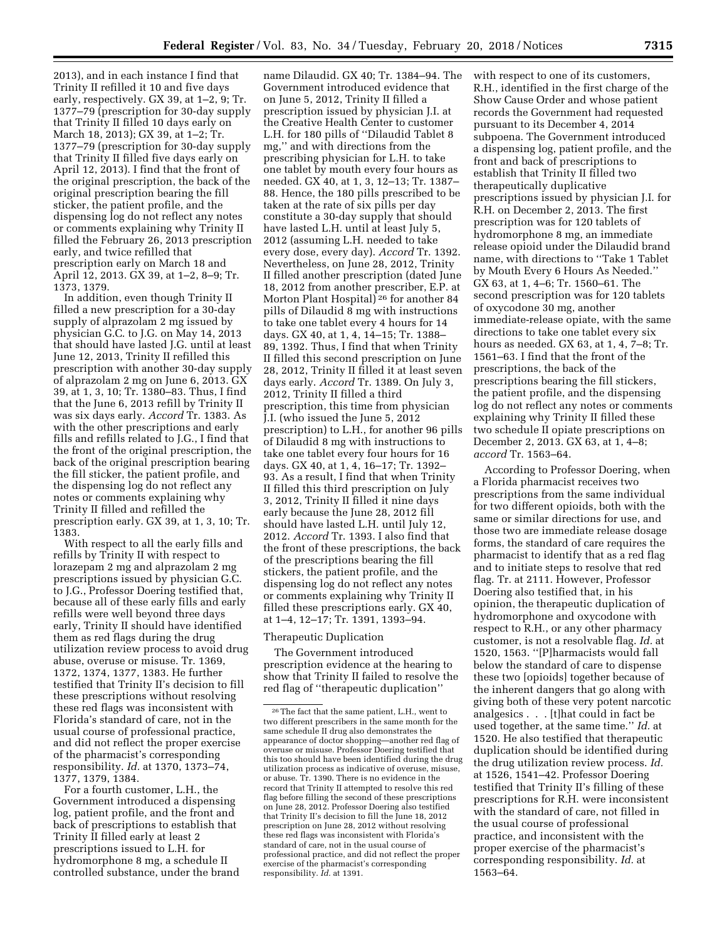2013), and in each instance I find that Trinity II refilled it 10 and five days early, respectively. GX 39, at 1–2, 9; Tr. 1377–79 (prescription for 30-day supply that Trinity II filled 10 days early on March 18, 2013); GX 39, at 1–2; Tr. 1377–79 (prescription for 30-day supply that Trinity II filled five days early on April 12, 2013). I find that the front of the original prescription, the back of the original prescription bearing the fill sticker, the patient profile, and the dispensing log do not reflect any notes or comments explaining why Trinity II filled the February 26, 2013 prescription early, and twice refilled that prescription early on March 18 and April 12, 2013. GX 39, at 1–2, 8–9; Tr. 1373, 1379.

In addition, even though Trinity II filled a new prescription for a 30-day supply of alprazolam 2 mg issued by physician G.C. to J.G. on May 14, 2013 that should have lasted J.G. until at least June 12, 2013, Trinity II refilled this prescription with another 30-day supply of alprazolam 2 mg on June 6, 2013. GX 39, at 1, 3, 10; Tr. 1380–83. Thus, I find that the June 6, 2013 refill by Trinity II was six days early. *Accord* Tr. 1383. As with the other prescriptions and early fills and refills related to J.G., I find that the front of the original prescription, the back of the original prescription bearing the fill sticker, the patient profile, and the dispensing log do not reflect any notes or comments explaining why Trinity II filled and refilled the prescription early. GX 39, at 1, 3, 10; Tr. 1383.

With respect to all the early fills and refills by Trinity II with respect to lorazepam 2 mg and alprazolam 2 mg prescriptions issued by physician G.C. to J.G., Professor Doering testified that, because all of these early fills and early refills were well beyond three days early, Trinity II should have identified them as red flags during the drug utilization review process to avoid drug abuse, overuse or misuse. Tr. 1369, 1372, 1374, 1377, 1383. He further testified that Trinity II's decision to fill these prescriptions without resolving these red flags was inconsistent with Florida's standard of care, not in the usual course of professional practice, and did not reflect the proper exercise of the pharmacist's corresponding responsibility. *Id.* at 1370, 1373–74, 1377, 1379, 1384.

For a fourth customer, L.H., the Government introduced a dispensing log, patient profile, and the front and back of prescriptions to establish that Trinity II filled early at least 2 prescriptions issued to L.H. for hydromorphone 8 mg, a schedule II controlled substance, under the brand

name Dilaudid. GX 40; Tr. 1384–94. The Government introduced evidence that on June 5, 2012, Trinity II filled a prescription issued by physician J.I. at the Creative Health Center to customer L.H. for 180 pills of ''Dilaudid Tablet 8 mg,'' and with directions from the prescribing physician for L.H. to take one tablet by mouth every four hours as needed. GX 40, at 1, 3, 12–13; Tr. 1387– 88. Hence, the 180 pills prescribed to be taken at the rate of six pills per day constitute a 30-day supply that should have lasted L.H. until at least July 5, 2012 (assuming L.H. needed to take every dose, every day). *Accord* Tr. 1392. Nevertheless, on June 28, 2012, Trinity II filled another prescription (dated June 18, 2012 from another prescriber, E.P. at Morton Plant Hospital) 26 for another 84 pills of Dilaudid 8 mg with instructions to take one tablet every 4 hours for 14 days. GX 40, at 1, 4, 14–15; Tr. 1388– 89, 1392. Thus, I find that when Trinity II filled this second prescription on June 28, 2012, Trinity II filled it at least seven days early. *Accord* Tr. 1389. On July 3, 2012, Trinity II filled a third prescription, this time from physician J.I. (who issued the June 5, 2012 prescription) to L.H., for another 96 pills of Dilaudid 8 mg with instructions to take one tablet every four hours for 16 days. GX 40, at 1, 4, 16–17; Tr. 1392– 93. As a result, I find that when Trinity II filled this third prescription on July 3, 2012, Trinity II filled it nine days early because the June 28, 2012 fill should have lasted L.H. until July 12, 2012. *Accord* Tr. 1393. I also find that the front of these prescriptions, the back of the prescriptions bearing the fill stickers, the patient profile, and the dispensing log do not reflect any notes or comments explaining why Trinity II filled these prescriptions early. GX 40, at 1–4, 12–17; Tr. 1391, 1393–94.

#### Therapeutic Duplication

The Government introduced prescription evidence at the hearing to show that Trinity II failed to resolve the red flag of ''therapeutic duplication''

with respect to one of its customers, R.H., identified in the first charge of the Show Cause Order and whose patient records the Government had requested pursuant to its December 4, 2014 subpoena. The Government introduced a dispensing log, patient profile, and the front and back of prescriptions to establish that Trinity II filled two therapeutically duplicative prescriptions issued by physician J.I. for R.H. on December 2, 2013. The first prescription was for 120 tablets of hydromorphone 8 mg, an immediate release opioid under the Dilaudid brand name, with directions to ''Take 1 Tablet by Mouth Every 6 Hours As Needed.'' GX 63, at 1, 4–6; Tr. 1560–61. The second prescription was for 120 tablets of oxycodone 30 mg, another immediate-release opiate, with the same directions to take one tablet every six hours as needed. GX 63, at 1, 4, 7–8; Tr. 1561–63. I find that the front of the prescriptions, the back of the prescriptions bearing the fill stickers, the patient profile, and the dispensing log do not reflect any notes or comments explaining why Trinity II filled these two schedule II opiate prescriptions on December 2, 2013. GX 63, at 1, 4–8; *accord* Tr. 1563–64.

According to Professor Doering, when a Florida pharmacist receives two prescriptions from the same individual for two different opioids, both with the same or similar directions for use, and those two are immediate release dosage forms, the standard of care requires the pharmacist to identify that as a red flag and to initiate steps to resolve that red flag. Tr. at 2111. However, Professor Doering also testified that, in his opinion, the therapeutic duplication of hydromorphone and oxycodone with respect to R.H., or any other pharmacy customer, is not a resolvable flag. *Id.* at 1520, 1563. ''[P]harmacists would fall below the standard of care to dispense these two [opioids] together because of the inherent dangers that go along with giving both of these very potent narcotic analgesics . . . [t]hat could in fact be used together, at the same time.'' *Id.* at 1520. He also testified that therapeutic duplication should be identified during the drug utilization review process. *Id.*  at 1526, 1541–42. Professor Doering testified that Trinity II's filling of these prescriptions for R.H. were inconsistent with the standard of care, not filled in the usual course of professional practice, and inconsistent with the proper exercise of the pharmacist's corresponding responsibility. *Id.* at 1563–64.

<sup>26</sup>The fact that the same patient, L.H., went to two different prescribers in the same month for the same schedule II drug also demonstrates the appearance of doctor shopping—another red flag of overuse or misuse. Professor Doering testified that this too should have been identified during the drug utilization process as indicative of overuse, misuse, or abuse. Tr. 1390. There is no evidence in the record that Trinity II attempted to resolve this red flag before filling the second of these prescriptions on June 28, 2012. Professor Doering also testified that Trinity II's decision to fill the June 18, 2012 prescription on June 28, 2012 without resolving these red flags was inconsistent with Florida's standard of care, not in the usual course of professional practice, and did not reflect the proper exercise of the pharmacist's corresponding responsibility. *Id.* at 1391.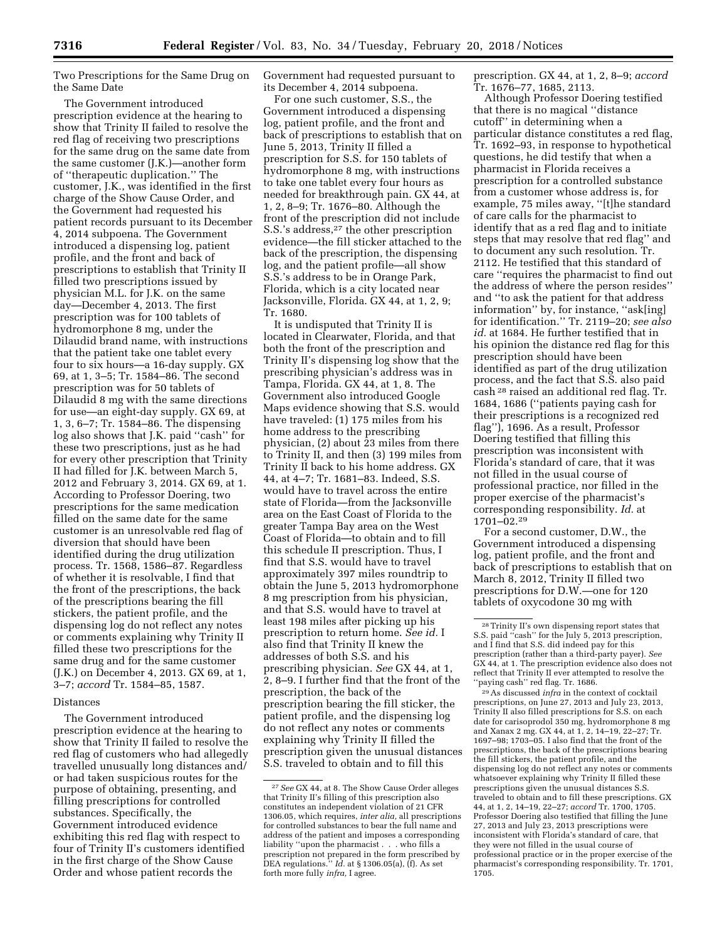Two Prescriptions for the Same Drug on the Same Date

The Government introduced prescription evidence at the hearing to show that Trinity II failed to resolve the red flag of receiving two prescriptions for the same drug on the same date from the same customer (J.K.)—another form of ''therapeutic duplication.'' The customer, J.K., was identified in the first charge of the Show Cause Order, and the Government had requested his patient records pursuant to its December 4, 2014 subpoena. The Government introduced a dispensing log, patient profile, and the front and back of prescriptions to establish that Trinity II filled two prescriptions issued by physician M.L. for J.K. on the same day—December 4, 2013. The first prescription was for 100 tablets of hydromorphone 8 mg, under the Dilaudid brand name, with instructions that the patient take one tablet every four to six hours—a 16-day supply. GX 69, at 1, 3–5; Tr. 1584–86. The second prescription was for 50 tablets of Dilaudid 8 mg with the same directions for use—an eight-day supply. GX 69, at 1, 3, 6–7; Tr. 1584–86. The dispensing log also shows that J.K. paid ''cash'' for these two prescriptions, just as he had for every other prescription that Trinity II had filled for J.K. between March 5, 2012 and February 3, 2014. GX 69, at 1. According to Professor Doering, two prescriptions for the same medication filled on the same date for the same customer is an unresolvable red flag of diversion that should have been identified during the drug utilization process. Tr. 1568, 1586–87. Regardless of whether it is resolvable, I find that the front of the prescriptions, the back of the prescriptions bearing the fill stickers, the patient profile, and the dispensing log do not reflect any notes or comments explaining why Trinity II filled these two prescriptions for the same drug and for the same customer (J.K.) on December 4, 2013. GX 69, at 1, 3–7; *accord* Tr. 1584–85, 1587.

#### Distances

The Government introduced prescription evidence at the hearing to show that Trinity II failed to resolve the red flag of customers who had allegedly travelled unusually long distances and/ or had taken suspicious routes for the purpose of obtaining, presenting, and filling prescriptions for controlled substances. Specifically, the Government introduced evidence exhibiting this red flag with respect to four of Trinity II's customers identified in the first charge of the Show Cause Order and whose patient records the

Government had requested pursuant to its December 4, 2014 subpoena.

For one such customer, S.S., the Government introduced a dispensing log, patient profile, and the front and back of prescriptions to establish that on June 5, 2013, Trinity II filled a prescription for S.S. for 150 tablets of hydromorphone 8 mg, with instructions to take one tablet every four hours as needed for breakthrough pain. GX 44, at 1, 2, 8–9; Tr. 1676–80. Although the front of the prescription did not include S.S.'s address,27 the other prescription evidence—the fill sticker attached to the back of the prescription, the dispensing log, and the patient profile—all show S.S.'s address to be in Orange Park, Florida, which is a city located near Jacksonville, Florida. GX 44, at 1, 2, 9; Tr. 1680.

It is undisputed that Trinity II is located in Clearwater, Florida, and that both the front of the prescription and Trinity II's dispensing log show that the prescribing physician's address was in Tampa, Florida. GX 44, at 1, 8. The Government also introduced Google Maps evidence showing that S.S. would have traveled: (1) 175 miles from his home address to the prescribing physician, (2) about 23 miles from there to Trinity II, and then (3) 199 miles from Trinity II back to his home address. GX 44, at 4–7; Tr. 1681–83. Indeed, S.S. would have to travel across the entire state of Florida—from the Jacksonville area on the East Coast of Florida to the greater Tampa Bay area on the West Coast of Florida—to obtain and to fill this schedule II prescription. Thus, I find that S.S. would have to travel approximately 397 miles roundtrip to obtain the June 5, 2013 hydromorphone 8 mg prescription from his physician, and that S.S. would have to travel at least 198 miles after picking up his prescription to return home. *See id.* I also find that Trinity II knew the addresses of both S.S. and his prescribing physician. *See* GX 44, at 1, 2, 8–9. I further find that the front of the prescription, the back of the prescription bearing the fill sticker, the patient profile, and the dispensing log do not reflect any notes or comments explaining why Trinity II filled the prescription given the unusual distances S.S. traveled to obtain and to fill this

prescription. GX 44, at 1, 2, 8–9; *accord*  Tr. 1676–77, 1685, 2113.

Although Professor Doering testified that there is no magical ''distance cutoff'' in determining when a particular distance constitutes a red flag, Tr. 1692–93, in response to hypothetical questions, he did testify that when a pharmacist in Florida receives a prescription for a controlled substance from a customer whose address is, for example, 75 miles away, ''[t]he standard of care calls for the pharmacist to identify that as a red flag and to initiate steps that may resolve that red flag'' and to document any such resolution. Tr. 2112. He testified that this standard of care ''requires the pharmacist to find out the address of where the person resides'' and ''to ask the patient for that address information'' by, for instance, ''ask[ing] for identification.'' Tr. 2119–20; *see also id.* at 1684. He further testified that in his opinion the distance red flag for this prescription should have been identified as part of the drug utilization process, and the fact that S.S. also paid cash 28 raised an additional red flag. Tr. 1684, 1686 (''patients paying cash for their prescriptions is a recognized red flag''), 1696. As a result, Professor Doering testified that filling this prescription was inconsistent with Florida's standard of care, that it was not filled in the usual course of professional practice, nor filled in the proper exercise of the pharmacist's corresponding responsibility. *Id.* at 1701–02.29

For a second customer, D.W., the Government introduced a dispensing log, patient profile, and the front and back of prescriptions to establish that on March 8, 2012, Trinity II filled two prescriptions for D.W.—one for 120 tablets of oxycodone 30 mg with

29As discussed *infra* in the context of cocktail prescriptions, on June 27, 2013 and July 23, 2013, Trinity II also filled prescriptions for S.S. on each date for carisoprodol 350 mg, hydromorphone 8 mg and Xanax 2 mg. GX 44, at 1, 2, 14–19, 22–27; Tr. 1697–98; 1703–05. I also find that the front of the prescriptions, the back of the prescriptions bearing the fill stickers, the patient profile, and the dispensing log do not reflect any notes or comments whatsoever explaining why Trinity II filled these prescriptions given the unusual distances S.S. traveled to obtain and to fill these prescriptions. GX 44, at 1, 2, 14–19, 22–27; *accord* Tr. 1700, 1705. Professor Doering also testified that filling the June 27, 2013 and July 23, 2013 prescriptions were inconsistent with Florida's standard of care, that they were not filled in the usual course of professional practice or in the proper exercise of the pharmacist's corresponding responsibility. Tr. 1701, .<br>1705.

<sup>27</sup>*See* GX 44, at 8. The Show Cause Order alleges that Trinity II's filling of this prescription also constitutes an independent violation of 21 CFR 1306.05, which requires, *inter alia,* all prescriptions for controlled substances to bear the full name and address of the patient and imposes a corresponding liability ''upon the pharmacist . . . who fills a prescription not prepared in the form prescribed by DEA regulations.'' *Id.* at § 1306.05(a), (f). As set forth more fully *infra,* I agree.

<sup>28</sup>Trinity II's own dispensing report states that S.S. paid ''cash'' for the July 5, 2013 prescription, and I find that S.S. did indeed pay for this prescription (rather than a third-party payer). *See*  GX 44, at 1. The prescription evidence also does not reflect that Trinity II ever attempted to resolve the ''paying cash'' red flag. Tr. 1686.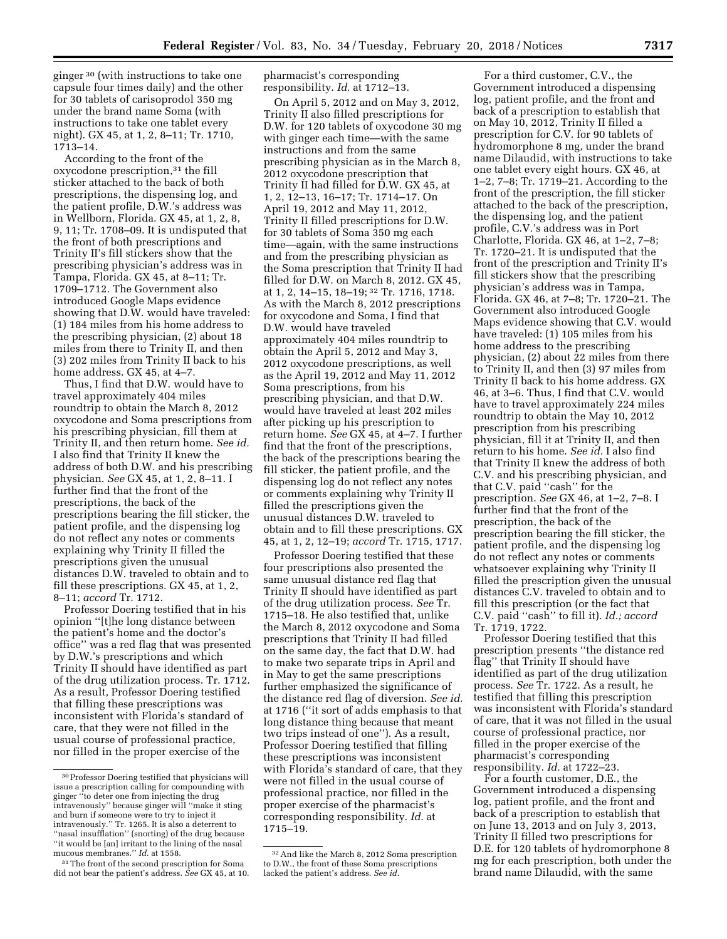ginger 30 (with instructions to take one capsule four times daily) and the other for 30 tablets of carisoprodol 350 mg under the brand name Soma (with instructions to take one tablet every night). GX 45, at 1, 2, 8–11; Tr. 1710, 1713–14.

According to the front of the oxycodone prescription,31 the fill sticker attached to the back of both prescriptions, the dispensing log, and the patient profile, D.W.'s address was in Wellborn, Florida. GX 45, at 1, 2, 8, 9, 11; Tr. 1708–09. It is undisputed that the front of both prescriptions and Trinity II's fill stickers show that the prescribing physician's address was in Tampa, Florida. GX 45, at 8–11; Tr. 1709–1712. The Government also introduced Google Maps evidence showing that D.W. would have traveled: (1) 184 miles from his home address to the prescribing physician, (2) about 18 miles from there to Trinity II, and then (3) 202 miles from Trinity II back to his home address. GX 45, at 4–7.

Thus, I find that D.W. would have to travel approximately 404 miles roundtrip to obtain the March 8, 2012 oxycodone and Soma prescriptions from his prescribing physician, fill them at Trinity II, and then return home. *See id.*  I also find that Trinity II knew the address of both D.W. and his prescribing physician. *See* GX 45, at 1, 2, 8–11. I further find that the front of the prescriptions, the back of the prescriptions bearing the fill sticker, the patient profile, and the dispensing log do not reflect any notes or comments explaining why Trinity II filled the prescriptions given the unusual distances D.W. traveled to obtain and to fill these prescriptions. GX 45, at 1, 2, 8–11; *accord* Tr. 1712.

Professor Doering testified that in his opinion ''[t]he long distance between the patient's home and the doctor's office'' was a red flag that was presented by D.W.'s prescriptions and which Trinity II should have identified as part of the drug utilization process. Tr. 1712. As a result, Professor Doering testified that filling these prescriptions was inconsistent with Florida's standard of care, that they were not filled in the usual course of professional practice, nor filled in the proper exercise of the

pharmacist's corresponding responsibility. *Id.* at 1712–13.

On April 5, 2012 and on May 3, 2012, Trinity II also filled prescriptions for D.W. for 120 tablets of oxycodone 30 mg with ginger each time—with the same instructions and from the same prescribing physician as in the March 8, 2012 oxycodone prescription that Trinity II had filled for D.W. GX 45, at 1, 2, 12–13, 16–17; Tr. 1714–17. On April 19, 2012 and May 11, 2012, Trinity II filled prescriptions for D.W. for 30 tablets of Soma 350 mg each time—again, with the same instructions and from the prescribing physician as the Soma prescription that Trinity II had filled for D.W. on March 8, 2012. GX 45, at 1, 2, 14–15, 18–19; 32 Tr. 1716, 1718. As with the March 8, 2012 prescriptions for oxycodone and Soma, I find that D.W. would have traveled approximately 404 miles roundtrip to obtain the April 5, 2012 and May 3, 2012 oxycodone prescriptions, as well as the April 19, 2012 and May 11, 2012 Soma prescriptions, from his prescribing physician, and that D.W. would have traveled at least 202 miles after picking up his prescription to return home. *See* GX 45, at 4–7. I further find that the front of the prescriptions, the back of the prescriptions bearing the fill sticker, the patient profile, and the dispensing log do not reflect any notes or comments explaining why Trinity II filled the prescriptions given the unusual distances D.W. traveled to obtain and to fill these prescriptions. GX 45, at 1, 2, 12–19; *accord* Tr. 1715, 1717.

Professor Doering testified that these four prescriptions also presented the same unusual distance red flag that Trinity II should have identified as part of the drug utilization process. *See* Tr. 1715–18. He also testified that, unlike the March 8, 2012 oxycodone and Soma prescriptions that Trinity II had filled on the same day, the fact that D.W. had to make two separate trips in April and in May to get the same prescriptions further emphasized the significance of the distance red flag of diversion. *See id.*  at 1716 (''it sort of adds emphasis to that long distance thing because that meant two trips instead of one''). As a result, Professor Doering testified that filling these prescriptions was inconsistent with Florida's standard of care, that they were not filled in the usual course of professional practice, nor filled in the proper exercise of the pharmacist's corresponding responsibility. *Id.* at 1715–19.

For a third customer, C.V., the Government introduced a dispensing log, patient profile, and the front and back of a prescription to establish that on May 10, 2012, Trinity II filled a prescription for C.V. for 90 tablets of hydromorphone 8 mg, under the brand name Dilaudid, with instructions to take one tablet every eight hours. GX 46, at 1–2, 7–8; Tr. 1719–21. According to the front of the prescription, the fill sticker attached to the back of the prescription, the dispensing log, and the patient profile, C.V.'s address was in Port Charlotte, Florida. GX 46, at 1–2, 7–8; Tr. 1720–21. It is undisputed that the front of the prescription and Trinity II's fill stickers show that the prescribing physician's address was in Tampa, Florida. GX 46, at 7–8; Tr. 1720–21. The Government also introduced Google Maps evidence showing that C.V. would have traveled: (1) 105 miles from his home address to the prescribing physician, (2) about 22 miles from there to Trinity II, and then (3) 97 miles from Trinity II back to his home address. GX 46, at 3–6. Thus, I find that C.V. would have to travel approximately 224 miles roundtrip to obtain the May 10, 2012 prescription from his prescribing physician, fill it at Trinity II, and then return to his home. *See id.* I also find that Trinity II knew the address of both C.V. and his prescribing physician, and that C.V. paid ''cash'' for the prescription. *See* GX 46, at 1–2, 7–8. I further find that the front of the prescription, the back of the prescription bearing the fill sticker, the patient profile, and the dispensing log do not reflect any notes or comments whatsoever explaining why Trinity II filled the prescription given the unusual distances C.V. traveled to obtain and to fill this prescription (or the fact that C.V. paid ''cash'' to fill it). *Id.; accord*  Tr. 1719, 1722.

Professor Doering testified that this prescription presents ''the distance red flag'' that Trinity II should have identified as part of the drug utilization process. *See* Tr. 1722. As a result, he testified that filling this prescription was inconsistent with Florida's standard of care, that it was not filled in the usual course of professional practice, nor filled in the proper exercise of the pharmacist's corresponding responsibility. *Id.* at 1722–23.

For a fourth customer, D.E., the Government introduced a dispensing log, patient profile, and the front and back of a prescription to establish that on June 13, 2013 and on July 3, 2013, Trinity II filled two prescriptions for D.E. for 120 tablets of hydromorphone 8 mg for each prescription, both under the brand name Dilaudid, with the same

<sup>30</sup>Professor Doering testified that physicians will issue a prescription calling for compounding with ginger ''to deter one from injecting the drug intravenously'' because ginger will ''make it sting and burn if someone were to try to inject it intravenously.'' Tr. 1265. It is also a deterrent to ''nasal insufflation'' (snorting) of the drug because ''it would be [an] irritant to the lining of the nasal mucous membranes.'' *Id.* at 1558.

<sup>&</sup>lt;sup>31</sup>The front of the second prescription for Soma did not bear the patient's address. *See* GX 45, at 10.

<sup>32</sup>And like the March 8, 2012 Soma prescription to D.W., the front of these Soma prescriptions lacked the patient's address. *See id.*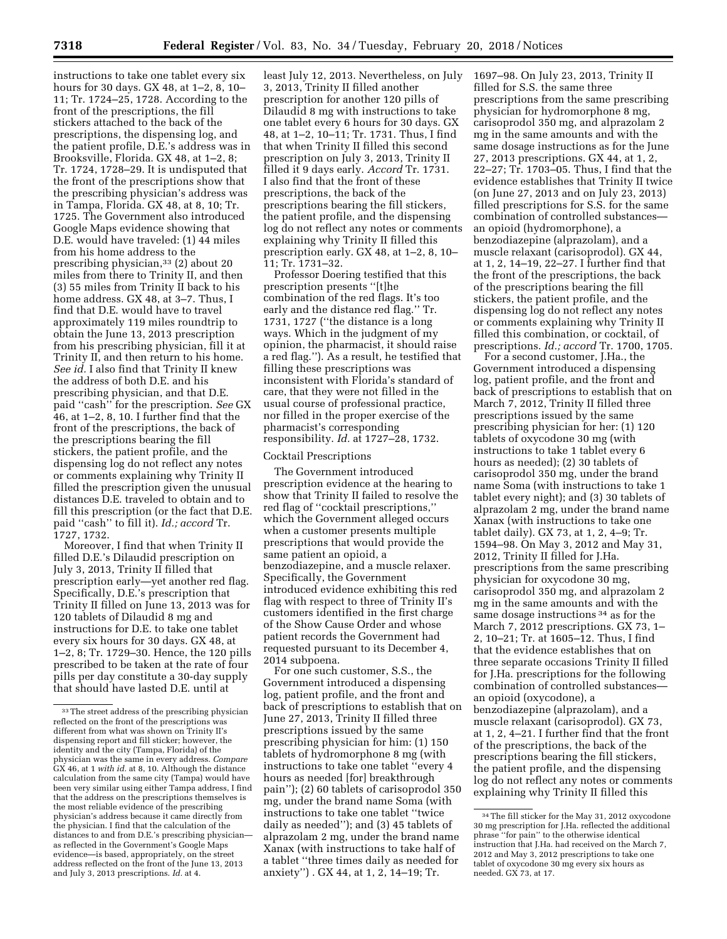instructions to take one tablet every six hours for 30 days. GX 48, at 1–2, 8, 10– 11; Tr. 1724–25, 1728. According to the front of the prescriptions, the fill stickers attached to the back of the prescriptions, the dispensing log, and the patient profile, D.E.'s address was in Brooksville, Florida. GX 48, at 1–2, 8; Tr. 1724, 1728–29. It is undisputed that the front of the prescriptions show that the prescribing physician's address was in Tampa, Florida. GX 48, at 8, 10; Tr. 1725. The Government also introduced Google Maps evidence showing that D.E. would have traveled: (1) 44 miles from his home address to the prescribing physician,<sup>33</sup> (2) about 20 miles from there to Trinity II, and then (3) 55 miles from Trinity II back to his home address. GX 48, at 3–7. Thus, I find that D.E. would have to travel approximately 119 miles roundtrip to obtain the June 13, 2013 prescription from his prescribing physician, fill it at Trinity II, and then return to his home. *See id.* I also find that Trinity II knew the address of both D.E. and his prescribing physician, and that D.E. paid ''cash'' for the prescription. *See* GX 46, at 1–2, 8, 10. I further find that the front of the prescriptions, the back of the prescriptions bearing the fill stickers, the patient profile, and the dispensing log do not reflect any notes or comments explaining why Trinity II filled the prescription given the unusual distances D.E. traveled to obtain and to fill this prescription (or the fact that D.E. paid ''cash'' to fill it). *Id.; accord* Tr. 1727, 1732.

Moreover, I find that when Trinity II filled D.E.'s Dilaudid prescription on July 3, 2013, Trinity II filled that prescription early—yet another red flag. Specifically, D.E.'s prescription that Trinity II filled on June 13, 2013 was for 120 tablets of Dilaudid 8 mg and instructions for D.E. to take one tablet every six hours for 30 days. GX 48, at 1–2, 8; Tr. 1729–30. Hence, the 120 pills prescribed to be taken at the rate of four pills per day constitute a 30-day supply that should have lasted D.E. until at

least July 12, 2013. Nevertheless, on July 3, 2013, Trinity II filled another prescription for another 120 pills of Dilaudid 8 mg with instructions to take one tablet every 6 hours for 30 days. GX 48, at 1–2, 10–11; Tr. 1731. Thus, I find that when Trinity II filled this second prescription on July 3, 2013, Trinity II filled it 9 days early. *Accord* Tr. 1731. I also find that the front of these prescriptions, the back of the prescriptions bearing the fill stickers, the patient profile, and the dispensing log do not reflect any notes or comments explaining why Trinity II filled this prescription early. GX 48, at 1–2, 8, 10– 11; Tr. 1731–32.

Professor Doering testified that this prescription presents ''[t]he combination of the red flags. It's too early and the distance red flag.'' Tr. 1731, 1727 (''the distance is a long ways. Which in the judgment of my opinion, the pharmacist, it should raise a red flag.''). As a result, he testified that filling these prescriptions was inconsistent with Florida's standard of care, that they were not filled in the usual course of professional practice, nor filled in the proper exercise of the pharmacist's corresponding responsibility. *Id.* at 1727–28, 1732.

## Cocktail Prescriptions

The Government introduced prescription evidence at the hearing to show that Trinity II failed to resolve the red flag of ''cocktail prescriptions,'' which the Government alleged occurs when a customer presents multiple prescriptions that would provide the same patient an opioid, a benzodiazepine, and a muscle relaxer. Specifically, the Government introduced evidence exhibiting this red flag with respect to three of Trinity II's customers identified in the first charge of the Show Cause Order and whose patient records the Government had requested pursuant to its December 4, 2014 subpoena.

For one such customer, S.S., the Government introduced a dispensing log, patient profile, and the front and back of prescriptions to establish that on June 27, 2013, Trinity II filled three prescriptions issued by the same prescribing physician for him: (1) 150 tablets of hydromorphone 8 mg (with instructions to take one tablet ''every 4 hours as needed [for] breakthrough pain''); (2) 60 tablets of carisoprodol 350 mg, under the brand name Soma (with instructions to take one tablet ''twice daily as needed''); and (3) 45 tablets of alprazolam 2 mg, under the brand name Xanax (with instructions to take half of a tablet ''three times daily as needed for anxiety'') . GX 44, at 1, 2, 14–19; Tr.

1697–98. On July 23, 2013, Trinity II filled for S.S. the same three prescriptions from the same prescribing physician for hydromorphone 8 mg, carisoprodol 350 mg, and alprazolam 2 mg in the same amounts and with the same dosage instructions as for the June 27, 2013 prescriptions. GX 44, at 1, 2, 22–27; Tr. 1703–05. Thus, I find that the evidence establishes that Trinity II twice (on June 27, 2013 and on July 23, 2013) filled prescriptions for S.S. for the same combination of controlled substances an opioid (hydromorphone), a benzodiazepine (alprazolam), and a muscle relaxant (carisoprodol). GX 44, at 1, 2, 14–19, 22–27. I further find that the front of the prescriptions, the back of the prescriptions bearing the fill stickers, the patient profile, and the dispensing log do not reflect any notes or comments explaining why Trinity II filled this combination, or cocktail, of prescriptions. *Id.; accord* Tr. 1700, 1705.

For a second customer, J.Ha., the Government introduced a dispensing log, patient profile, and the front and back of prescriptions to establish that on March 7, 2012, Trinity II filled three prescriptions issued by the same prescribing physician for her: (1) 120 tablets of oxycodone 30 mg (with instructions to take 1 tablet every 6 hours as needed); (2) 30 tablets of carisoprodol 350 mg, under the brand name Soma (with instructions to take 1 tablet every night); and (3) 30 tablets of alprazolam 2 mg, under the brand name Xanax (with instructions to take one tablet daily). GX 73, at 1, 2, 4–9; Tr. 1594–98. On May 3, 2012 and May 31, 2012, Trinity II filled for J.Ha. prescriptions from the same prescribing physician for oxycodone 30 mg, carisoprodol 350 mg, and alprazolam 2 mg in the same amounts and with the same dosage instructions 34 as for the March 7, 2012 prescriptions. GX 73, 1– 2, 10–21; Tr. at 1605–12. Thus, I find that the evidence establishes that on three separate occasions Trinity II filled for J.Ha. prescriptions for the following combination of controlled substances an opioid (oxycodone), a benzodiazepine (alprazolam), and a muscle relaxant (carisoprodol). GX 73, at 1, 2, 4–21. I further find that the front of the prescriptions, the back of the prescriptions bearing the fill stickers, the patient profile, and the dispensing log do not reflect any notes or comments explaining why Trinity II filled this

<sup>33</sup>The street address of the prescribing physician reflected on the front of the prescriptions was different from what was shown on Trinity II's dispensing report and fill sticker; however, the identity and the city (Tampa, Florida) of the physician was the same in every address. *Compare*  GX 46, at 1 *with id.* at 8, 10. Although the distance calculation from the same city (Tampa) would have been very similar using either Tampa address, I find that the address on the prescriptions themselves is the most reliable evidence of the prescribing physician's address because it came directly from the physician. I find that the calculation of the distances to and from D.E.'s prescribing physician as reflected in the Government's Google Maps evidence—is based, appropriately, on the street address reflected on the front of the June 13, 2013 and July 3, 2013 prescriptions. *Id.* at 4.

<sup>34</sup>The fill sticker for the May 31, 2012 oxycodone 30 mg prescription for J.Ha. reflected the additional phrase ''for pain'' to the otherwise identical instruction that J.Ha. had received on the March 7, 2012 and May 3, 2012 prescriptions to take one tablet of oxycodone 30 mg every six hours as needed. GX 73, at 17.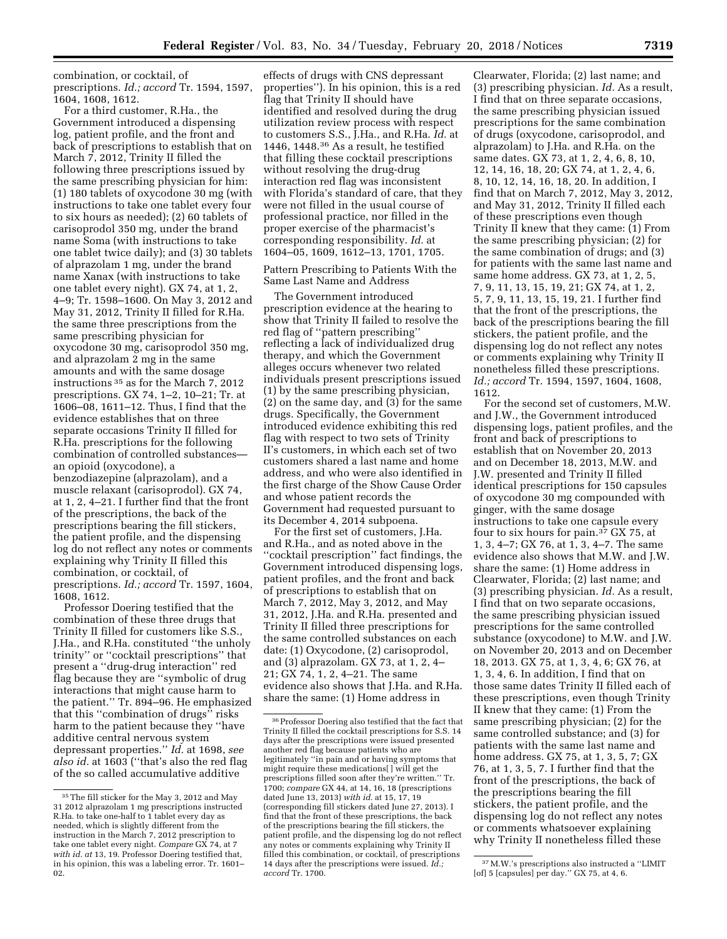combination, or cocktail, of prescriptions. *Id.; accord* Tr. 1594, 1597, 1604, 1608, 1612.

For a third customer, R.Ha., the Government introduced a dispensing log, patient profile, and the front and back of prescriptions to establish that on March 7, 2012, Trinity II filled the following three prescriptions issued by the same prescribing physician for him: (1) 180 tablets of oxycodone 30 mg (with instructions to take one tablet every four to six hours as needed); (2) 60 tablets of carisoprodol 350 mg, under the brand name Soma (with instructions to take one tablet twice daily); and (3) 30 tablets of alprazolam 1 mg, under the brand name Xanax (with instructions to take one tablet every night). GX 74, at 1, 2, 4–9; Tr. 1598–1600. On May 3, 2012 and May 31, 2012, Trinity II filled for R.Ha. the same three prescriptions from the same prescribing physician for oxycodone 30 mg, carisoprodol 350 mg, and alprazolam 2 mg in the same amounts and with the same dosage instructions 35 as for the March 7, 2012 prescriptions. GX 74, 1–2, 10–21; Tr. at 1606–08, 1611–12. Thus, I find that the evidence establishes that on three separate occasions Trinity II filled for R.Ha. prescriptions for the following combination of controlled substances an opioid (oxycodone), a benzodiazepine (alprazolam), and a muscle relaxant (carisoprodol). GX 74, at 1, 2, 4–21. I further find that the front of the prescriptions, the back of the prescriptions bearing the fill stickers, the patient profile, and the dispensing log do not reflect any notes or comments explaining why Trinity II filled this combination, or cocktail, of prescriptions. *Id.; accord* Tr. 1597, 1604, 1608, 1612.

Professor Doering testified that the combination of these three drugs that Trinity II filled for customers like S.S., J.Ha., and R.Ha. constituted ''the unholy trinity'' or ''cocktail prescriptions'' that present a ''drug-drug interaction'' red flag because they are ''symbolic of drug interactions that might cause harm to the patient.'' Tr. 894–96. He emphasized that this ''combination of drugs'' risks harm to the patient because they ''have additive central nervous system depressant properties.'' *Id.* at 1698, *see also id.* at 1603 (''that's also the red flag of the so called accumulative additive

effects of drugs with CNS depressant properties''). In his opinion, this is a red flag that Trinity II should have identified and resolved during the drug utilization review process with respect to customers S.S., J.Ha., and R.Ha. *Id.* at 1446, 1448.36 As a result, he testified that filling these cocktail prescriptions without resolving the drug-drug interaction red flag was inconsistent with Florida's standard of care, that they were not filled in the usual course of professional practice, nor filled in the proper exercise of the pharmacist's corresponding responsibility. *Id.* at 1604–05, 1609, 1612–13, 1701, 1705.

Pattern Prescribing to Patients With the Same Last Name and Address

The Government introduced prescription evidence at the hearing to show that Trinity II failed to resolve the red flag of ''pattern prescribing'' reflecting a lack of individualized drug therapy, and which the Government alleges occurs whenever two related individuals present prescriptions issued (1) by the same prescribing physician, (2) on the same day, and (3) for the same drugs. Specifically, the Government introduced evidence exhibiting this red flag with respect to two sets of Trinity II's customers, in which each set of two customers shared a last name and home address, and who were also identified in the first charge of the Show Cause Order and whose patient records the Government had requested pursuant to its December 4, 2014 subpoena.

For the first set of customers, J.Ha. and R.Ha., and as noted above in the ''cocktail prescription'' fact findings, the Government introduced dispensing logs, patient profiles, and the front and back of prescriptions to establish that on March 7, 2012, May 3, 2012, and May 31, 2012, J.Ha. and R.Ha. presented and Trinity II filled three prescriptions for the same controlled substances on each date: (1) Oxycodone, (2) carisoprodol, and (3) alprazolam. GX 73, at 1, 2, 4– 21; GX 74, 1, 2, 4–21. The same evidence also shows that J.Ha. and R.Ha. share the same: (1) Home address in

Clearwater, Florida; (2) last name; and (3) prescribing physician. *Id.* As a result, I find that on three separate occasions, the same prescribing physician issued prescriptions for the same combination of drugs (oxycodone, carisoprodol, and alprazolam) to J.Ha. and R.Ha. on the same dates. GX 73, at 1, 2, 4, 6, 8, 10, 12, 14, 16, 18, 20; GX 74, at 1, 2, 4, 6, 8, 10, 12, 14, 16, 18, 20. In addition, I find that on March 7, 2012, May 3, 2012, and May 31, 2012, Trinity II filled each of these prescriptions even though Trinity II knew that they came: (1) From the same prescribing physician; (2) for the same combination of drugs; and (3) for patients with the same last name and same home address. GX 73, at 1, 2, 5, 7, 9, 11, 13, 15, 19, 21; GX 74, at 1, 2, 5, 7, 9, 11, 13, 15, 19, 21. I further find that the front of the prescriptions, the back of the prescriptions bearing the fill stickers, the patient profile, and the dispensing log do not reflect any notes or comments explaining why Trinity II nonetheless filled these prescriptions. *Id.; accord* Tr. 1594, 1597, 1604, 1608, 1612.

For the second set of customers, M.W. and J.W., the Government introduced dispensing logs, patient profiles, and the front and back of prescriptions to establish that on November 20, 2013 and on December 18, 2013, M.W. and J.W. presented and Trinity II filled identical prescriptions for 150 capsules of oxycodone 30 mg compounded with ginger, with the same dosage instructions to take one capsule every four to six hours for pain.37 GX 75, at 1, 3, 4–7; GX 76, at 1, 3, 4–7. The same evidence also shows that M.W. and J.W. share the same: (1) Home address in Clearwater, Florida; (2) last name; and (3) prescribing physician. *Id.* As a result, I find that on two separate occasions, the same prescribing physician issued prescriptions for the same controlled substance (oxycodone) to M.W. and J.W. on November 20, 2013 and on December 18, 2013. GX 75, at 1, 3, 4, 6; GX 76, at 1, 3, 4, 6. In addition, I find that on those same dates Trinity II filled each of these prescriptions, even though Trinity II knew that they came: (1) From the same prescribing physician; (2) for the same controlled substance; and (3) for patients with the same last name and home address. GX 75, at 1, 3, 5, 7; GX 76, at 1, 3, 5, 7. I further find that the front of the prescriptions, the back of the prescriptions bearing the fill stickers, the patient profile, and the dispensing log do not reflect any notes or comments whatsoever explaining why Trinity II nonetheless filled these

<sup>35</sup>The fill sticker for the May 3, 2012 and May 31 2012 alprazolam 1 mg prescriptions instructed R.Ha. to take one-half to 1 tablet every day as needed, which is slightly different from the instruction in the March 7, 2012 prescription to take one tablet every night. *Compare* GX 74, at 7 *with id. at* 13, 19. Professor Doering testified that, in his opinion, this was a labeling error. Tr. 1601– 02.

 $^{\rm 36}$  Professor Doering also testified that the fact that Trinity II filled the cocktail prescriptions for S.S. 14 days after the prescriptions were issued presented another red flag because patients who are legitimately ''in pain and or having symptoms that might require these medications[ ] will get the prescriptions filled soon after they're written.'' Tr. 1700; *compare* GX 44, at 14, 16, 18 (prescriptions dated June 13, 2013) *with id.* at 15, 17, 19 (corresponding fill stickers dated June 27, 2013). I find that the front of these prescriptions, the back of the prescriptions bearing the fill stickers, the patient profile, and the dispensing log do not reflect any notes or comments explaining why Trinity II filled this combination, or cocktail, of prescriptions 14 days after the prescriptions were issued. *Id.; accord* Tr. 1700.

<sup>37</sup>M.W.'s prescriptions also instructed a ''LIMIT [of] 5 [capsules] per day.'' GX 75, at 4, 6.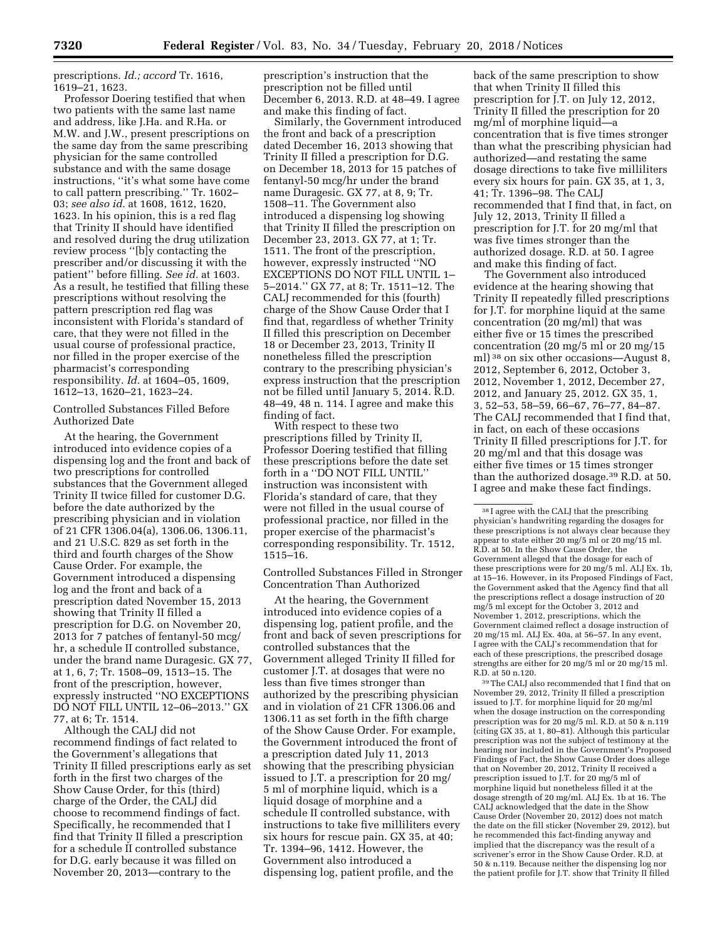prescriptions. *Id.; accord* Tr. 1616, 1619–21, 1623.

Professor Doering testified that when two patients with the same last name and address, like J.Ha. and R.Ha. or M.W. and J.W., present prescriptions on the same day from the same prescribing physician for the same controlled substance and with the same dosage instructions, ''it's what some have come to call pattern prescribing.'' Tr. 1602– 03; *see also id.* at 1608, 1612, 1620, 1623. In his opinion, this is a red flag that Trinity II should have identified and resolved during the drug utilization review process ''[b]y contacting the prescriber and/or discussing it with the patient'' before filling. *See id.* at 1603. As a result, he testified that filling these prescriptions without resolving the pattern prescription red flag was inconsistent with Florida's standard of care, that they were not filled in the usual course of professional practice, nor filled in the proper exercise of the pharmacist's corresponding responsibility. *Id.* at 1604–05, 1609, 1612–13, 1620–21, 1623–24.

# Controlled Substances Filled Before Authorized Date

At the hearing, the Government introduced into evidence copies of a dispensing log and the front and back of two prescriptions for controlled substances that the Government alleged Trinity II twice filled for customer D.G. before the date authorized by the prescribing physician and in violation of 21 CFR 1306.04(a), 1306.06, 1306.11, and 21 U.S.C. 829 as set forth in the third and fourth charges of the Show Cause Order. For example, the Government introduced a dispensing log and the front and back of a prescription dated November 15, 2013 showing that Trinity II filled a prescription for D.G. on November 20, 2013 for 7 patches of fentanyl-50 mcg/ hr, a schedule II controlled substance, under the brand name Duragesic. GX 77, at 1, 6, 7; Tr. 1508–09, 1513–15. The front of the prescription, however, expressly instructed ''NO EXCEPTIONS DO NOT FILL UNTIL 12–06–2013.'' GX 77, at 6; Tr. 1514.

Although the CALJ did not recommend findings of fact related to the Government's allegations that Trinity II filled prescriptions early as set forth in the first two charges of the Show Cause Order, for this (third) charge of the Order, the CALJ did choose to recommend findings of fact. Specifically, he recommended that I find that Trinity II filled a prescription for a schedule II controlled substance for D.G. early because it was filled on November 20, 2013—contrary to the

prescription's instruction that the prescription not be filled until December 6, 2013. R.D. at 48–49. I agree and make this finding of fact.

Similarly, the Government introduced the front and back of a prescription dated December 16, 2013 showing that Trinity II filled a prescription for D.G. on December 18, 2013 for 15 patches of fentanyl-50 mcg/hr under the brand name Duragesic. GX 77, at 8, 9; Tr. 1508–11. The Government also introduced a dispensing log showing that Trinity II filled the prescription on December 23, 2013. GX 77, at 1; Tr. 1511. The front of the prescription, however, expressly instructed ''NO EXCEPTIONS DO NOT FILL UNTIL 1– 5–2014.'' GX 77, at 8; Tr. 1511–12. The CALJ recommended for this (fourth) charge of the Show Cause Order that I find that, regardless of whether Trinity II filled this prescription on December 18 or December 23, 2013, Trinity II nonetheless filled the prescription contrary to the prescribing physician's express instruction that the prescription not be filled until January 5, 2014. R.D. 48–49, 48 n. 114. I agree and make this finding of fact.

With respect to these two prescriptions filled by Trinity II, Professor Doering testified that filling these prescriptions before the date set forth in a ''DO NOT FILL UNTIL'' instruction was inconsistent with Florida's standard of care, that they were not filled in the usual course of professional practice, nor filled in the proper exercise of the pharmacist's corresponding responsibility. Tr. 1512, 1515–16.

Controlled Substances Filled in Stronger Concentration Than Authorized

At the hearing, the Government introduced into evidence copies of a dispensing log, patient profile, and the front and back of seven prescriptions for controlled substances that the Government alleged Trinity II filled for customer J.T. at dosages that were no less than five times stronger than authorized by the prescribing physician and in violation of 21 CFR 1306.06 and 1306.11 as set forth in the fifth charge of the Show Cause Order. For example, the Government introduced the front of a prescription dated July 11, 2013 showing that the prescribing physician issued to J.T. a prescription for 20 mg/ 5 ml of morphine liquid, which is a liquid dosage of morphine and a schedule II controlled substance, with instructions to take five milliliters every six hours for rescue pain. GX 35, at 40; Tr. 1394–96, 1412. However, the Government also introduced a dispensing log, patient profile, and the

back of the same prescription to show that when Trinity II filled this prescription for J.T. on July 12, 2012, Trinity II filled the prescription for 20 mg/ml of morphine liquid—a concentration that is five times stronger than what the prescribing physician had authorized—and restating the same dosage directions to take five milliliters every six hours for pain. GX 35, at 1, 3, 41; Tr. 1396–98. The CALJ recommended that I find that, in fact, on July 12, 2013, Trinity II filled a prescription for J.T. for 20 mg/ml that was five times stronger than the authorized dosage. R.D. at 50. I agree and make this finding of fact.

The Government also introduced evidence at the hearing showing that Trinity II repeatedly filled prescriptions for J.T. for morphine liquid at the same concentration (20 mg/ml) that was either five or 15 times the prescribed concentration (20 mg/5 ml or 20 mg/15 ml) 38 on six other occasions—August 8, 2012, September 6, 2012, October 3, 2012, November 1, 2012, December 27, 2012, and January 25, 2012. GX 35, 1, 3, 52–53, 58–59, 66–67, 76–77, 84–87. The CALJ recommended that I find that, in fact, on each of these occasions Trinity II filled prescriptions for J.T. for 20 mg/ml and that this dosage was either five times or 15 times stronger than the authorized dosage.39 R.D. at 50. I agree and make these fact findings.

39The CALJ also recommended that I find that on November 29, 2012, Trinity II filled a prescription issued to J.T. for morphine liquid for 20 mg/ml when the dosage instruction on the corresponding prescription was for 20 mg/5 ml. R.D. at 50 & n.119 (citing GX 35, at 1, 80–81). Although this particular prescription was not the subject of testimony at the hearing nor included in the Government's Proposed Findings of Fact, the Show Cause Order does allege that on November 20, 2012, Trinity II received a prescription issued to J.T. for 20 mg/5 ml of morphine liquid but nonetheless filled it at the dosage strength of 20 mg/ml. ALJ Ex. 1b at 16. The CALJ acknowledged that the date in the Show Cause Order (November 20, 2012) does not match the date on the fill sticker (November 29, 2012), but he recommended this fact-finding anyway and implied that the discrepancy was the result of a scrivener's error in the Show Cause Order. R.D. at 50 & n.119. Because neither the dispensing log nor the patient profile for J.T. show that Trinity II filled

 $^{38}\mathrm{I}$  agree with the CALJ that the prescribing physician's handwriting regarding the dosages for these prescriptions is not always clear because they appear to state either 20 mg/5 ml or 20 mg/15 ml. R.D. at 50. In the Show Cause Order, the Government alleged that the dosage for each of these prescriptions were for 20 mg/5 ml. ALJ Ex. 1b, at 15–16. However, in its Proposed Findings of Fact, the Government asked that the Agency find that all the prescriptions reflect a dosage instruction of 20 mg/5 ml except for the October 3, 2012 and November 1, 2012, prescriptions, which the Government claimed reflect a dosage instruction of 20 mg/15 ml. ALJ Ex. 40a, at 56–57. In any event, I agree with the CALJ's recommendation that for each of these prescriptions, the prescribed dosage strengths are either for 20 mg/5 ml or 20 mg/15 ml. R.D. at 50 n.120.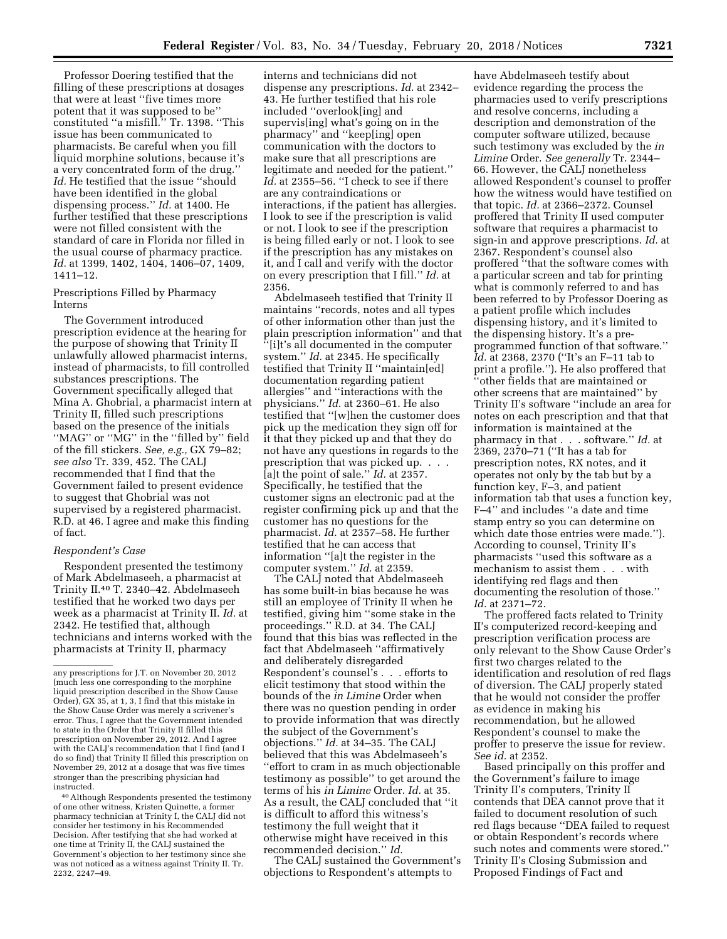Professor Doering testified that the filling of these prescriptions at dosages that were at least ''five times more potent that it was supposed to be'' constituted ''a misfill.'' Tr. 1398. ''This issue has been communicated to pharmacists. Be careful when you fill liquid morphine solutions, because it's a very concentrated form of the drug.'' *Id.* He testified that the issue ''should have been identified in the global dispensing process.'' *Id.* at 1400. He further testified that these prescriptions were not filled consistent with the standard of care in Florida nor filled in the usual course of pharmacy practice. *Id.* at 1399, 1402, 1404, 1406–07, 1409, 1411–12.

Prescriptions Filled by Pharmacy Interns

The Government introduced prescription evidence at the hearing for the purpose of showing that Trinity II unlawfully allowed pharmacist interns, instead of pharmacists, to fill controlled substances prescriptions. The Government specifically alleged that Mina A. Ghobrial, a pharmacist intern at Trinity II, filled such prescriptions based on the presence of the initials ''MAG'' or ''MG'' in the ''filled by'' field of the fill stickers. *See, e.g.,* GX 79–82; *see also* Tr. 339, 452. The CALJ recommended that I find that the Government failed to present evidence to suggest that Ghobrial was not supervised by a registered pharmacist. R.D. at 46. I agree and make this finding of fact.

#### *Respondent's Case*

Respondent presented the testimony of Mark Abdelmaseeh, a pharmacist at Trinity II.40 T. 2340–42. Abdelmaseeh testified that he worked two days per week as a pharmacist at Trinity II. *Id.* at 2342. He testified that, although technicians and interns worked with the pharmacists at Trinity II, pharmacy

40Although Respondents presented the testimony of one other witness, Kristen Quinette, a former pharmacy technician at Trinity I, the CALJ did not consider her testimony in his Recommended Decision. After testifying that she had worked at one time at Trinity II, the CALJ sustained the Government's objection to her testimony since she was not noticed as a witness against Trinity II. Tr. 2232, 2247–49.

interns and technicians did not dispense any prescriptions. *Id.* at 2342– 43. He further testified that his role included ''overlook[ing] and supervis[ing] what's going on in the pharmacy'' and ''keep[ing] open communication with the doctors to make sure that all prescriptions are legitimate and needed for the patient.'' *Id.* at 2355–56. ''I check to see if there are any contraindications or interactions, if the patient has allergies. I look to see if the prescription is valid or not. I look to see if the prescription is being filled early or not. I look to see if the prescription has any mistakes on it, and I call and verify with the doctor on every prescription that I fill.'' *Id.* at 2356.

Abdelmaseeh testified that Trinity II maintains ''records, notes and all types of other information other than just the plain prescription information'' and that ''[i]t's all documented in the computer system.'' *Id.* at 2345. He specifically testified that Trinity II ''maintain[ed] documentation regarding patient allergies'' and ''interactions with the physicians.'' *Id.* at 2360–61. He also testified that ''[w]hen the customer does pick up the medication they sign off for it that they picked up and that they do not have any questions in regards to the prescription that was picked up. . . . [a]t the point of sale.'' *Id.* at 2357. Specifically, he testified that the customer signs an electronic pad at the register confirming pick up and that the customer has no questions for the pharmacist. *Id.* at 2357–58. He further testified that he can access that information ''[a]t the register in the computer system.'' *Id.* at 2359.

The CALJ noted that Abdelmaseeh has some built-in bias because he was still an employee of Trinity II when he testified, giving him ''some stake in the proceedings.'' R.D. at 34. The CALJ found that this bias was reflected in the fact that Abdelmaseeh ''affirmatively and deliberately disregarded Respondent's counsel's . . . efforts to elicit testimony that stood within the bounds of the *in Limine* Order when there was no question pending in order to provide information that was directly the subject of the Government's objections.'' *Id.* at 34–35. The CALJ believed that this was Abdelmaseeh's ''effort to cram in as much objectionable testimony as possible'' to get around the terms of his *in Limine* Order. *Id.* at 35. As a result, the CALJ concluded that ''it is difficult to afford this witness's testimony the full weight that it otherwise might have received in this recommended decision.'' *Id.* 

The CALJ sustained the Government's objections to Respondent's attempts to

have Abdelmaseeh testify about evidence regarding the process the pharmacies used to verify prescriptions and resolve concerns, including a description and demonstration of the computer software utilized, because such testimony was excluded by the *in Limine* Order. *See generally* Tr. 2344– 66. However, the CALJ nonetheless allowed Respondent's counsel to proffer how the witness would have testified on that topic. *Id.* at 2366–2372. Counsel proffered that Trinity II used computer software that requires a pharmacist to sign-in and approve prescriptions. *Id.* at 2367. Respondent's counsel also proffered ''that the software comes with a particular screen and tab for printing what is commonly referred to and has been referred to by Professor Doering as a patient profile which includes dispensing history, and it's limited to the dispensing history. It's a preprogrammed function of that software.'' *Id.* at 2368, 2370 (''It's an F–11 tab to print a profile.''). He also proffered that ''other fields that are maintained or other screens that are maintained'' by Trinity II's software ''include an area for notes on each prescription and that that information is maintained at the pharmacy in that . . . software.'' *Id.* at 2369, 2370–71 (''It has a tab for prescription notes, RX notes, and it operates not only by the tab but by a function key, F–3, and patient information tab that uses a function key, F–4'' and includes ''a date and time stamp entry so you can determine on which date those entries were made.''). According to counsel, Trinity II's pharmacists ''used this software as a mechanism to assist them . . . with identifying red flags and then documenting the resolution of those.'' *Id.* at 2371–72.

The proffered facts related to Trinity II's computerized record-keeping and prescription verification process are only relevant to the Show Cause Order's first two charges related to the identification and resolution of red flags of diversion. The CALJ properly stated that he would not consider the proffer as evidence in making his recommendation, but he allowed Respondent's counsel to make the proffer to preserve the issue for review. *See id.* at 2352.

Based principally on this proffer and the Government's failure to image Trinity II's computers, Trinity II contends that DEA cannot prove that it failed to document resolution of such red flags because ''DEA failed to request or obtain Respondent's records where such notes and comments were stored.'' Trinity II's Closing Submission and Proposed Findings of Fact and

any prescriptions for J.T. on November 20, 2012 (much less one corresponding to the morphine liquid prescription described in the Show Cause Order), GX 35, at 1, 3, I find that this mistake in the Show Cause Order was merely a scrivener's error. Thus, I agree that the Government intended to state in the Order that Trinity II filled this prescription on November 29, 2012. And I agree with the CALJ's recommendation that I find (and I do so find) that Trinity II filled this prescription on November 29, 2012 at a dosage that was five times stronger than the prescribing physician had instructed.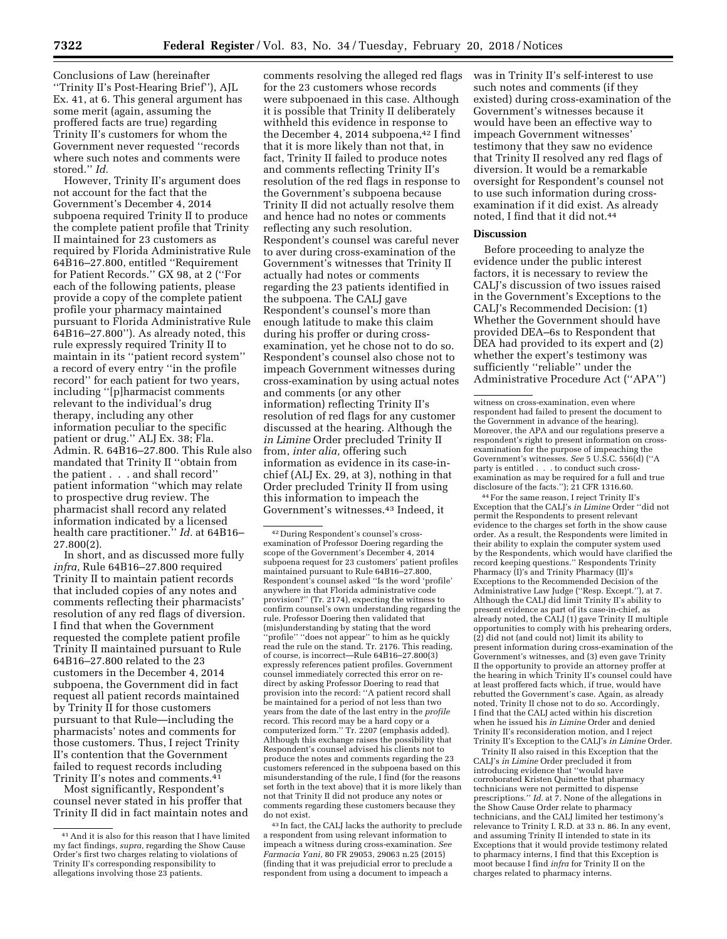Conclusions of Law (hereinafter ''Trinity II's Post-Hearing Brief''), AJL Ex. 41, at 6. This general argument has some merit (again, assuming the proffered facts are true) regarding Trinity II's customers for whom the Government never requested ''records where such notes and comments were stored.'' *Id.* 

However, Trinity II's argument does not account for the fact that the Government's December 4, 2014 subpoena required Trinity II to produce the complete patient profile that Trinity II maintained for 23 customers as required by Florida Administrative Rule 64B16–27.800, entitled ''Requirement for Patient Records.'' GX 98, at 2 (''For each of the following patients, please provide a copy of the complete patient profile your pharmacy maintained pursuant to Florida Administrative Rule 64B16–27.800''). As already noted, this rule expressly required Trinity II to maintain in its ''patient record system'' a record of every entry ''in the profile record'' for each patient for two years, including ''[p]harmacist comments relevant to the individual's drug therapy, including any other information peculiar to the specific patient or drug.'' ALJ Ex. 38; Fla. Admin. R. 64B16–27.800. This Rule also mandated that Trinity II ''obtain from the patient . . . and shall record'' patient information ''which may relate to prospective drug review. The pharmacist shall record any related information indicated by a licensed health care practitioner.'' *Id.* at 64B16– 27.800(2).

In short, and as discussed more fully *infra,* Rule 64B16–27.800 required Trinity II to maintain patient records that included copies of any notes and comments reflecting their pharmacists' resolution of any red flags of diversion. I find that when the Government requested the complete patient profile Trinity II maintained pursuant to Rule 64B16–27.800 related to the 23 customers in the December 4, 2014 subpoena, the Government did in fact request all patient records maintained by Trinity II for those customers pursuant to that Rule—including the pharmacists' notes and comments for those customers. Thus, I reject Trinity II's contention that the Government failed to request records including Trinity II's notes and comments.41

Most significantly, Respondent's counsel never stated in his proffer that Trinity II did in fact maintain notes and

comments resolving the alleged red flags for the 23 customers whose records were subpoenaed in this case. Although it is possible that Trinity II deliberately withheld this evidence in response to the December 4, 2014 subpoena,<sup>42</sup> I find that it is more likely than not that, in fact, Trinity II failed to produce notes and comments reflecting Trinity II's resolution of the red flags in response to the Government's subpoena because Trinity II did not actually resolve them and hence had no notes or comments reflecting any such resolution. Respondent's counsel was careful never to aver during cross-examination of the Government's witnesses that Trinity II actually had notes or comments regarding the 23 patients identified in the subpoena. The CALJ gave Respondent's counsel's more than enough latitude to make this claim during his proffer or during crossexamination, yet he chose not to do so. Respondent's counsel also chose not to impeach Government witnesses during cross-examination by using actual notes and comments (or any other information) reflecting Trinity II's resolution of red flags for any customer discussed at the hearing. Although the *in Limine* Order precluded Trinity II from, *inter alia,* offering such information as evidence in its case-inchief (ALJ Ex. 29, at 3), nothing in that Order precluded Trinity II from using this information to impeach the Government's witnesses.43 Indeed, it

42 During Respondent's counsel's crossexamination of Professor Doering regarding the scope of the Government's December 4, 2014 subpoena request for 23 customers' patient profiles maintained pursuant to Rule 64B16–27.800, Respondent's counsel asked ''Is the word 'profile' anywhere in that Florida administrative code provision?'' (Tr. 2174), expecting the witness to confirm counsel's own understanding regarding the rule. Professor Doering then validated that (mis)understanding by stating that the word "profile" "does not appear" to him as he quickly read the rule on the stand. Tr. 2176. This reading, of course, is incorrect—Rule 64B16–27.800(3) expressly references patient profiles. Government counsel immediately corrected this error on redirect by asking Professor Doering to read that provision into the record: ''A patient record shall be maintained for a period of not less than two years from the date of the last entry in the *profile*  record. This record may be a hard copy or a computerized form.'' Tr. 2207 (emphasis added). Although this exchange raises the possibility that Respondent's counsel advised his clients not to produce the notes and comments regarding the 23 customers referenced in the subpoena based on this misunderstanding of the rule, I find (for the reasons set forth in the text above) that it is more likely than not that Trinity II did not produce any notes or comments regarding these customers because they do not exist.

43 In fact, the CALJ lacks the authority to preclude a respondent from using relevant information to impeach a witness during cross-examination. *See Farmacia Yani,* 80 FR 29053, 29063 n.25 (2015) (finding that it was prejudicial error to preclude a respondent from using a document to impeach a

was in Trinity II's self-interest to use such notes and comments (if they existed) during cross-examination of the Government's witnesses because it would have been an effective way to impeach Government witnesses' testimony that they saw no evidence that Trinity II resolved any red flags of diversion. It would be a remarkable oversight for Respondent's counsel not to use such information during crossexamination if it did exist. As already noted, I find that it did not.44

#### **Discussion**

Before proceeding to analyze the evidence under the public interest factors, it is necessary to review the CALJ's discussion of two issues raised in the Government's Exceptions to the CALJ's Recommended Decision: (1) Whether the Government should have provided DEA–6s to Respondent that DEA had provided to its expert and  $(2)$ whether the expert's testimony was sufficiently ''reliable'' under the Administrative Procedure Act (''APA'')

44For the same reason, I reject Trinity II's Exception that the CALJ's *in Limine* Order ''did not permit the Respondents to present relevant evidence to the charges set forth in the show cause order. As a result, the Respondents were limited in their ability to explain the computer system used by the Respondents, which would have clarified the record keeping questions.'' Respondents Trinity Pharmacy (I)'s and Trinity Pharmacy (II)'s Exceptions to the Recommended Decision of the Administrative Law Judge (''Resp. Except.''), at 7. Although the CALJ did limit Trinity II's ability to present evidence as part of its case-in-chief, as already noted, the CALJ (1) gave Trinity II multiple opportunities to comply with his prehearing orders, (2) did not (and could not) limit its ability to present information during cross-examination of the Government's witnesses, and (3) even gave Trinity II the opportunity to provide an attorney proffer at the hearing in which Trinity II's counsel could have at least proffered facts which, if true, would have rebutted the Government's case. Again, as already noted, Trinity II chose not to do so. Accordingly, I find that the CALJ acted within his discretion when he issued his *in Limine* Order and denied Trinity II's reconsideration motion, and I reject Trinity II's Exception to the CALJ's *in Limine* Order.

Trinity II also raised in this Exception that the CALJ's *in Limine* Order precluded it from introducing evidence that ''would have corroborated Kristen Quinette that pharmacy technicians were not permitted to dispense prescriptions.'' *Id.* at 7. None of the allegations in the Show Cause Order relate to pharmacy technicians, and the CALJ limited her testimony's relevance to Trinity I. R.D. at 33 n. 86. In any event, and assuming Trinity II intended to state in its Exceptions that it would provide testimony related to pharmacy interns, I find that this Exception is moot because I find *infra* for Trinity II on the charges related to pharmacy interns.

<sup>41</sup>And it is also for this reason that I have limited my fact findings, *supra,* regarding the Show Cause Order's first two charges relating to violations of Trinity II's corresponding responsibility to allegations involving those 23 patients.

witness on cross-examination, even where respondent had failed to present the document to the Government in advance of the hearing). Moreover, the APA and our regulations preserve a respondent's right to present information on crossexamination for the purpose of impeaching the Government's witnesses. *See* 5 U.S.C. 556(d) (''A party is entitled . . . to conduct such crossexamination as may be required for a full and true disclosure of the facts.''); 21 CFR 1316.60.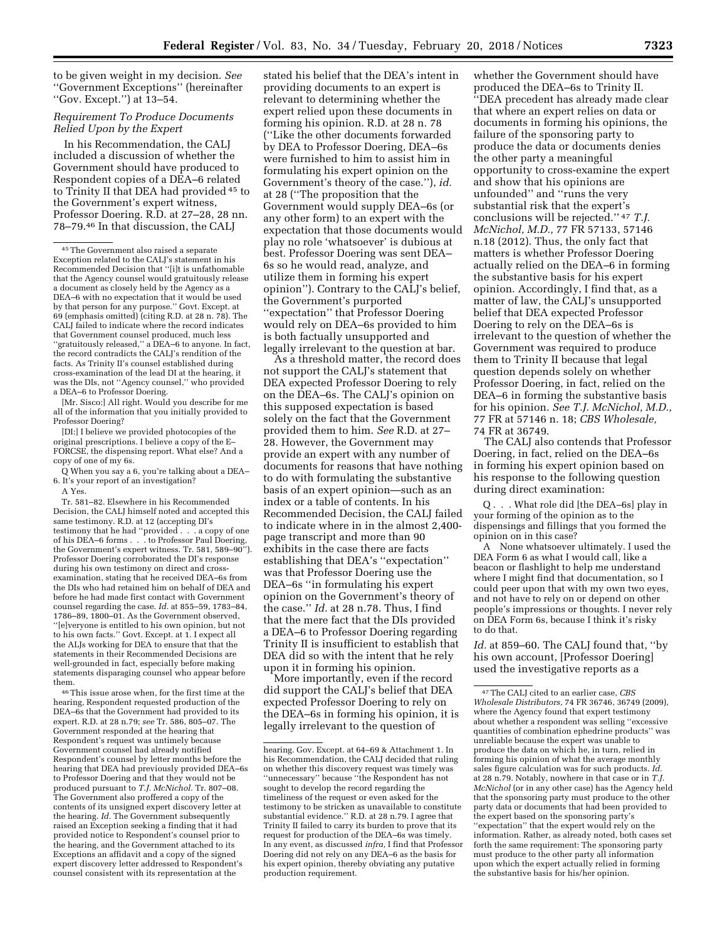to be given weight in my decision. *See*  ''Government Exceptions'' (hereinafter ''Gov. Except.'') at 13–54.

# *Requirement To Produce Documents Relied Upon by the Expert*

In his Recommendation, the CALJ included a discussion of whether the Government should have produced to Respondent copies of a DEA–6 related to Trinity II that DEA had provided 45 to the Government's expert witness, Professor Doering. R.D. at 27–28, 28 nn. 78–79.46 In that discussion, the CALJ

[Mr. Sisco:] All right. Would you describe for me all of the information that you initially provided to Professor Doering?

[DI:] I believe we provided photocopies of the original prescriptions. I believe a copy of the E– FORCSE, the dispensing report. What else? And a copy of one of my 6s.

Q When you say a 6, you're talking about a DEA– 6. It's your report of an investigation?

A Yes.

Tr. 581–82. Elsewhere in his Recommended Decision, the CALJ himself noted and accepted this same testimony. R.D. at 12 (accepting DI's testimony that he had ''provided . . . a copy of one of his DEA–6 forms . . . to Professor Paul Doering, the Government's expert witness. Tr. 581, 589–90''). Professor Doering corroborated the DI's response during his own testimony on direct and crossexamination, stating that he received DEA–6s from the DIs who had retained him on behalf of DEA and before he had made first contact with Government counsel regarding the case. *Id.* at 855–59, 1783–84, 1786–89, 1800–01. As the Government observed, ''[e]veryone is entitled to his own opinion, but not to his own facts.'' Govt. Except. at 1. I expect all the ALJs working for DEA to ensure that that the statements in their Recommended Decisions are well-grounded in fact, especially before making statements disparaging counsel who appear before them.

 $^{\rm 46}$  This issue arose when, for the first time at the hearing, Respondent requested production of the DEA–6s that the Government had provided to its expert. R.D. at 28 n.79; *see* Tr. 586, 805–07. The Government responded at the hearing that Respondent's request was untimely because Government counsel had already notified Respondent's counsel by letter months before the hearing that DEA had previously provided DEA–6s to Professor Doering and that they would not be produced pursuant to *T.J. McNichol.* Tr. 807–08. The Government also proffered a copy of the contents of its unsigned expert discovery letter at the hearing. *Id.* The Government subsequently raised an Exception seeking a finding that it had provided notice to Respondent's counsel prior to the hearing, and the Government attached to its Exceptions an affidavit and a copy of the signed expert discovery letter addressed to Respondent's counsel consistent with its representation at the

stated his belief that the DEA's intent in providing documents to an expert is relevant to determining whether the expert relied upon these documents in forming his opinion. R.D. at 28 n. 78 (''Like the other documents forwarded by DEA to Professor Doering, DEA–6s were furnished to him to assist him in formulating his expert opinion on the Government's theory of the case.''), *id.*  at 28 (''The proposition that the Government would supply DEA–6s (or any other form) to an expert with the expectation that those documents would play no role 'whatsoever' is dubious at best. Professor Doering was sent DEA– 6s so he would read, analyze, and utilize them in forming his expert opinion''). Contrary to the CALJ's belief, the Government's purported ''expectation'' that Professor Doering would rely on DEA–6s provided to him is both factually unsupported and legally irrelevant to the question at bar.

As a threshold matter, the record does not support the CALJ's statement that DEA expected Professor Doering to rely on the DEA–6s. The CALJ's opinion on this supposed expectation is based solely on the fact that the Government provided them to him. *See* R.D. at 27– 28. However, the Government may provide an expert with any number of documents for reasons that have nothing to do with formulating the substantive basis of an expert opinion—such as an index or a table of contents. In his Recommended Decision, the CALJ failed to indicate where in in the almost 2,400 page transcript and more than 90 exhibits in the case there are facts establishing that DEA's ''expectation'' was that Professor Doering use the DEA–6s ''in formulating his expert opinion on the Government's theory of the case.'' *Id.* at 28 n.78. Thus, I find that the mere fact that the DIs provided a DEA–6 to Professor Doering regarding Trinity II is insufficient to establish that DEA did so with the intent that he rely upon it in forming his opinion.

More importantly, even if the record did support the CALJ's belief that DEA expected Professor Doering to rely on the DEA–6s in forming his opinion, it is legally irrelevant to the question of

whether the Government should have produced the DEA–6s to Trinity II. ''DEA precedent has already made clear that where an expert relies on data or documents in forming his opinions, the failure of the sponsoring party to produce the data or documents denies the other party a meaningful opportunity to cross-examine the expert and show that his opinions are unfounded'' and ''runs the very substantial risk that the expert's conclusions will be rejected.'' 47 *T.J. McNichol, M.D.,* 77 FR 57133, 57146 n.18 (2012). Thus, the only fact that matters is whether Professor Doering actually relied on the DEA–6 in forming the substantive basis for his expert opinion. Accordingly, I find that, as a matter of law, the CALJ's unsupported belief that DEA expected Professor Doering to rely on the DEA–6s is irrelevant to the question of whether the Government was required to produce them to Trinity II because that legal question depends solely on whether Professor Doering, in fact, relied on the DEA–6 in forming the substantive basis for his opinion. *See T.J. McNichol, M.D.,*  77 FR at 57146 n. 18; *CBS Wholesale,*  74 FR at 36749.

The CALJ also contends that Professor Doering, in fact, relied on the DEA–6s in forming his expert opinion based on his response to the following question during direct examination:

Q . . . What role did [the DEA–6s] play in your forming of the opinion as to the dispensings and fillings that you formed the opinion on in this case?

A None whatsoever ultimately. I used the DEA Form 6 as what I would call, like a beacon or flashlight to help me understand where I might find that documentation, so I could peer upon that with my own two eyes, and not have to rely on or depend on other people's impressions or thoughts. I never rely on DEA Form 6s, because I think it's risky to do that.

*Id.* at 859–60. The CALJ found that, ''by his own account, [Professor Doering] used the investigative reports as a

<sup>45</sup>The Government also raised a separate Exception related to the CALJ's statement in his Recommended Decision that ''[i]t is unfathomable that the Agency counsel would gratuitously release a document as closely held by the Agency as a DEA–6 with no expectation that it would be used by that person for any purpose.'' Govt. Except. at 69 (emphasis omitted) (citing R.D. at 28 n. 78). The CALJ failed to indicate where the record indicates that Government counsel produced, much less 'gratuitously released," a DEA–6 to anyone. In fact, the record contradicts the CALJ's rendition of the facts. As Trinity II's counsel established during cross-examination of the lead DI at the hearing, it was the DIs, not ''Agency counsel,'' who provided a DEA–6 to Professor Doering.

hearing. Gov. Except. at 64–69 & Attachment 1. In his Recommendation, the CALJ decided that ruling on whether this discovery request was timely was ''unnecessary'' because ''the Respondent has not sought to develop the record regarding the timeliness of the request or even asked for the testimony to be stricken as unavailable to constitute substantial evidence.'' R.D. at 28 n.79. I agree that Trinity II failed to carry its burden to prove that its request for production of the DEA–6s was timely. In any event, as discussed *infra,* I find that Professor Doering did not rely on any DEA–6 as the basis for his expert opinion, thereby obviating any putative production requirement.

<sup>47</sup>The CALJ cited to an earlier case, *CBS Wholesale Distributors,* 74 FR 36746, 36749 (2009), where the Agency found that expert testimony about whether a respondent was selling ''excessive quantities of combination ephedrine products'' was unreliable because the expert was unable to produce the data on which he, in turn, relied in forming his opinion of what the average monthly sales figure calculation was for such products. *Id.*  at 28 n.79. Notably, nowhere in that case or in *T.J. McNichol* (or in any other case) has the Agency held that the sponsoring party must produce to the other party data or documents that had been provided to the expert based on the sponsoring party's "expectation" that the expert would rely on the information. Rather, as already noted, both cases set forth the same requirement: The sponsoring party must produce to the other party all information upon which the expert actually relied in forming the substantive basis for his/her opinion.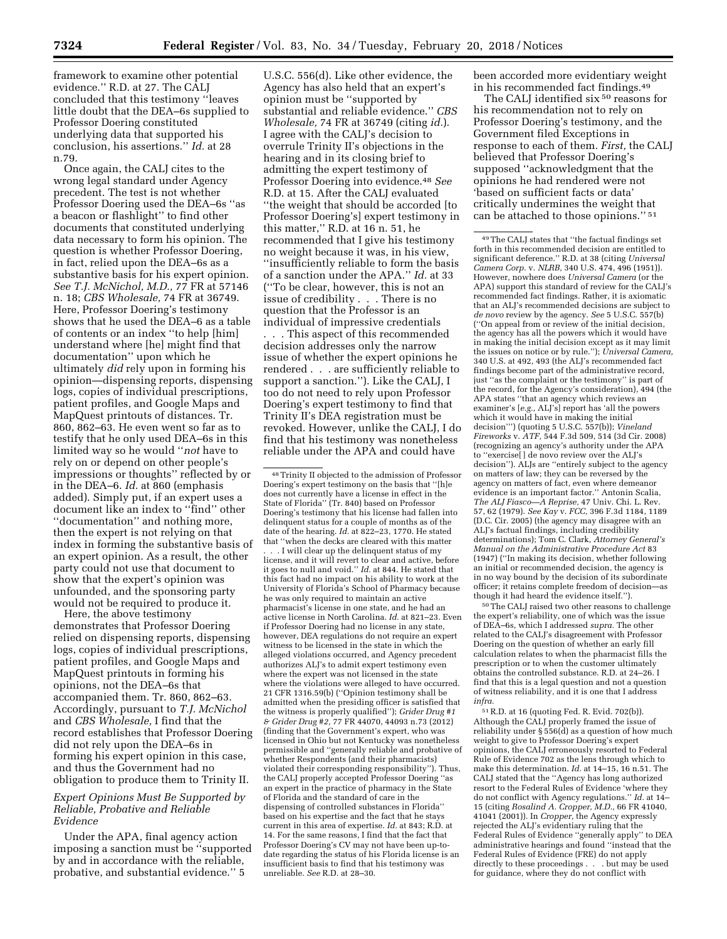framework to examine other potential evidence.'' R.D. at 27. The CALJ concluded that this testimony ''leaves little doubt that the DEA–6s supplied to Professor Doering constituted underlying data that supported his conclusion, his assertions.'' *Id.* at 28 n.79.

Once again, the CALJ cites to the wrong legal standard under Agency precedent. The test is not whether Professor Doering used the DEA–6s ''as a beacon or flashlight'' to find other documents that constituted underlying data necessary to form his opinion. The question is whether Professor Doering, in fact, relied upon the DEA–6s as a substantive basis for his expert opinion. *See T.J. McNichol, M.D.,* 77 FR at 57146 n. 18; *CBS Wholesale,* 74 FR at 36749. Here, Professor Doering's testimony shows that he used the DEA–6 as a table of contents or an index ''to help [him] understand where [he] might find that documentation'' upon which he ultimately *did* rely upon in forming his opinion—dispensing reports, dispensing logs, copies of individual prescriptions, patient profiles, and Google Maps and MapQuest printouts of distances. Tr. 860, 862–63. He even went so far as to testify that he only used DEA–6s in this limited way so he would ''*not* have to rely on or depend on other people's impressions or thoughts'' reflected by or in the DEA–6. *Id.* at 860 (emphasis added). Simply put, if an expert uses a document like an index to ''find'' other ''documentation'' and nothing more, then the expert is not relying on that index in forming the substantive basis of an expert opinion. As a result, the other party could not use that document to show that the expert's opinion was unfounded, and the sponsoring party would not be required to produce it.

Here, the above testimony demonstrates that Professor Doering relied on dispensing reports, dispensing logs, copies of individual prescriptions, patient profiles, and Google Maps and MapQuest printouts in forming his opinions, not the DEA–6s that accompanied them. Tr. 860, 862–63. Accordingly, pursuant to *T.J. McNichol*  and *CBS Wholesale,* I find that the record establishes that Professor Doering did not rely upon the DEA–6s in forming his expert opinion in this case, and thus the Government had no obligation to produce them to Trinity II.

# *Expert Opinions Must Be Supported by Reliable, Probative and Reliable Evidence*

Under the APA, final agency action imposing a sanction must be ''supported by and in accordance with the reliable, probative, and substantial evidence.'' 5

U.S.C. 556(d). Like other evidence, the Agency has also held that an expert's opinion must be ''supported by substantial and reliable evidence.'' *CBS Wholesale,* 74 FR at 36749 (citing *id.*). I agree with the CALJ's decision to overrule Trinity II's objections in the hearing and in its closing brief to admitting the expert testimony of Professor Doering into evidence.48 *See*  R.D. at 15. After the CALJ evaluated ''the weight that should be accorded [to Professor Doering's] expert testimony in this matter,'' R.D. at 16 n. 51, he recommended that I give his testimony no weight because it was, in his view, ''insufficiently reliable to form the basis of a sanction under the APA.'' *Id.* at 33 (''To be clear, however, this is not an issue of credibility . . . There is no question that the Professor is an individual of impressive credentials . . . This aspect of this recommended decision addresses only the narrow issue of whether the expert opinions he rendered . . . are sufficiently reliable to support a sanction.''). Like the CALJ, I too do not need to rely upon Professor Doering's expert testimony to find that Trinity II's DEA registration must be revoked. However, unlike the CALJ, I do find that his testimony was nonetheless

reliable under the APA and could have

. . . I will clear up the delinquent status of my license, and it will revert to clear and active, before it goes to null and void.'' *Id.* at 844. He stated that this fact had no impact on his ability to work at the University of Florida's School of Pharmacy because he was only required to maintain an active pharmacist's license in one state, and he had an active license in North Carolina. *Id.* at 821–23. Even if Professor Doering had no license in any state, however, DEA regulations do not require an expert witness to be licensed in the state in which the alleged violations occurred, and Agency precedent authorizes ALJ's to admit expert testimony even where the expert was not licensed in the state where the violations were alleged to have occurred. 21 CFR 1316.59(b) (''Opinion testimony shall be admitted when the presiding officer is satisfied that the witness is properly qualified''); *Grider Drug #1 & Grider Drug #2,* 77 FR 44070, 44093 n.73 (2012) (finding that the Government's expert, who was licensed in Ohio but not Kentucky was nonetheless permissible and ''generally reliable and probative of whether Respondents (and their pharmacists) violated their corresponding responsibility''). Thus, the CALJ properly accepted Professor Doering ''as an expert in the practice of pharmacy in the State of Florida and the standard of care in the dispensing of controlled substances in Florida'' based on his expertise and the fact that he stays current in this area of expertise. *Id.* at 843; R.D. at 14. For the same reasons, I find that the fact that Professor Doering's CV may not have been up-todate regarding the status of his Florida license is an insufficient basis to find that his testimony was unreliable. *See* R.D. at 28–30.

been accorded more evidentiary weight in his recommended fact findings.49

The CALJ identified six 50 reasons for his recommendation not to rely on Professor Doering's testimony, and the Government filed Exceptions in response to each of them. *First,* the CALJ believed that Professor Doering's supposed ''acknowledgment that the opinions he had rendered were not 'based on sufficient facts or data' critically undermines the weight that can be attached to those opinions.'' 51

50The CALJ raised two other reasons to challenge the expert's reliability, one of which was the issue of DEA–6s, which I addressed *supra.* The other related to the CALJ's disagreement with Professor Doering on the question of whether an early fill calculation relates to when the pharmacist fills the prescription or to when the customer ultimately obtains the controlled substance. R.D. at 24–26. I find that this is a legal question and not a question of witness reliability, and it is one that I address *infra.* 

51R.D. at 16 (quoting Fed. R. Evid. 702(b)). Although the CALJ properly framed the issue of reliability under § 556(d) as a question of how much weight to give to Professor Doering's expert opinions, the CALJ erroneously resorted to Federal Rule of Evidence 702 as the lens through which to make this determination. *Id.* at 14–15, 16 n.51. The CALJ stated that the ''Agency has long authorized resort to the Federal Rules of Evidence 'where they do not conflict with Agency regulations.'' *Id.* at 14– 15 (citing *Rosalind A. Cropper, M.D.,* 66 FR 41040, 41041 (2001)). In *Cropper,* the Agency expressly rejected the ALJ's evidentiary ruling that the Federal Rules of Evidence ''generally apply'' to DEA administrative hearings and found ''instead that the Federal Rules of Evidence (FRE) do not apply directly to these proceedings . . . but may be used for guidance, where they do not conflict with

<sup>48</sup>Trinity II objected to the admission of Professor Doering's expert testimony on the basis that ''[h]e does not currently have a license in effect in the State of Florida'' (Tr. 840) based on Professor Doering's testimony that his license had fallen into delinquent status for a couple of months as of the date of the hearing. *Id.* at 822–23, 1770. He stated that ''when the decks are cleared with this matter

<sup>49</sup>The CALJ states that ''the factual findings set forth in this recommended decision are entitled to significant deference.'' R.D. at 38 (citing *Universal Camera Corp.* v. *NLRB,* 340 U.S. 474, 496 (1951)). However, nowhere does *Universal Camera* (or the APA) support this standard of review for the CALJ's recommended fact findings. Rather, it is axiomatic that an ALJ's recommended decisions are subject to *de novo* review by the agency. *See* 5 U.S.C. 557(b) (''On appeal from or review of the initial decision, the agency has all the powers which it would have in making the initial decision except as it may limit the issues on notice or by rule.''); *Universal Camera,*  340 U.S. at 492, 493 (the ALJ's recommended fact findings become part of the administrative record, just ''as the complaint or the testimony'' is part of the record, for the Agency's consideration), 494 (the APA states ''that an agency which reviews an examiner's [*e.g.,* ALJ's] report has 'all the powers which it would have in making the initial decision''') (quoting 5 U.S.C. 557(b)); *Vineland Fireworks* v. *ATF,* 544 F.3d 509, 514 (3d Cir. 2008) (recognizing an agency's authority under the APA to ''exercise[ ] de novo review over the ALJ's decision''). ALJs are ''entirely subject to the agency on matters of law; they can be reversed by the agency on matters of fact, even where demeanor evidence is an important factor.'' Antonin Scalia, *The ALJ Fiasco—A Reprise,* 47 Univ. Chi. L. Rev. 57, 62 (1979). *See Kay* v. *FCC,* 396 F.3d 1184, 1189 (D.C. Cir. 2005) (the agency may disagree with an ALJ's factual findings, including credibility determinations); Tom C. Clark, *Attorney General's Manual on the Administrative Procedure Act* 83 (1947) (''In making its decision, whether following an initial or recommended decision, the agency is in no way bound by the decision of its subordinate officer; it retains complete freedom of decisionthough it had heard the evidence itself.'').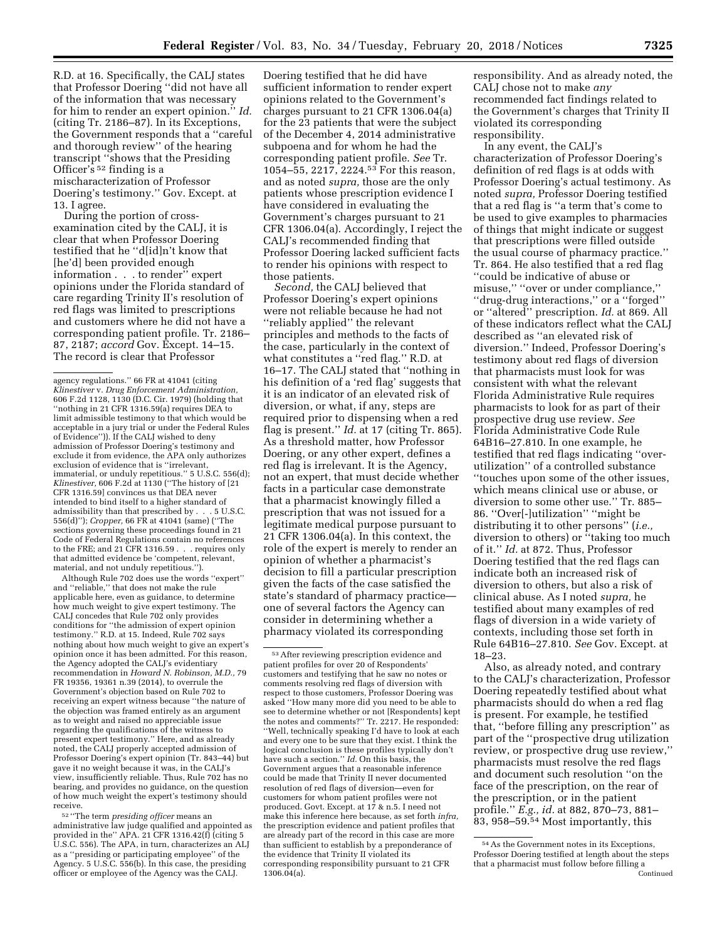R.D. at 16. Specifically, the CALJ states that Professor Doering ''did not have all of the information that was necessary for him to render an expert opinion.'' *Id.*  (citing Tr. 2186–87). In its Exceptions, the Government responds that a ''careful and thorough review'' of the hearing transcript ''shows that the Presiding Officer's 52 finding is a mischaracterization of Professor Doering's testimony.'' Gov. Except. at 13. I agree.

During the portion of crossexamination cited by the CALJ, it is clear that when Professor Doering testified that he ''d[id]n't know that [he'd] been provided enough information . . . to render'' expert opinions under the Florida standard of care regarding Trinity II's resolution of red flags was limited to prescriptions and customers where he did not have a corresponding patient profile. Tr. 2186– 87, 2187; *accord* Gov. Except. 14–15. The record is clear that Professor

Although Rule 702 does use the words ''expert'' and ''reliable,'' that does not make the rule applicable here, even as guidance, to determine how much weight to give expert testimony. The CALJ concedes that Rule 702 only provides conditions for ''the admission of expert opinion testimony.'' R.D. at 15. Indeed, Rule 702 says nothing about how much weight to give an expert's opinion once it has been admitted. For this reason, the Agency adopted the CALJ's evidentiary recommendation in *Howard N. Robinson, M.D.,* 79 FR 19356, 19361 n.39 (2014), to overrule the Government's objection based on Rule 702 to receiving an expert witness because ''the nature of the objection was framed entirely as an argument as to weight and raised no appreciable issue regarding the qualifications of the witness to present expert testimony.'' Here, and as already noted, the CALJ properly accepted admission of Professor Doering's expert opinion (Tr. 843–44) but gave it no weight because it was, in the CALJ's view, insufficiently reliable. Thus, Rule 702 has no bearing, and provides no guidance, on the question of how much weight the expert's testimony should receive.

52 ''The term *presiding officer* means an administrative law judge qualified and appointed as provided in the'' APA. 21 CFR 1316.42(f) (citing 5 U.S.C. 556). The APA, in turn, characterizes an ALJ as a ''presiding or participating employee'' of the Agency. 5 U.S.C. 556(b). In this case, the presiding officer or employee of the Agency was the CALJ.

Doering testified that he did have sufficient information to render expert opinions related to the Government's charges pursuant to 21 CFR 1306.04(a) for the 23 patients that were the subject of the December 4, 2014 administrative subpoena and for whom he had the corresponding patient profile. *See* Tr. 1054–55, 2217, 2224.53 For this reason, and as noted *supra,* those are the only patients whose prescription evidence I have considered in evaluating the Government's charges pursuant to 21 CFR 1306.04(a). Accordingly, I reject the CALJ's recommended finding that Professor Doering lacked sufficient facts to render his opinions with respect to those patients.

*Second,* the CALJ believed that Professor Doering's expert opinions were not reliable because he had not ''reliably applied'' the relevant principles and methods to the facts of the case, particularly in the context of what constitutes a ''red flag.'' R.D. at 16–17. The CALJ stated that ''nothing in his definition of a 'red flag' suggests that it is an indicator of an elevated risk of diversion, or what, if any, steps are required prior to dispensing when a red flag is present.'' *Id.* at 17 (citing Tr. 865). As a threshold matter, how Professor Doering, or any other expert, defines a red flag is irrelevant. It is the Agency, not an expert, that must decide whether facts in a particular case demonstrate that a pharmacist knowingly filled a prescription that was not issued for a legitimate medical purpose pursuant to 21 CFR 1306.04(a). In this context, the role of the expert is merely to render an opinion of whether a pharmacist's decision to fill a particular prescription given the facts of the case satisfied the state's standard of pharmacy practice one of several factors the Agency can consider in determining whether a pharmacy violated its corresponding

responsibility. And as already noted, the CALJ chose not to make *any*  recommended fact findings related to the Government's charges that Trinity II violated its corresponding responsibility.

In any event, the CALJ's characterization of Professor Doering's definition of red flags is at odds with Professor Doering's actual testimony. As noted *supra,* Professor Doering testified that a red flag is ''a term that's come to be used to give examples to pharmacies of things that might indicate or suggest that prescriptions were filled outside the usual course of pharmacy practice.'' Tr. 864. He also testified that a red flag ''could be indicative of abuse or misuse,'' ''over or under compliance,'' ''drug-drug interactions,'' or a ''forged'' or ''altered'' prescription. *Id.* at 869. All of these indicators reflect what the CALJ described as ''an elevated risk of diversion.'' Indeed, Professor Doering's testimony about red flags of diversion that pharmacists must look for was consistent with what the relevant Florida Administrative Rule requires pharmacists to look for as part of their prospective drug use review. *See*  Florida Administrative Code Rule 64B16–27.810. In one example, he testified that red flags indicating ''overutilization'' of a controlled substance ''touches upon some of the other issues, which means clinical use or abuse, or diversion to some other use.'' Tr. 885– 86. "Over[-]utilization" "might be distributing it to other persons'' (*i.e.,*  diversion to others) or ''taking too much of it.'' *Id.* at 872. Thus, Professor Doering testified that the red flags can indicate both an increased risk of diversion to others, but also a risk of clinical abuse. As I noted *supra,* he testified about many examples of red flags of diversion in a wide variety of contexts, including those set forth in Rule 64B16–27.810. *See* Gov. Except. at 18–23.

Also, as already noted, and contrary to the CALJ's characterization, Professor Doering repeatedly testified about what pharmacists should do when a red flag is present. For example, he testified that, ''before filling any prescription'' as part of the ''prospective drug utilization review, or prospective drug use review,'' pharmacists must resolve the red flags and document such resolution ''on the face of the prescription, on the rear of the prescription, or in the patient profile.'' *E.g., id.* at 882, 870–73, 881– 83, 958–59.54 Most importantly, this

agency regulations.'' 66 FR at 41041 (citing *Klinestiver* v. *Drug Enforcement Administration,*  606 F.2d 1128, 1130 (D.C. Cir. 1979) (holding that ''nothing in 21 CFR 1316.59(a) requires DEA to limit admissible testimony to that which would be acceptable in a jury trial or under the Federal Rules of Evidence'')). If the CALJ wished to deny admission of Professor Doering's testimony and exclude it from evidence, the APA only authorizes exclusion of evidence that is ''irrelevant, immaterial, or unduly repetitious.'' 5 U.S.C. 556(d); *Klinestiver,* 606 F.2d at 1130 (''The history of [21 CFR 1316.59] convinces us that DEA never intended to bind itself to a higher standard of admissibility than that prescribed by . . . 5 U.S.C. 556(d)''); *Cropper,* 66 FR at 41041 (same) (''The sections governing these proceedings found in 21 Code of Federal Regulations contain no references to the FRE; and 21 CFR 1316.59 . . . requires only that admitted evidence be 'competent, relevant, material, and not unduly repetitious.'').

<sup>53</sup>After reviewing prescription evidence and patient profiles for over 20 of Respondents' customers and testifying that he saw no notes or comments resolving red flags of diversion with respect to those customers, Professor Doering was asked ''How many more did you need to be able to see to determine whether or not [Respondents] kept the notes and comments?'' Tr. 2217. He responded: ''Well, technically speaking I'd have to look at each and every one to be sure that they exist. I think the logical conclusion is these profiles typically don't have such a section.'' *Id.* On this basis, the Government argues that a reasonable inference could be made that Trinity II never documented resolution of red flags of diversion—even for customers for whom patient profiles were not produced. Govt. Except. at 17 & n.5. I need not make this inference here because, as set forth *infra,*  the prescription evidence and patient profiles that are already part of the record in this case are more than sufficient to establish by a preponderance of the evidence that Trinity II violated its corresponding responsibility pursuant to 21 CFR  $1306.\overline{0}4(a)$ .

<sup>54</sup>As the Government notes in its Exceptions, Professor Doering testified at length about the steps that a pharmacist must follow before filling a Continued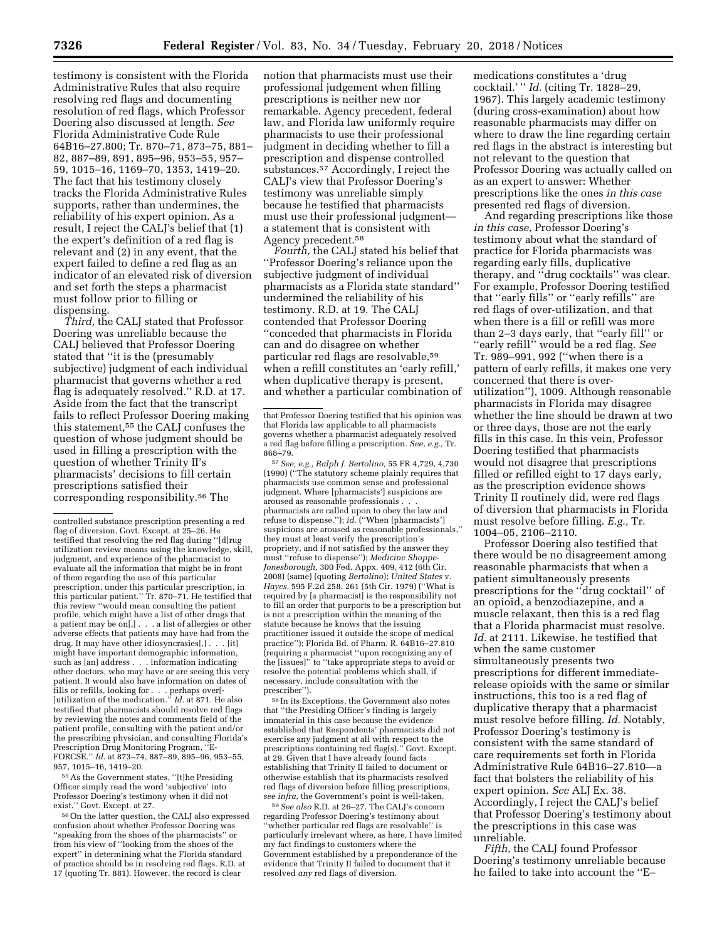testimony is consistent with the Florida Administrative Rules that also require resolving red flags and documenting resolution of red flags, which Professor Doering also discussed at length. *See*  Florida Administrative Code Rule 64B16–27.800; Tr. 870–71, 873–75, 881– 82, 887–89, 891, 895–96, 953–55, 957– 59, 1015–16, 1169–70, 1353, 1419–20. The fact that his testimony closely tracks the Florida Administrative Rules supports, rather than undermines, the reliability of his expert opinion. As a result, I reject the CALJ's belief that (1) the expert's definition of a red flag is relevant and (2) in any event, that the expert failed to define a red flag as an indicator of an elevated risk of diversion and set forth the steps a pharmacist must follow prior to filling or dispensing.

*Third,* the CALJ stated that Professor Doering was unreliable because the CALJ believed that Professor Doering stated that ''it is the (presumably subjective) judgment of each individual pharmacist that governs whether a red flag is adequately resolved.'' R.D. at 17. Aside from the fact that the transcript fails to reflect Professor Doering making this statement,55 the CALJ confuses the question of whose judgment should be used in filling a prescription with the question of whether Trinity II's pharmacists' decisions to fill certain prescriptions satisfied their corresponding responsibility.56 The

55As the Government states, ''[t]he Presiding Officer simply read the word 'subjective' into Professor Doering's testimony when it did not exist.'' Govt. Except. at 27.

56On the latter question, the CALJ also expressed confusion about whether Professor Doering was 'speaking from the shoes of the pharmacists'' or from his view of ''looking from the shoes of the expert'' in determining what the Florida standard of practice should be in resolving red flags. R.D. at 17 (quoting Tr. 881). However, the record is clear

notion that pharmacists must use their professional judgement when filling prescriptions is neither new nor remarkable. Agency precedent, federal law, and Florida law uniformly require pharmacists to use their professional judgment in deciding whether to fill a prescription and dispense controlled substances.57 Accordingly, I reject the CALJ's view that Professor Doering's testimony was unreliable simply because he testified that pharmacists must use their professional judgment a statement that is consistent with Agency precedent.58

*Fourth,* the CALJ stated his belief that ''Professor Doering's reliance upon the subjective judgment of individual pharmacists as a Florida state standard'' undermined the reliability of his testimony. R.D. at 19. The CALJ contended that Professor Doering ''conceded that pharmacists in Florida can and do disagree on whether particular red flags are resolvable,59 when a refill constitutes an 'early refill,' when duplicative therapy is present, and whether a particular combination of

57*See, e.g., Ralph J. Bertolino,* 55 FR 4,729, 4,730 (1990) (''The statutory scheme plainly requires that pharmacists use common sense and professional judgment. Where [pharmacists'] suspicions are aroused as reasonable professionals . . . pharmacists are called upon to obey the law and refuse to dispense.''); *id.* (''When [pharmacists'] suspicions are aroused as reasonable professionals,'' they must at least verify the prescription's propriety, and if not satisfied by the answer they must ''refuse to dispense''); *Medicine Shoppe-Jonesborough,* 300 Fed. Appx. 409, 412 (6th Cir. 2008) (same) (quoting *Bertolino*); *United States* v. *Hayes,* 595 F.2d 258, 261 (5th Cir. 1979) (''What is required by [a pharmacist] is the responsibility not to fill an order that purports to be a prescription but is not a prescription within the meaning of the statute because he knows that the issuing practitioner issued it outside the scope of medical practice''); Florida Bd. of Pharm. R. 64B16–27.810 (requiring a pharmacist ''upon recognizing any of the [issues]'' to ''take appropriate steps to avoid or resolve the potential problems which shall, if necessary, include consultation with the prescriber'').

58 In its Exceptions, the Government also notes that ''the Presiding Officer's finding is largely immaterial in this case because the evidence established that Respondents' pharmacists did not exercise any judgment at all with respect to the prescriptions containing red flag(s).'' Govt. Except. at 29. Given that I have already found facts establishing that Trinity II failed to document or otherwise establish that its pharmacists resolved red flags of diversion before filling prescriptions, *see infra,* the Government's point is well-taken.

59*See also* R.D. at 26–27. The CALJ's concern regarding Professor Doering's testimony about 'whether particular red flags are resolvable" is particularly irrelevant where, as here, I have limited my fact findings to customers where the Government established by a preponderance of the evidence that Trinity II failed to document that it resolved *any* red flags of diversion.

medications constitutes a 'drug cocktail.' '' *Id.* (citing Tr. 1828–29, 1967). This largely academic testimony (during cross-examination) about how reasonable pharmacists may differ on where to draw the line regarding certain red flags in the abstract is interesting but not relevant to the question that Professor Doering was actually called on as an expert to answer: Whether prescriptions like the ones *in this case*  presented red flags of diversion.

And regarding prescriptions like those *in this case,* Professor Doering's testimony about what the standard of practice for Florida pharmacists was regarding early fills, duplicative therapy, and ''drug cocktails'' was clear. For example, Professor Doering testified that ''early fills'' or ''early refills'' are red flags of over-utilization, and that when there is a fill or refill was more than 2–3 days early, that ''early fill'' or ''early refill'' would be a red flag. *See*  Tr. 989–991, 992 (''when there is a pattern of early refills, it makes one very concerned that there is overutilization''), 1009. Although reasonable pharmacists in Florida may disagree whether the line should be drawn at two or three days, those are not the early fills in this case. In this vein, Professor Doering testified that pharmacists would not disagree that prescriptions filled or refilled eight to 17 days early, as the prescription evidence shows Trinity II routinely did, were red flags of diversion that pharmacists in Florida must resolve before filling. *E.g.,* Tr. 1004–05, 2106–2110.

Professor Doering also testified that there would be no disagreement among reasonable pharmacists that when a patient simultaneously presents prescriptions for the ''drug cocktail'' of an opioid, a benzodiazepine, and a muscle relaxant, then this is a red flag that a Florida pharmacist must resolve. *Id.* at 2111. Likewise, he testified that when the same customer simultaneously presents two prescriptions for different immediaterelease opioids with the same or similar instructions, this too is a red flag of duplicative therapy that a pharmacist must resolve before filling. *Id.* Notably, Professor Doering's testimony is consistent with the same standard of care requirements set forth in Florida Administrative Rule 64B16–27.810—a fact that bolsters the reliability of his expert opinion. *See* ALJ Ex. 38. Accordingly, I reject the CALJ's belief that Professor Doering's testimony about the prescriptions in this case was unreliable.

*Fifth,* the CALJ found Professor Doering's testimony unreliable because he failed to take into account the ''E–

controlled substance prescription presenting a red flag of diversion. Govt. Except. at 25–26. He testified that resolving the red flag during ''[d]rug utilization review means using the knowledge, skill, judgment, and experience of the pharmacist to evaluate all the information that might be in front of them regarding the use of this particular prescription, under this particular prescription, in this particular patient.'' Tr. 870–71. He testified that this review ''would mean consulting the patient profile, which might have a list of other drugs that a patient may be on[,] . . . a list of allergies or other adverse effects that patients may have had from the drug. It may have other idiosyncrasies[,] . . . [it] might have important demographic information, such as [an] address . . . information indicating other doctors, who may have or are seeing this very patient. It would also have information on dates of fills or refills, looking for . . . perhaps over[- ]utilization of the medication.'' *Id.* at 871. He also testified that pharmacists should resolve red flags by reviewing the notes and comments field of the patient profile, consulting with the patient and/or the prescribing physician, and consulting Florida's Prescription Drug Monitoring Program, ''E-FORCSE.'' *Id.* at 873–74, 887–89, 895–96, 953–55, 957, 1015–16, 1419–20.

that Professor Doering testified that his opinion was that Florida law applicable to all pharmacists governs whether a pharmacist adequately resolved a red flag before filling a prescription. *See, e.g.,* Tr. 868–79.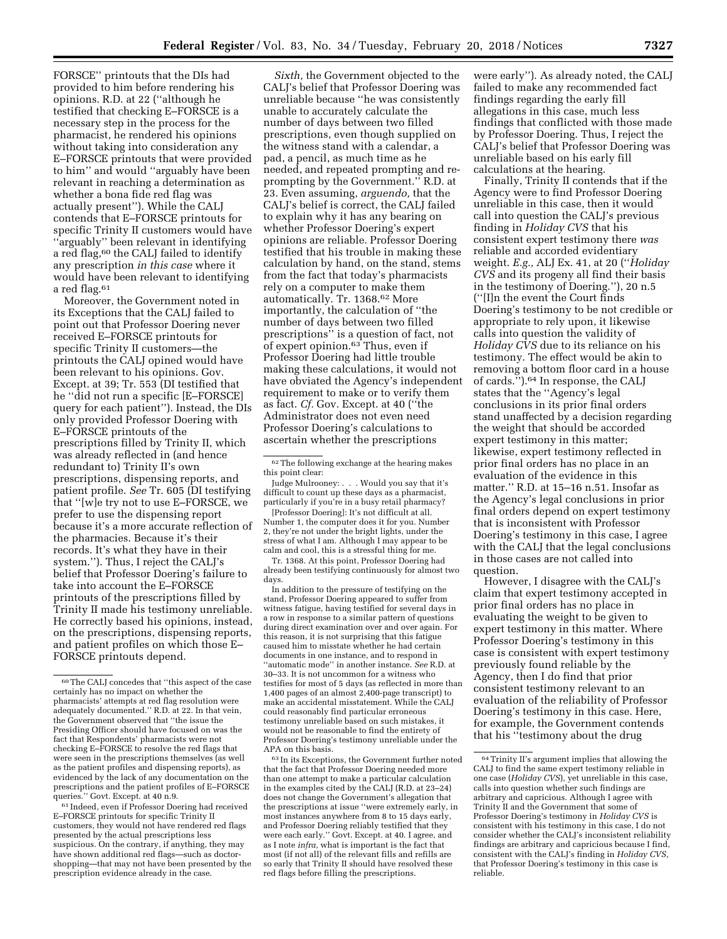FORSCE'' printouts that the DIs had provided to him before rendering his opinions. R.D. at 22 (''although he testified that checking E–FORSCE is a necessary step in the process for the pharmacist, he rendered his opinions without taking into consideration any E–FORSCE printouts that were provided to him'' and would ''arguably have been relevant in reaching a determination as whether a bona fide red flag was actually present''). While the CALJ contends that E–FORSCE printouts for specific Trinity II customers would have ''arguably'' been relevant in identifying a red flag,<sup>60</sup> the CALJ failed to identify any prescription *in this case* where it would have been relevant to identifying a red flag.61

Moreover, the Government noted in its Exceptions that the CALJ failed to point out that Professor Doering never received E–FORSCE printouts for specific Trinity II customers—the printouts the CALJ opined would have been relevant to his opinions. Gov. Except. at 39; Tr. 553 (DI testified that he ''did not run a specific [E–FORSCE] query for each patient''). Instead, the DIs only provided Professor Doering with E–FORSCE printouts of the prescriptions filled by Trinity II, which was already reflected in (and hence redundant to) Trinity II's own prescriptions, dispensing reports, and patient profile. *See* Tr. 605 (DI testifying that ''[w]e try not to use E–FORSCE, we prefer to use the dispensing report because it's a more accurate reflection of the pharmacies. Because it's their records. It's what they have in their system.''). Thus, I reject the CALJ's belief that Professor Doering's failure to take into account the E–FORSCE printouts of the prescriptions filled by Trinity II made his testimony unreliable. He correctly based his opinions, instead, on the prescriptions, dispensing reports, and patient profiles on which those E– FORSCE printouts depend.

 $\ensuremath{^{61}}$  Indeed, even if Professor Doering had received E–FORSCE printouts for specific Trinity II customers, they would not have rendered red flags presented by the actual prescriptions less suspicious. On the contrary, if anything, they may have shown additional red flags—such as doctorshopping—that may not have been presented by the prescription evidence already in the case.

*Sixth,* the Government objected to the CALJ's belief that Professor Doering was unreliable because ''he was consistently unable to accurately calculate the number of days between two filled prescriptions, even though supplied on the witness stand with a calendar, a pad, a pencil, as much time as he needed, and repeated prompting and reprompting by the Government.'' R.D. at 23. Even assuming, *arguendo,* that the CALJ's belief is correct, the CALJ failed to explain why it has any bearing on whether Professor Doering's expert opinions are reliable. Professor Doering testified that his trouble in making these calculation by hand, on the stand, stems from the fact that today's pharmacists rely on a computer to make them automatically. Tr. 1368.62 More importantly, the calculation of ''the number of days between two filled prescriptions'' is a question of fact, not of expert opinion.63 Thus, even if Professor Doering had little trouble making these calculations, it would not have obviated the Agency's independent requirement to make or to verify them as fact. *Cf.* Gov. Except. at 40 (''the Administrator does not even need Professor Doering's calculations to ascertain whether the prescriptions

Judge Mulrooney: . . . Would you say that it's difficult to count up these days as a pharmacist, particularly if you're in a busy retail pharmacy?

[Professor Doering]: It's not difficult at all. Number 1, the computer does it for you. Number 2, they're not under the bright lights, under the stress of what I am. Although I may appear to be calm and cool, this is a stressful thing for me.

Tr. 1368. At this point, Professor Doering had already been testifying continuously for almost two days.

In addition to the pressure of testifying on the stand, Professor Doering appeared to suffer from witness fatigue, having testified for several days in a row in response to a similar pattern of questions during direct examination over and over again. For this reason, it is not surprising that this fatigue caused him to misstate whether he had certain documents in one instance, and to respond in ''automatic mode'' in another instance. *See* R.D. at 30–33. It is not uncommon for a witness who testifies for most of 5 days (as reflected in more than 1,400 pages of an almost 2,400-page transcript) to make an accidental misstatement. While the CALJ could reasonably find particular erroneous testimony unreliable based on such mistakes, it would not be reasonable to find the entirety of Professor Doering's testimony unreliable under the APA on this basis.

63 In its Exceptions, the Government further noted that the fact that Professor Doering needed more than one attempt to make a particular calculation in the examples cited by the CALJ (R.D. at 23–24) does not change the Government's allegation that the prescriptions at issue ''were extremely early, in most instances anywhere from 8 to 15 days early, and Professor Doering reliably testified that they were each early.'' Govt. Except. at 40. I agree, and as I note *infra,* what is important is the fact that most (if not all) of the relevant fills and refills are so early that Trinity II should have resolved these red flags before filling the prescriptions.

were early''). As already noted, the CALJ failed to make any recommended fact findings regarding the early fill allegations in this case, much less findings that conflicted with those made by Professor Doering. Thus, I reject the CALJ's belief that Professor Doering was unreliable based on his early fill calculations at the hearing.

Finally, Trinity II contends that if the Agency were to find Professor Doering unreliable in this case, then it would call into question the CALJ's previous finding in *Holiday CVS* that his consistent expert testimony there *was*  reliable and accorded evidentiary weight. *E.g.,* ALJ Ex. 41, at 20 (''*Holiday CVS* and its progeny all find their basis in the testimony of Doering.''), 20 n.5 (''[I]n the event the Court finds Doering's testimony to be not credible or appropriate to rely upon, it likewise calls into question the validity of *Holiday CVS* due to its reliance on his testimony. The effect would be akin to removing a bottom floor card in a house of cards.'').64 In response, the CALJ states that the ''Agency's legal conclusions in its prior final orders stand unaffected by a decision regarding the weight that should be accorded expert testimony in this matter; likewise, expert testimony reflected in prior final orders has no place in an evaluation of the evidence in this matter.'' R.D. at 15–16 n.51. Insofar as the Agency's legal conclusions in prior final orders depend on expert testimony that is inconsistent with Professor Doering's testimony in this case, I agree with the CALJ that the legal conclusions in those cases are not called into question.

However, I disagree with the CALJ's claim that expert testimony accepted in prior final orders has no place in evaluating the weight to be given to expert testimony in this matter. Where Professor Doering's testimony in this case is consistent with expert testimony previously found reliable by the Agency, then I do find that prior consistent testimony relevant to an evaluation of the reliability of Professor Doering's testimony in this case. Here, for example, the Government contends that his ''testimony about the drug

<sup>60</sup>The CALJ concedes that ''this aspect of the case certainly has no impact on whether the pharmacists' attempts at red flag resolution were adequately documented." R.D. at 22. In that vein, the Government observed that ''the issue the Presiding Officer should have focused on was the fact that Respondents' pharmacists were not checking E–FORSCE to resolve the red flags that were seen in the prescriptions themselves (as well as the patient profiles and dispensing reports), as evidenced by the lack of any documentation on the prescriptions and the patient profiles of E–FORSCE queries.'' Govt. Except. at 40 n.9.

<sup>62</sup>The following exchange at the hearing makes this point clear:

<sup>64</sup>Trinity II's argument implies that allowing the CALJ to find the same expert testimony reliable in one case (*Holiday CVS*), yet unreliable in this case, calls into question whether such findings are arbitrary and capricious. Although I agree with Trinity II and the Government that some of Professor Doering's testimony in *Holiday CVS* is consistent with his testimony in this case, I do not consider whether the CALJ's inconsistent reliability findings are arbitrary and capricious because I find, consistent with the CALJ's finding in *Holiday CVS,*  that Professor Doering's testimony in this case is reliable.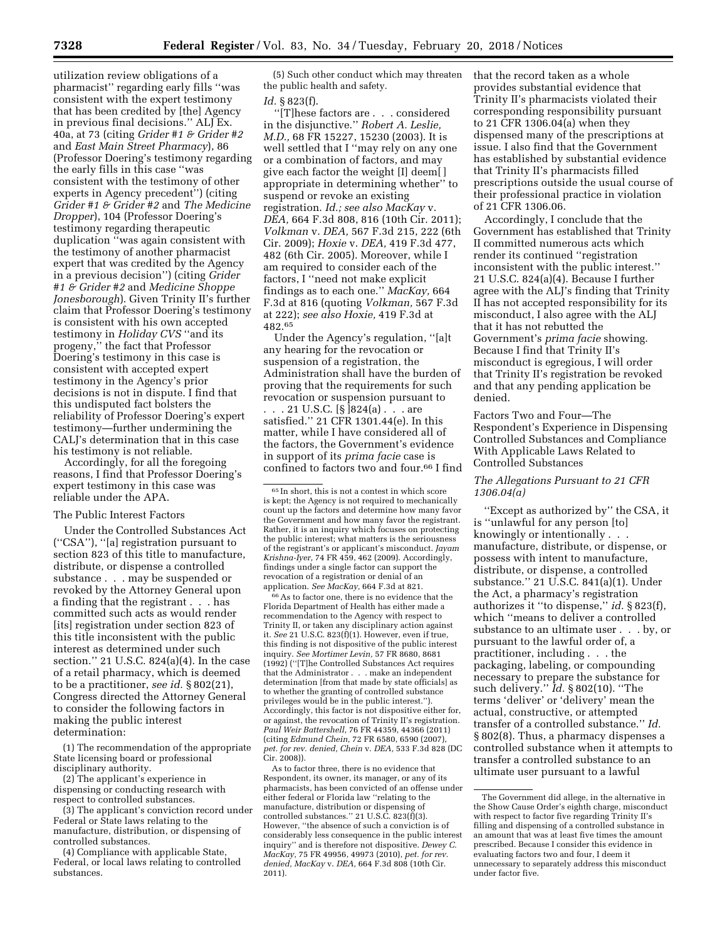utilization review obligations of a pharmacist'' regarding early fills ''was consistent with the expert testimony that has been credited by [the] Agency in previous final decisions.'' ALJ Ex. 40a, at 73 (citing *Grider #1 & Grider #2*  and *East Main Street Pharmacy*), 86 (Professor Doering's testimony regarding the early fills in this case ''was consistent with the testimony of other experts in Agency precedent'') (citing *Grider #1 & Grider #2* and *The Medicine Dropper*), 104 (Professor Doering's testimony regarding therapeutic duplication ''was again consistent with the testimony of another pharmacist expert that was credited by the Agency in a previous decision'') (citing *Grider #1 & Grider #2* and *Medicine Shoppe Jonesborough*). Given Trinity II's further claim that Professor Doering's testimony is consistent with his own accepted testimony in *Holiday CVS* ''and its progeny,'' the fact that Professor Doering's testimony in this case is consistent with accepted expert testimony in the Agency's prior decisions is not in dispute. I find that this undisputed fact bolsters the reliability of Professor Doering's expert testimony—further undermining the CALJ's determination that in this case his testimony is not reliable.

Accordingly, for all the foregoing reasons, I find that Professor Doering's expert testimony in this case was reliable under the APA.

#### The Public Interest Factors

Under the Controlled Substances Act (''CSA''), ''[a] registration pursuant to section 823 of this title to manufacture, distribute, or dispense a controlled substance . . . may be suspended or revoked by the Attorney General upon a finding that the registrant . . . has committed such acts as would render [its] registration under section 823 of this title inconsistent with the public interest as determined under such section.'' 21 U.S.C. 824(a)(4). In the case of a retail pharmacy, which is deemed to be a practitioner, *see id.* § 802(21), Congress directed the Attorney General to consider the following factors in making the public interest determination:

(1) The recommendation of the appropriate State licensing board or professional disciplinary authority.

(2) The applicant's experience in dispensing or conducting research with respect to controlled substances.

(3) The applicant's conviction record under Federal or State laws relating to the manufacture, distribution, or dispensing of controlled substances.

(4) Compliance with applicable State, Federal, or local laws relating to controlled substances.

(5) Such other conduct which may threaten the public health and safety.

## *Id.* § 823(f).

''[T]hese factors are . . . considered in the disjunctive.'' *Robert A. Leslie, M.D.,* 68 FR 15227, 15230 (2003). It is well settled that I ''may rely on any one or a combination of factors, and may give each factor the weight [I] deem[ ] appropriate in determining whether'' to suspend or revoke an existing registration. *Id.; see also MacKay* v. *DEA,* 664 F.3d 808, 816 (10th Cir. 2011); *Volkman* v. *DEA,* 567 F.3d 215, 222 (6th Cir. 2009); *Hoxie* v. *DEA,* 419 F.3d 477, 482 (6th Cir. 2005). Moreover, while I am required to consider each of the factors, I ''need not make explicit findings as to each one.'' *MacKay,* 664 F.3d at 816 (quoting *Volkman,* 567 F.3d at 222); *see also Hoxie,* 419 F.3d at 482.65

Under the Agency's regulation, ''[a]t any hearing for the revocation or suspension of a registration, the Administration shall have the burden of proving that the requirements for such revocation or suspension pursuant to

. . . 21 U.S.C. [§ ]824(a) . . . are satisfied.'' 21 CFR 1301.44(e). In this matter, while I have considered all of the factors, the Government's evidence in support of its *prima facie* case is confined to factors two and four.66 I find

66As to factor one, there is no evidence that the Florida Department of Health has either made a recommendation to the Agency with respect to Trinity II, or taken any disciplinary action against it. *See* 21 U.S.C. 823(f)(1). However, even if true, this finding is not dispositive of the public interest inquiry. *See Mortimer Levin,* 57 FR 8680, 8681 (1992) (''[T]he Controlled Substances Act requires that the Administrator . . . make an independent determination [from that made by state officials] as to whether the granting of controlled substance privileges would be in the public interest.''). Accordingly, this factor is not dispositive either for, or against, the revocation of Trinity II's registration. *Paul Weir Battershell,* 76 FR 44359, 44366 (2011) (citing *Edmund Chein,* 72 FR 6580, 6590 (2007), *pet. for rev. denied, Chein* v. *DEA,* 533 F.3d 828 (DC Cir. 2008)).

As to factor three, there is no evidence that Respondent, its owner, its manager, or any of its pharmacists, has been convicted of an offense under either federal or Florida law ''relating to the manufacture, distribution or dispensing of controlled substances." 21 U.S. $\hat{C}$ . 823 $(\hat{f})(3)$ . However, ''the absence of such a conviction is of considerably less consequence in the public interest inquiry'' and is therefore not dispositive. *Dewey C. MacKay,* 75 FR 49956, 49973 (2010), *pet. for rev. denied, MacKay* v. *DEA,* 664 F.3d 808 (10th Cir. 2011).

that the record taken as a whole provides substantial evidence that Trinity II's pharmacists violated their corresponding responsibility pursuant to 21 CFR 1306.04(a) when they dispensed many of the prescriptions at issue. I also find that the Government has established by substantial evidence that Trinity II's pharmacists filled prescriptions outside the usual course of their professional practice in violation of 21 CFR 1306.06.

Accordingly, I conclude that the Government has established that Trinity II committed numerous acts which render its continued ''registration inconsistent with the public interest.'' 21 U.S.C. 824(a)(4). Because I further agree with the ALJ's finding that Trinity II has not accepted responsibility for its misconduct, I also agree with the ALJ that it has not rebutted the Government's *prima facie* showing. Because I find that Trinity II's misconduct is egregious, I will order that Trinity II's registration be revoked and that any pending application be denied.

# Factors Two and Four—The Respondent's Experience in Dispensing Controlled Substances and Compliance With Applicable Laws Related to Controlled Substances

## *The Allegations Pursuant to 21 CFR 1306.04(a)*

''Except as authorized by'' the CSA, it is ''unlawful for any person [to] knowingly or intentionally . . . manufacture, distribute, or dispense, or possess with intent to manufacture, distribute, or dispense, a controlled substance.'' 21 U.S.C. 841(a)(1). Under the Act, a pharmacy's registration authorizes it ''to dispense,'' *id.* § 823(f), which ''means to deliver a controlled substance to an ultimate user . . . by, or pursuant to the lawful order of, a practitioner, including . . . the packaging, labeling, or compounding necessary to prepare the substance for such delivery.'' *Id.* § 802(10). ''The terms 'deliver' or 'delivery' mean the actual, constructive, or attempted transfer of a controlled substance.'' *Id.*  § 802(8). Thus, a pharmacy dispenses a controlled substance when it attempts to transfer a controlled substance to an ultimate user pursuant to a lawful

<sup>65</sup> In short, this is not a contest in which score is kept; the Agency is not required to mechanically count up the factors and determine how many favor the Government and how many favor the registrant. Rather, it is an inquiry which focuses on protecting the public interest; what matters is the seriousness of the registrant's or applicant's misconduct. *Jayam Krishna-Iyer,* 74 FR 459, 462 (2009). Accordingly, findings under a single factor can support the revocation of a registration or denial of an application. *See MacKay,* 664 F.3d at 821.

The Government did allege, in the alternative in the Show Cause Order's eighth charge, misconduct with respect to factor five regarding Trinity II's filling and dispensing of a controlled substance in an amount that was at least five times the amount prescribed. Because I consider this evidence in evaluating factors two and four, I deem it unnecessary to separately address this misconduct under factor five.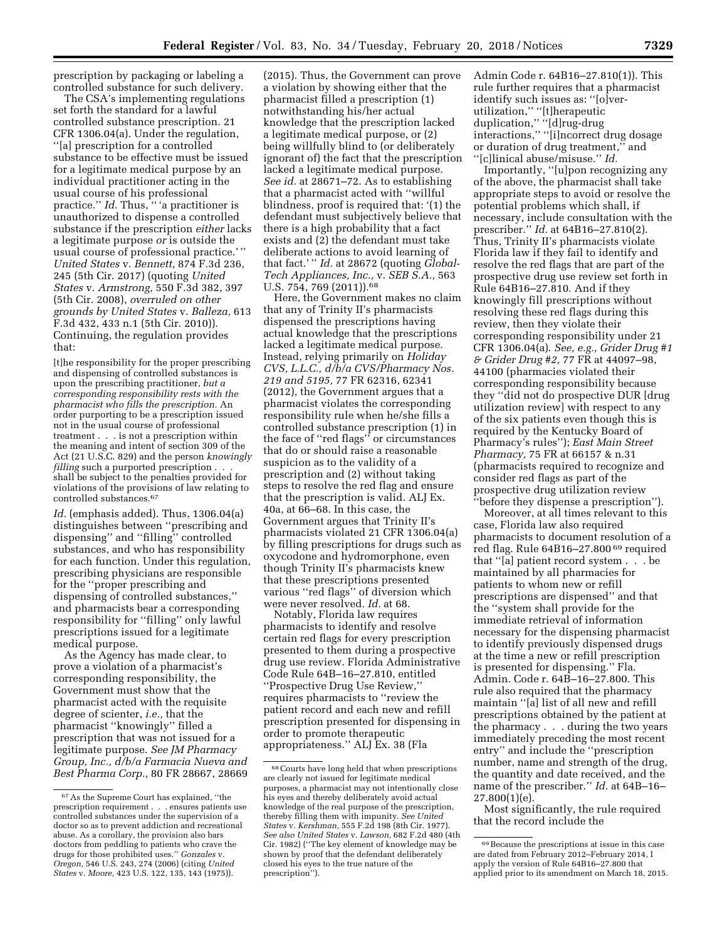prescription by packaging or labeling a controlled substance for such delivery.

The CSA's implementing regulations set forth the standard for a lawful controlled substance prescription. 21 CFR 1306.04(a). Under the regulation, ''[a] prescription for a controlled substance to be effective must be issued for a legitimate medical purpose by an individual practitioner acting in the usual course of his professional practice." *Id.* Thus, "'a practitioner is unauthorized to dispense a controlled substance if the prescription *either* lacks a legitimate purpose *or* is outside the usual course of professional practice.' '' *United States* v. *Bennett,* 874 F.3d 236, 245 (5th Cir. 2017) (quoting *United States* v. *Armstrong,* 550 F.3d 382, 397 (5th Cir. 2008), *overruled on other grounds by United States* v. *Balleza,* 613 F.3d 432, 433 n.1 (5th Cir. 2010)). Continuing, the regulation provides that:

[t]he responsibility for the proper prescribing and dispensing of controlled substances is upon the prescribing practitioner, *but a corresponding responsibility rests with the pharmacist who fills the prescription.* An order purporting to be a prescription issued not in the usual course of professional treatment . . . is not a prescription within the meaning and intent of section 309 of the Act (21 U.S.C. 829) and the person *knowingly filling* such a purported prescription . . . shall be subject to the penalties provided for violations of the provisions of law relating to controlled substances.67

*Id.* (emphasis added). Thus, 1306.04(a) distinguishes between ''prescribing and dispensing'' and ''filling'' controlled substances, and who has responsibility for each function. Under this regulation, prescribing physicians are responsible for the ''proper prescribing and dispensing of controlled substances,'' and pharmacists bear a corresponding responsibility for ''filling'' only lawful prescriptions issued for a legitimate medical purpose.

As the Agency has made clear, to prove a violation of a pharmacist's corresponding responsibility, the Government must show that the pharmacist acted with the requisite degree of scienter, *i.e.,* that the pharmacist ''knowingly'' filled a prescription that was not issued for a legitimate purpose. *See JM Pharmacy Group, Inc., d/b/a Farmacia Nueva and Best Pharma Corp.,* 80 FR 28667, 28669

(2015). Thus, the Government can prove a violation by showing either that the pharmacist filled a prescription (1) notwithstanding his/her actual knowledge that the prescription lacked a legitimate medical purpose, or (2) being willfully blind to (or deliberately ignorant of) the fact that the prescription lacked a legitimate medical purpose. *See id.* at 28671–72. As to establishing that a pharmacist acted with ''willful blindness, proof is required that: '(1) the defendant must subjectively believe that there is a high probability that a fact exists and (2) the defendant must take deliberate actions to avoid learning of that fact.' '' *Id.* at 28672 (quoting *Global-Tech Appliances, Inc.,* v. *SEB S.A.,* 563 U.S. 754, 769 (2011)).<sup>68</sup>

Here, the Government makes no claim that any of Trinity II's pharmacists dispensed the prescriptions having actual knowledge that the prescriptions lacked a legitimate medical purpose. Instead, relying primarily on *Holiday CVS, L.L.C., d/b/a CVS/Pharmacy Nos. 219 and 5195,* 77 FR 62316, 62341 (2012), the Government argues that a pharmacist violates the corresponding responsibility rule when he/she fills a controlled substance prescription (1) in the face of ''red flags'' or circumstances that do or should raise a reasonable suspicion as to the validity of a prescription and (2) without taking steps to resolve the red flag and ensure that the prescription is valid. ALJ Ex. 40a, at 66–68. In this case, the Government argues that Trinity II's pharmacists violated 21 CFR 1306.04(a) by filling prescriptions for drugs such as oxycodone and hydromorphone, even though Trinity II's pharmacists knew that these prescriptions presented various ''red flags'' of diversion which were never resolved. *Id.* at 68.

Notably, Florida law requires pharmacists to identify and resolve certain red flags for every prescription presented to them during a prospective drug use review. Florida Administrative Code Rule 64B–16–27.810, entitled ''Prospective Drug Use Review,'' requires pharmacists to ''review the patient record and each new and refill prescription presented for dispensing in order to promote therapeutic appropriateness.'' ALJ Ex. 38 (Fla

Admin Code r. 64B16–27.810(1)). This rule further requires that a pharmacist identify such issues as: ''[o]verutilization,'' ''[t]herapeutic duplication,'' ''[d]rug-drug interactions,'' ''[i]ncorrect drug dosage or duration of drug treatment,'' and ''[c]linical abuse/misuse.'' *Id.* 

Importantly, ''[u]pon recognizing any of the above, the pharmacist shall take appropriate steps to avoid or resolve the potential problems which shall, if necessary, include consultation with the prescriber.'' *Id.* at 64B16–27.810(2). Thus, Trinity II's pharmacists violate Florida law if they fail to identify and resolve the red flags that are part of the prospective drug use review set forth in Rule 64B16–27.810. And if they knowingly fill prescriptions without resolving these red flags during this review, then they violate their corresponding responsibility under 21 CFR 1306.04(a). *See, e.g., Grider Drug #1 & Grider Drug #2,* 77 FR at 44097–98, 44100 (pharmacies violated their corresponding responsibility because they ''did not do prospective DUR [drug utilization review] with respect to any of the six patients even though this is required by the Kentucky Board of Pharmacy's rules''); *East Main Street Pharmacy,* 75 FR at 66157 & n.31 (pharmacists required to recognize and consider red flags as part of the prospective drug utilization review ''before they dispense a prescription'').

Moreover, at all times relevant to this case, Florida law also required pharmacists to document resolution of a red flag. Rule 64B16–27.800 69 required that ''[a] patient record system . . . be maintained by all pharmacies for patients to whom new or refill prescriptions are dispensed'' and that the ''system shall provide for the immediate retrieval of information necessary for the dispensing pharmacist to identify previously dispensed drugs at the time a new or refill prescription is presented for dispensing.'' Fla. Admin. Code r. 64B–16–27.800. This rule also required that the pharmacy maintain ''[a] list of all new and refill prescriptions obtained by the patient at the pharmacy . . . during the two years immediately preceding the most recent entry'' and include the ''prescription number, name and strength of the drug, the quantity and date received, and the name of the prescriber.'' *Id.* at 64B–16– 27.800(1)(e).

Most significantly, the rule required that the record include the

<sup>67</sup>As the Supreme Court has explained, ''the prescription requirement . . . ensures patients use controlled substances under the supervision of a doctor so as to prevent addiction and recreational abuse. As a corollary, the provision also bars doctors from peddling to patients who crave the drugs for those prohibited uses.'' *Gonzales* v. *Oregon,* 546 U.S. 243, 274 (2006) (citing *United States* v. *Moore,* 423 U.S. 122, 135, 143 (1975)).

<sup>68</sup>Courts have long held that when prescriptions are clearly not issued for legitimate medical purposes, a pharmacist may not intentionally close his eyes and thereby deliberately avoid actual knowledge of the real purpose of the prescription, thereby filling them with impunity. *See United States* v. *Kershman,* 555 F.2d 198 (8th Cir. 1977). *See also United States* v. *Lawson,* 682 F.2d 480 (4th Cir. 1982) (''The key element of knowledge may be shown by proof that the defendant deliberately closed his eyes to the true nature of the prescription'').

<sup>69</sup>Because the prescriptions at issue in this case are dated from February 2012–February 2014, I apply the version of Rule 64B16–27.800 that applied prior to its amendment on March 18, 2015.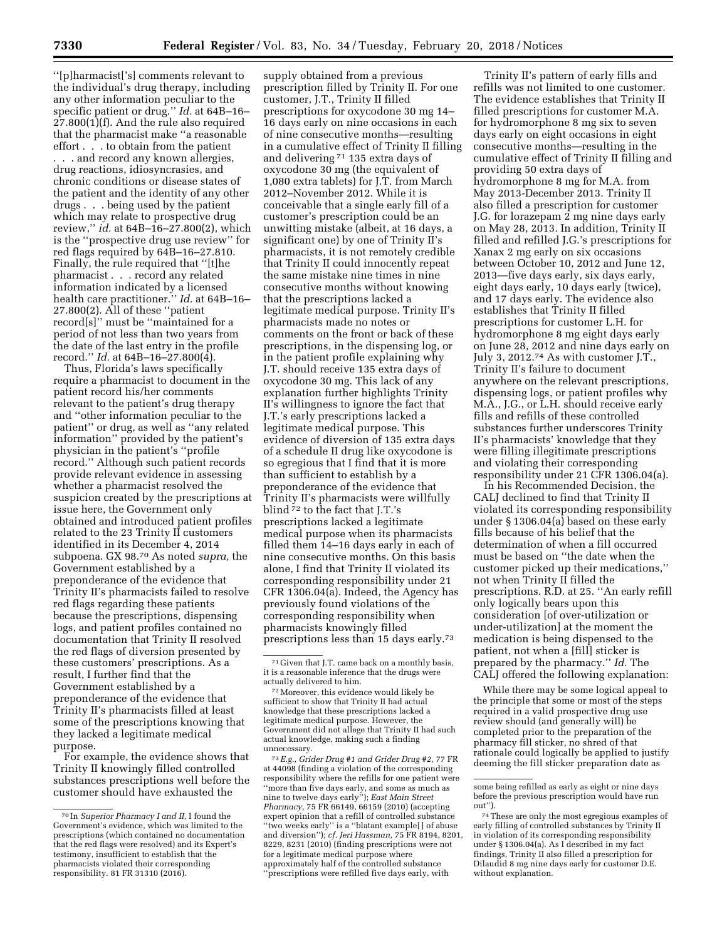''[p]harmacist['s] comments relevant to the individual's drug therapy, including any other information peculiar to the specific patient or drug.'' *Id.* at 64B–16–  $27.800(1)$ (f). And the rule also required that the pharmacist make ''a reasonable effort . . . to obtain from the patient . . . and record any known allergies, drug reactions, idiosyncrasies, and chronic conditions or disease states of the patient and the identity of any other drugs . . . being used by the patient which may relate to prospective drug review,'' *id.* at 64B–16–27.800(2), which is the ''prospective drug use review'' for red flags required by 64B–16–27.810. Finally, the rule required that ''[t]he pharmacist . . . record any related information indicated by a licensed health care practitioner.'' *Id.* at 64B–16– 27.800(2). All of these ''patient record[s]'' must be ''maintained for a period of not less than two years from the date of the last entry in the profile record.'' *Id.* at 64B–16–27.800(4).

Thus, Florida's laws specifically require a pharmacist to document in the patient record his/her comments relevant to the patient's drug therapy and ''other information peculiar to the patient'' or drug, as well as ''any related information'' provided by the patient's physician in the patient's ''profile record.'' Although such patient records provide relevant evidence in assessing whether a pharmacist resolved the suspicion created by the prescriptions at issue here, the Government only obtained and introduced patient profiles related to the 23 Trinity II customers identified in its December 4, 2014 subpoena. GX 98.70 As noted *supra,* the Government established by a preponderance of the evidence that Trinity II's pharmacists failed to resolve red flags regarding these patients because the prescriptions, dispensing logs, and patient profiles contained no documentation that Trinity II resolved the red flags of diversion presented by these customers' prescriptions. As a result, I further find that the Government established by a preponderance of the evidence that Trinity II's pharmacists filled at least some of the prescriptions knowing that they lacked a legitimate medical purpose.

For example, the evidence shows that Trinity II knowingly filled controlled substances prescriptions well before the customer should have exhausted the

supply obtained from a previous prescription filled by Trinity II. For one customer, J.T., Trinity II filled prescriptions for oxycodone 30 mg 14– 16 days early on nine occasions in each of nine consecutive months—resulting in a cumulative effect of Trinity II filling and delivering 71 135 extra days of oxycodone 30 mg (the equivalent of 1,080 extra tablets) for J.T. from March 2012–November 2012. While it is conceivable that a single early fill of a customer's prescription could be an unwitting mistake (albeit, at 16 days, a significant one) by one of Trinity II's pharmacists, it is not remotely credible that Trinity II could innocently repeat the same mistake nine times in nine consecutive months without knowing that the prescriptions lacked a legitimate medical purpose. Trinity II's pharmacists made no notes or comments on the front or back of these prescriptions, in the dispensing log, or in the patient profile explaining why J.T. should receive 135 extra days of oxycodone 30 mg. This lack of any explanation further highlights Trinity II's willingness to ignore the fact that J.T.'s early prescriptions lacked a legitimate medical purpose. This evidence of diversion of 135 extra days of a schedule II drug like oxycodone is so egregious that I find that it is more than sufficient to establish by a preponderance of the evidence that Trinity II's pharmacists were willfully blind 72 to the fact that J.T.'s prescriptions lacked a legitimate medical purpose when its pharmacists filled them 14–16 days early in each of nine consecutive months. On this basis alone, I find that Trinity II violated its corresponding responsibility under 21 CFR 1306.04(a). Indeed, the Agency has previously found violations of the corresponding responsibility when pharmacists knowingly filled prescriptions less than 15 days early.73

72Moreover, this evidence would likely be sufficient to show that Trinity II had actual knowledge that these prescriptions lacked a legitimate medical purpose. However, the Government did not allege that Trinity II had such actual knowledge, making such a finding unnecessary.

73*E.g., Grider Drug #1 and Grider Drug #2,* 77 FR at 44098 (finding a violation of the corresponding responsibility where the refills for one patient were ''more than five days early, and some as much as nine to twelve days early''); *East Main Street Pharmacy,* 75 FR 66149, 66159 (2010) (accepting expert opinion that a refill of controlled substance ''two weeks early'' is a ''blatant example[ ] of abuse and diversion''); *cf. Jeri Hassman,* 75 FR 8194, 8201, 8229, 8231 (2010) (finding prescriptions were not for a legitimate medical purpose where approximately half of the controlled substance ''prescriptions were refilled five days early, with

Trinity II's pattern of early fills and refills was not limited to one customer. The evidence establishes that Trinity II filled prescriptions for customer M.A. for hydromorphone 8 mg six to seven days early on eight occasions in eight consecutive months—resulting in the cumulative effect of Trinity II filling and providing 50 extra days of hydromorphone 8 mg for M.A. from May 2013-December 2013. Trinity II also filled a prescription for customer J.G. for lorazepam 2 mg nine days early on May 28, 2013. In addition, Trinity II filled and refilled J.G.'s prescriptions for Xanax 2 mg early on six occasions between October 10, 2012 and June 12, 2013—five days early, six days early, eight days early, 10 days early (twice), and 17 days early. The evidence also establishes that Trinity II filled prescriptions for customer L.H. for hydromorphone 8 mg eight days early on June 28, 2012 and nine days early on July 3, 2012.74 As with customer J.T., Trinity II's failure to document anywhere on the relevant prescriptions, dispensing logs, or patient profiles why M.A., J.G., or L.H. should receive early fills and refills of these controlled substances further underscores Trinity II's pharmacists' knowledge that they were filling illegitimate prescriptions and violating their corresponding responsibility under 21 CFR 1306.04(a).

In his Recommended Decision, the CALJ declined to find that Trinity II violated its corresponding responsibility under § 1306.04(a) based on these early fills because of his belief that the determination of when a fill occurred must be based on ''the date when the customer picked up their medications,'' not when Trinity II filled the prescriptions. R.D. at 25. ''An early refill only logically bears upon this consideration [of over-utilization or under-utilization] at the moment the medication is being dispensed to the patient, not when a [fill] sticker is prepared by the pharmacy.'' *Id.* The CALJ offered the following explanation:

While there may be some logical appeal to the principle that some or most of the steps required in a valid prospective drug use review should (and generally will) be completed prior to the preparation of the pharmacy fill sticker, no shred of that rationale could logically be applied to justify deeming the fill sticker preparation date as

<sup>70</sup> In *Superior Pharmacy I and II,* I found the Government's evidence, which was limited to the prescriptions (which contained no documentation that the red flags were resolved) and its Expert's testimony, insufficient to establish that the pharmacists violated their corresponding responsibility. 81 FR 31310 (2016).

<sup>71</sup> Given that J.T. came back on a monthly basis, it is a reasonable inference that the drugs were actually delivered to him.

some being refilled as early as eight or nine days before the previous prescription would have run out'').

<sup>74</sup>These are only the most egregious examples of early filling of controlled substances by Trinity II in violation of its corresponding responsibility under § 1306.04(a). As I described in my fact findings, Trinity II also filled a prescription for Dilaudid 8 mg nine days early for customer D.E. without explanation.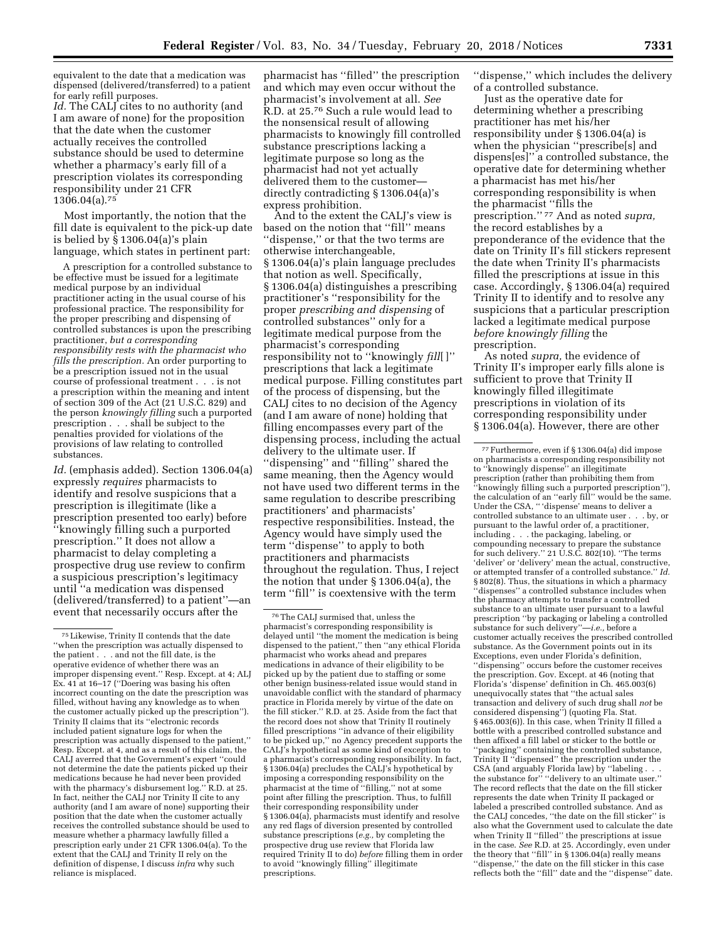equivalent to the date that a medication was dispensed (delivered/transferred) to a patient for early refill purposes.

*Id.* The CALJ cites to no authority (and I am aware of none) for the proposition that the date when the customer actually receives the controlled substance should be used to determine whether a pharmacy's early fill of a prescription violates its corresponding responsibility under 21 CFR 1306.04(a).75

Most importantly, the notion that the fill date is equivalent to the pick-up date is belied by § 1306.04(a)'s plain language, which states in pertinent part:

A prescription for a controlled substance to be effective must be issued for a legitimate medical purpose by an individual practitioner acting in the usual course of his professional practice. The responsibility for the proper prescribing and dispensing of controlled substances is upon the prescribing practitioner, *but a corresponding responsibility rests with the pharmacist who fills the prescription.* An order purporting to be a prescription issued not in the usual course of professional treatment . . . is not a prescription within the meaning and intent of section 309 of the Act (21 U.S.C. 829) and the person *knowingly filling* such a purported prescription . . . shall be subject to the penalties provided for violations of the provisions of law relating to controlled substances.

*Id.* (emphasis added). Section 1306.04(a) expressly *requires* pharmacists to identify and resolve suspicions that a prescription is illegitimate (like a prescription presented too early) before ''knowingly filling such a purported prescription.'' It does not allow a pharmacist to delay completing a prospective drug use review to confirm a suspicious prescription's legitimacy until ''a medication was dispensed (delivered/transferred) to a patient''—an event that necessarily occurs after the

pharmacist has ''filled'' the prescription and which may even occur without the pharmacist's involvement at all. *See*  R.D. at 25.76 Such a rule would lead to the nonsensical result of allowing pharmacists to knowingly fill controlled substance prescriptions lacking a legitimate purpose so long as the pharmacist had not yet actually delivered them to the customer directly contradicting § 1306.04(a)'s express prohibition.

And to the extent the CALJ's view is based on the notion that ''fill'' means 'dispense," or that the two terms are otherwise interchangeable, § 1306.04(a)'s plain language precludes that notion as well. Specifically, § 1306.04(a) distinguishes a prescribing practitioner's ''responsibility for the proper *prescribing and dispensing* of controlled substances'' only for a legitimate medical purpose from the pharmacist's corresponding responsibility not to ''knowingly *fill*[ ]'' prescriptions that lack a legitimate medical purpose. Filling constitutes part of the process of dispensing, but the CALJ cites to no decision of the Agency (and I am aware of none) holding that filling encompasses every part of the dispensing process, including the actual delivery to the ultimate user. If ''dispensing'' and ''filling'' shared the same meaning, then the Agency would not have used two different terms in the same regulation to describe prescribing practitioners' and pharmacists' respective responsibilities. Instead, the Agency would have simply used the term ''dispense'' to apply to both practitioners and pharmacists throughout the regulation. Thus, I reject the notion that under § 1306.04(a), the term ''fill'' is coextensive with the term

''dispense,'' which includes the delivery of a controlled substance.

Just as the operative date for determining whether a prescribing practitioner has met his/her responsibility under § 1306.04(a) is when the physician ''prescribe[s] and dispens[es]'' a controlled substance, the operative date for determining whether a pharmacist has met his/her corresponding responsibility is when the pharmacist ''fills the prescription.'' 77 And as noted *supra,*  the record establishes by a preponderance of the evidence that the date on Trinity II's fill stickers represent the date when Trinity II's pharmacists filled the prescriptions at issue in this case. Accordingly, § 1306.04(a) required Trinity II to identify and to resolve any suspicions that a particular prescription lacked a legitimate medical purpose *before knowingly filling* the prescription.

As noted *supra,* the evidence of Trinity II's improper early fills alone is sufficient to prove that Trinity II knowingly filled illegitimate prescriptions in violation of its corresponding responsibility under § 1306.04(a). However, there are other

<sup>75</sup>Likewise, Trinity II contends that the date ''when the prescription was actually dispensed to the patient . . . and not the fill date, is the operative evidence of whether there was an improper dispensing event.'' Resp. Except. at 4; ALJ Ex. 41 at 16–17 (''Doering was basing his often incorrect counting on the date the prescription was filled, without having any knowledge as to when the customer actually picked up the prescription''). Trinity II claims that its ''electronic records included patient signature logs for when the prescription was actually dispensed to the patient,'' Resp. Except. at 4, and as a result of this claim, the CALJ averred that the Government's expert ''could not determine the date the patients picked up their medications because he had never been provided with the pharmacy's disbursement log.'' R.D. at 25. In fact, neither the CALJ nor Trinity II cite to any authority (and I am aware of none) supporting their position that the date when the customer actually receives the controlled substance should be used to measure whether a pharmacy lawfully filled a prescription early under 21 CFR 1306.04(a). To the extent that the CALJ and Trinity II rely on the definition of dispense, I discuss *infra* why such reliance is misplaced.

<sup>76</sup>The CALJ surmised that, unless the pharmacist's corresponding responsibility is delayed until ''the moment the medication is being dispensed to the patient,'' then ''any ethical Florida pharmacist who works ahead and prepares medications in advance of their eligibility to be picked up by the patient due to staffing or some other benign business-related issue would stand in unavoidable conflict with the standard of pharmacy practice in Florida merely by virtue of the date on the fill sticker.'' R.D. at 25. Aside from the fact that the record does not show that Trinity II routinely filled prescriptions ''in advance of their eligibility to be picked up,'' no Agency precedent supports the CALJ's hypothetical as some kind of exception to a pharmacist's corresponding responsibility. In fact, § 1306.04(a) precludes the CALJ's hypothetical by imposing a corresponding responsibility on the pharmacist at the time of ''filling,'' not at some point after filling the prescription. Thus, to fulfill their corresponding responsibility under § 1306.04(a), pharmacists must identify and resolve any red flags of diversion presented by controlled substance prescriptions (*e.g.,* by completing the prospective drug use review that Florida law required Trinity II to do) *before* filling them in order to avoid ''knowingly filling'' illegitimate prescriptions.

<sup>77</sup>Furthermore, even if § 1306.04(a) did impose on pharmacists a corresponding responsibility not to ''knowingly dispense'' an illegitimate prescription (rather than prohibiting them from ''knowingly filling such a purported prescription''), the calculation of an ''early fill'' would be the same. Under the CSA, '' 'dispense' means to deliver a controlled substance to an ultimate user . . . by, or pursuant to the lawful order of, a practitioner, including . . . the packaging, labeling, or compounding necessary to prepare the substance for such delivery." 21 U.S.C.  $802(10)$ . "The terms 'deliver' or 'delivery' mean the actual, constructive, or attempted transfer of a controlled substance.'' *Id.*  § 802(8). Thus, the situations in which a pharmacy ''dispenses'' a controlled substance includes when the pharmacy attempts to transfer a controlled substance to an ultimate user pursuant to a lawful prescription ''by packaging or labeling a controlled substance for such delivery''—*i.e.,* before a customer actually receives the prescribed controlled substance. As the Government points out in its Exceptions, even under Florida's definition, ''dispensing'' occurs before the customer receives the prescription. Gov. Except. at 46 (noting that Florida's 'dispense' definition in Ch. 465.003(6) unequivocally states that ''the actual sales transaction and delivery of such drug shall *not* be considered dispensing'') (quoting Fla. Stat. § 465.003(6)). In this case, when Trinity II filled a bottle with a prescribed controlled substance and then affixed a fill label or sticker to the bottle or ''packaging'' containing the controlled substance, Trinity II ''dispensed'' the prescription under the CSA (and arguably Florida law) by ''labeling . . . the substance for'' ''delivery to an ultimate user.'' The record reflects that the date on the fill sticker represents the date when Trinity II packaged or labeled a prescribed controlled substance. And as the CALJ concedes, ''the date on the fill sticker'' is also what the Government used to calculate the date when Trinity II ''filled'' the prescriptions at issue in the case. *See* R.D. at 25. Accordingly, even under the theory that ''fill'' in § 1306.04(a) really means ''dispense,'' the date on the fill sticker in this case reflects both the ''fill'' date and the ''dispense'' date.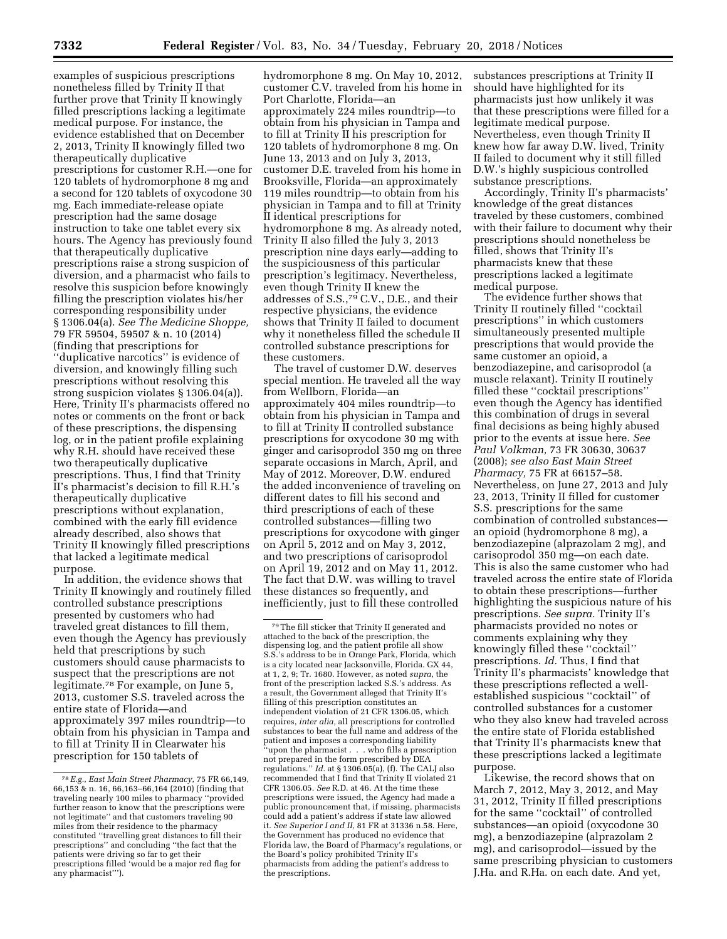examples of suspicious prescriptions nonetheless filled by Trinity II that further prove that Trinity II knowingly filled prescriptions lacking a legitimate medical purpose. For instance, the evidence established that on December 2, 2013, Trinity II knowingly filled two therapeutically duplicative prescriptions for customer R.H.—one for 120 tablets of hydromorphone 8 mg and a second for 120 tablets of oxycodone 30 mg. Each immediate-release opiate prescription had the same dosage instruction to take one tablet every six hours. The Agency has previously found that therapeutically duplicative prescriptions raise a strong suspicion of diversion, and a pharmacist who fails to resolve this suspicion before knowingly filling the prescription violates his/her corresponding responsibility under § 1306.04(a). *See The Medicine Shoppe,*  79 FR 59504, 59507 & n. 10 (2014) (finding that prescriptions for ''duplicative narcotics'' is evidence of diversion, and knowingly filling such prescriptions without resolving this strong suspicion violates § 1306.04(a)). Here, Trinity II's pharmacists offered no notes or comments on the front or back of these prescriptions, the dispensing log, or in the patient profile explaining why R.H. should have received these two therapeutically duplicative prescriptions. Thus, I find that Trinity II's pharmacist's decision to fill R.H.'s therapeutically duplicative prescriptions without explanation, combined with the early fill evidence already described, also shows that Trinity II knowingly filled prescriptions that lacked a legitimate medical purpose.

In addition, the evidence shows that Trinity II knowingly and routinely filled controlled substance prescriptions presented by customers who had traveled great distances to fill them, even though the Agency has previously held that prescriptions by such customers should cause pharmacists to suspect that the prescriptions are not legitimate.78 For example, on June 5, 2013, customer S.S. traveled across the entire state of Florida—and approximately 397 miles roundtrip—to obtain from his physician in Tampa and to fill at Trinity II in Clearwater his prescription for 150 tablets of

hydromorphone 8 mg. On May 10, 2012, customer C.V. traveled from his home in Port Charlotte, Florida—an approximately 224 miles roundtrip—to obtain from his physician in Tampa and to fill at Trinity II his prescription for 120 tablets of hydromorphone 8 mg. On June 13, 2013 and on July 3, 2013, customer D.E. traveled from his home in Brooksville, Florida—an approximately 119 miles roundtrip—to obtain from his physician in Tampa and to fill at Trinity II identical prescriptions for hydromorphone 8 mg. As already noted, Trinity II also filled the July 3, 2013 prescription nine days early—adding to the suspiciousness of this particular prescription's legitimacy. Nevertheless, even though Trinity II knew the addresses of S.S.,79 C.V., D.E., and their respective physicians, the evidence shows that Trinity II failed to document why it nonetheless filled the schedule II controlled substance prescriptions for these customers.

The travel of customer D.W. deserves special mention. He traveled all the way from Wellborn, Florida—an approximately 404 miles roundtrip—to obtain from his physician in Tampa and to fill at Trinity II controlled substance prescriptions for oxycodone 30 mg with ginger and carisoprodol 350 mg on three separate occasions in March, April, and May of 2012. Moreover, D.W. endured the added inconvenience of traveling on different dates to fill his second and third prescriptions of each of these controlled substances—filling two prescriptions for oxycodone with ginger on April 5, 2012 and on May 3, 2012, and two prescriptions of carisoprodol on April 19, 2012 and on May 11, 2012. The fact that D.W. was willing to travel these distances so frequently, and inefficiently, just to fill these controlled

substances prescriptions at Trinity II should have highlighted for its pharmacists just how unlikely it was that these prescriptions were filled for a legitimate medical purpose. Nevertheless, even though Trinity II knew how far away D.W. lived, Trinity II failed to document why it still filled D.W.'s highly suspicious controlled substance prescriptions.

Accordingly, Trinity II's pharmacists' knowledge of the great distances traveled by these customers, combined with their failure to document why their prescriptions should nonetheless be filled, shows that Trinity II's pharmacists knew that these prescriptions lacked a legitimate medical purpose.

The evidence further shows that Trinity II routinely filled ''cocktail prescriptions'' in which customers simultaneously presented multiple prescriptions that would provide the same customer an opioid, a benzodiazepine, and carisoprodol (a muscle relaxant). Trinity II routinely filled these ''cocktail prescriptions'' even though the Agency has identified this combination of drugs in several final decisions as being highly abused prior to the events at issue here. *See Paul Volkman,* 73 FR 30630, 30637 (2008); *see also East Main Street Pharmacy,* 75 FR at 66157–58. Nevertheless, on June 27, 2013 and July 23, 2013, Trinity II filled for customer S.S. prescriptions for the same combination of controlled substances an opioid (hydromorphone 8 mg), a benzodiazepine (alprazolam 2 mg), and carisoprodol 350 mg—on each date. This is also the same customer who had traveled across the entire state of Florida to obtain these prescriptions—further highlighting the suspicious nature of his prescriptions. *See supra.* Trinity II's pharmacists provided no notes or comments explaining why they knowingly filled these ''cocktail'' prescriptions. *Id.* Thus, I find that Trinity II's pharmacists' knowledge that these prescriptions reflected a wellestablished suspicious ''cocktail'' of controlled substances for a customer who they also knew had traveled across the entire state of Florida established that Trinity II's pharmacists knew that these prescriptions lacked a legitimate purpose.

Likewise, the record shows that on March 7, 2012, May 3, 2012, and May 31, 2012, Trinity II filled prescriptions for the same ''cocktail'' of controlled substances—an opioid (oxycodone 30 mg), a benzodiazepine (alprazolam 2 mg), and carisoprodol—issued by the same prescribing physician to customers J.Ha. and R.Ha. on each date. And yet,

<sup>78</sup>*E.g., East Main Street Pharmacy,* 75 FR 66,149, 66,153 & n. 16, 66,163–66,164 (2010) (finding that traveling nearly 100 miles to pharmacy ''provided further reason to know that the prescriptions were not legitimate'' and that customers traveling 90 miles from their residence to the pharmacy constituted ''travelling great distances to fill their prescriptions'' and concluding ''the fact that the patients were driving so far to get their prescriptions filled 'would be a major red flag for any pharmacist''').

<sup>79</sup>The fill sticker that Trinity II generated and attached to the back of the prescription, the dispensing log, and the patient profile all show S.S.'s address to be in Orange Park, Florida, which is a city located near Jacksonville, Florida. GX 44, at 1, 2, 9; Tr. 1680. However, as noted *supra,* the front of the prescription lacked S.S.'s address. As a result, the Government alleged that Trinity II's filling of this prescription constitutes an independent violation of 21 CFR 1306.05, which requires, *inter alia,* all prescriptions for controlled substances to bear the full name and address of the patient and imposes a corresponding liability ''upon the pharmacist . . . who fills a prescription not prepared in the form prescribed by DEA regulations.'' *Id.* at § 1306.05(a), (f). The CALJ also recommended that I find that Trinity II violated 21 CFR 1306.05. *See* R.D. at 46. At the time these prescriptions were issued, the Agency had made a public pronouncement that, if missing, pharmacists could add a patient's address if state law allowed it. *See Superior I and II,* 81 FR at 31336 n.58. Here, the Government has produced no evidence that Florida law, the Board of Pharmacy's regulations, or the Board's policy prohibited Trinity II's pharmacists from adding the patient's address to the prescriptions.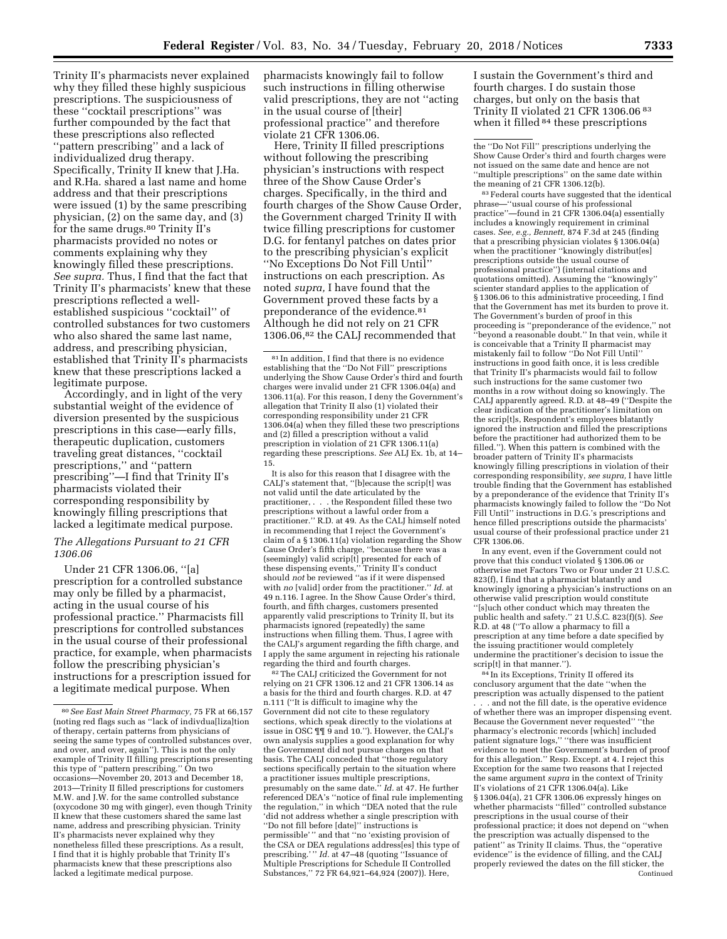Trinity II's pharmacists never explained why they filled these highly suspicious prescriptions. The suspiciousness of these ''cocktail prescriptions'' was further compounded by the fact that these prescriptions also reflected ''pattern prescribing'' and a lack of individualized drug therapy. Specifically, Trinity II knew that J.Ha. and R.Ha. shared a last name and home address and that their prescriptions were issued (1) by the same prescribing physician, (2) on the same day, and (3) for the same drugs.<sup>80</sup> Trinity II's pharmacists provided no notes or comments explaining why they knowingly filled these prescriptions. *See supra.* Thus, I find that the fact that Trinity II's pharmacists' knew that these prescriptions reflected a wellestablished suspicious ''cocktail'' of controlled substances for two customers who also shared the same last name, address, and prescribing physician, established that Trinity II's pharmacists knew that these prescriptions lacked a legitimate purpose.

Accordingly, and in light of the very substantial weight of the evidence of diversion presented by the suspicious prescriptions in this case—early fills, therapeutic duplication, customers traveling great distances, ''cocktail prescriptions,'' and ''pattern prescribing''—I find that Trinity II's pharmacists violated their corresponding responsibility by knowingly filling prescriptions that lacked a legitimate medical purpose.

## *The Allegations Pursuant to 21 CFR 1306.06*

Under 21 CFR 1306.06, ''[a] prescription for a controlled substance may only be filled by a pharmacist, acting in the usual course of his professional practice.'' Pharmacists fill prescriptions for controlled substances in the usual course of their professional practice, for example, when pharmacists follow the prescribing physician's instructions for a prescription issued for a legitimate medical purpose. When

pharmacists knowingly fail to follow such instructions in filling otherwise valid prescriptions, they are not ''acting in the usual course of [their] professional practice'' and therefore violate 21 CFR 1306.06.

Here, Trinity II filled prescriptions without following the prescribing physician's instructions with respect three of the Show Cause Order's charges. Specifically, in the third and fourth charges of the Show Cause Order, the Government charged Trinity II with twice filling prescriptions for customer D.G. for fentanyl patches on dates prior to the prescribing physician's explicit ''No Exceptions Do Not Fill Until'' instructions on each prescription. As noted *supra,* I have found that the Government proved these facts by a preponderance of the evidence.81 Although he did not rely on 21 CFR 1306.06,82 the CALJ recommended that

 $\ensuremath{^{81}}$  In addition, I find that there is no evidence establishing that the ''Do Not Fill'' prescriptions underlying the Show Cause Order's third and fourth charges were invalid under 21 CFR 1306.04(a) and 1306.11(a). For this reason, I deny the Government's allegation that Trinity II also (1) violated their corresponding responsibility under 21 CFR 1306.04(a) when they filled these two prescriptions and (2) filled a prescription without a valid prescription in violation of 21 CFR 1306.11(a) regarding these prescriptions. *See* ALJ Ex. 1b, at 14– 15.

It is also for this reason that I disagree with the CALJ's statement that, ''[b]ecause the scrip[t] was not valid until the date articulated by the practitioner, . . . the Respondent filled these two prescriptions without a lawful order from a practitioner.'' R.D. at 49. As the CALJ himself noted in recommending that I reject the Government's claim of a § 1306.11(a) violation regarding the Show Cause Order's fifth charge, ''because there was a (seemingly) valid scrip[t] presented for each of these dispensing events,'' Trinity II's conduct should *not* be reviewed ''as if it were dispensed with *no* [valid] order from the practitioner.'' *Id.* at 49 n.116. I agree. In the Show Cause Order's third, fourth, and fifth charges, customers presented apparently valid prescriptions to Trinity II, but its pharmacists ignored (repeatedly) the same instructions when filling them. Thus, I agree with the CALJ's argument regarding the fifth charge, and I apply the same argument in rejecting his rationale regarding the third and fourth charges.

82The CALJ criticized the Government for not relying on 21 CFR 1306.12 and 21 CFR 1306.14 as a basis for the third and fourth charges. R.D. at 47 n.111 (''It is difficult to imagine why the Government did not cite to these regulatory sections, which speak directly to the violations at issue in OSC ¶¶ 9 and 10.''). However, the CALJ's own analysis supplies a good explanation for why the Government did not pursue charges on that basis. The CALJ conceded that ''those regulatory sections specifically pertain to the situation where a practitioner issues multiple prescriptions, presumably on the same date.'' *Id.* at 47. He further referenced DEA's ''notice of final rule implementing the regulation,'' in which ''DEA noted that the rule 'did not address whether a single prescription with ''Do not fill before [date]'' instructions is permissible' '' and that ''no 'existing provision of the CSA or DEA regulations address[es] this type of prescribing.'" *Id.* at 47–48 (quoting "Issuance of Multiple Prescriptions for Schedule II Controlled Substances,'' 72 FR 64,921–64,924 (2007)). Here,

I sustain the Government's third and fourth charges. I do sustain those charges, but only on the basis that Trinity II violated 21 CFR 1306.06 83 when it filled 84 these prescriptions

the ''Do Not Fill'' prescriptions underlying the Show Cause Order's third and fourth charges were not issued on the same date and hence are not ''multiple prescriptions'' on the same date within the meaning of 21 CFR 1306.12(b).

83Federal courts have suggested that the identical phrase—''usual course of his professional practice''—found in 21 CFR 1306.04(a) essentially includes a knowingly requirement in criminal cases. *See, e.g., Bennett,* 874 F.3d at 245 (finding that a prescribing physician violates § 1306.04(a) when the practitioner "knowingly distribut[es] prescriptions outside the usual course of professional practice'') (internal citations and quotations omitted). Assuming the ''knowingly'' scienter standard applies to the application of § 1306.06 to this administrative proceeding, I find that the Government has met its burden to prove it. The Government's burden of proof in this proceeding is ''preponderance of the evidence,'' not ''beyond a reasonable doubt.'' In that vein, while it is conceivable that a Trinity II pharmacist may mistakenly fail to follow ''Do Not Fill Until'' instructions in good faith once, it is less credible that Trinity II's pharmacists would fail to follow such instructions for the same customer two months in a row without doing so knowingly. The CALJ apparently agreed. R.D. at 48–49 (''Despite the clear indication of the practitioner's limitation on the scrip[t]s, Respondent's employees blatantly ignored the instruction and filled the prescriptions before the practitioner had authorized them to be filled.''). When this pattern is combined with the broader pattern of Trinity II's pharmacists knowingly filling prescriptions in violation of their corresponding responsibility, *see supra,* I have little trouble finding that the Government has established by a preponderance of the evidence that Trinity II's pharmacists knowingly failed to follow the ''Do Not Fill Until'' instructions in D.G.'s prescriptions and hence filled prescriptions outside the pharmacists' usual course of their professional practice under 21 CFR 1306.06.

In any event, even if the Government could not prove that this conduct violated § 1306.06 or otherwise met Factors Two or Four under 21 U.S.C. 823(f), I find that a pharmacist blatantly and knowingly ignoring a physician's instructions on an otherwise valid prescription would constitute ''[s]uch other conduct which may threaten the public health and safety.'' 21 U.S.C. 823(f)(5). *See*  R.D. at 48 (''To allow a pharmacy to fill a prescription at any time before a date specified by the issuing practitioner would completely undermine the practitioner's decision to issue the

 $^{84}\!$  In its Exceptions, Trinity II offered its conclusory argument that the date ''when the prescription was actually dispensed to the patient

. and not the fill date, is the operative evidence of whether there was an improper dispensing event. Because the Government never requested'' ''the pharmacy's electronic records [which] included patient signature logs,'' ''there was insufficient evidence to meet the Government's burden of proof for this allegation.'' Resp. Except. at 4. I reject this Exception for the same two reasons that I rejected the same argument *supra* in the context of Trinity II's violations of 21 CFR 1306.04(a). Like § 1306.04(a), 21 CFR 1306.06 expressly hinges on whether pharmacists ''filled'' controlled substance prescriptions in the usual course of their professional practice; it does not depend on ''when the prescription was actually dispensed to the patient'' as Trinity II claims. Thus, the ''operative evidence'' is the evidence of filling, and the CALJ properly reviewed the dates on the fill sticker, the Continued

<sup>80</sup>*See East Main Street Pharmacy,* 75 FR at 66,157 (noting red flags such as ''lack of indivdua[liza]tion of therapy, certain patterns from physicians of seeing the same types of controlled substances over, and over, and over, again''). This is not the only example of Trinity II filling prescriptions presenting this type of ''pattern prescribing.'' On two occasions—November 20, 2013 and December 18, 2013—Trinity II filled prescriptions for customers M.W. and J.W. for the same controlled substance (oxycodone 30 mg with ginger), even though Trinity II knew that these customers shared the same last name, address and prescribing physician. Trinity II's pharmacists never explained why they nonetheless filled these prescriptions. As a result, I find that it is highly probable that Trinity II's pharmacists knew that these prescriptions also lacked a legitimate medical purpose.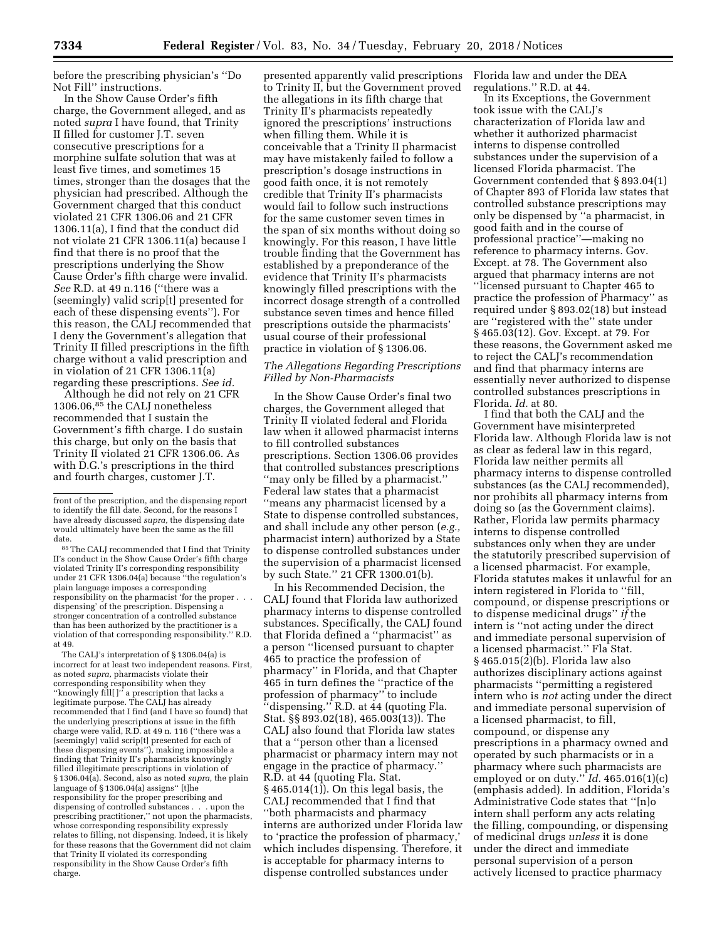before the prescribing physician's ''Do Not Fill'' instructions.

In the Show Cause Order's fifth charge, the Government alleged, and as noted *supra* I have found, that Trinity II filled for customer J.T. seven consecutive prescriptions for a morphine sulfate solution that was at least five times, and sometimes 15 times, stronger than the dosages that the physician had prescribed. Although the Government charged that this conduct violated 21 CFR 1306.06 and 21 CFR 1306.11(a), I find that the conduct did not violate 21 CFR 1306.11(a) because I find that there is no proof that the prescriptions underlying the Show Cause Order's fifth charge were invalid. *See* R.D. at 49 n.116 (''there was a (seemingly) valid scrip[t] presented for each of these dispensing events''). For this reason, the CALJ recommended that I deny the Government's allegation that Trinity II filled prescriptions in the fifth charge without a valid prescription and in violation of 21 CFR 1306.11(a) regarding these prescriptions. *See id.* 

Although he did not rely on 21 CFR 1306.06,85 the CALJ nonetheless recommended that I sustain the Government's fifth charge. I do sustain this charge, but only on the basis that Trinity II violated 21 CFR 1306.06. As with D.G.'s prescriptions in the third and fourth charges, customer J.T.

85The CALJ recommended that I find that Trinity II's conduct in the Show Cause Order's fifth charge violated Trinity II's corresponding responsibility under 21 CFR 1306.04(a) because ''the regulation's plain language imposes a corresponding responsibility on the pharmacist 'for the proper . . . dispensing' of the prescription. Dispensing a stronger concentration of a controlled substance than has been authorized by the practitioner is a violation of that corresponding responsibility.'' R.D. at 49.

The CALJ's interpretation of § 1306.04(a) is incorrect for at least two independent reasons. First, as noted *supra,* pharmacists violate their corresponding responsibility when they ''knowingly fill[ ]'' a prescription that lacks a legitimate purpose. The CALJ has already recommended that I find (and I have so found) that the underlying prescriptions at issue in the fifth charge were valid, R.D. at 49 n. 116 (''there was a (seemingly) valid scrip[t] presented for each of these dispensing events''), making impossible a finding that Trinity II's pharmacists knowingly filled illegitimate prescriptions in violation of § 1306.04(a). Second, also as noted *supra,* the plain language of § 1306.04(a) assigns'' [t]he responsibility for the proper prescribing and dispensing of controlled substances . . . upon the prescribing practitioner,'' not upon the pharmacists, whose corresponding responsibility expressly relates to filling, not dispensing. Indeed, it is likely for these reasons that the Government did not claim that Trinity II violated its corresponding responsibility in the Show Cause Order's fifth charge.

presented apparently valid prescriptions to Trinity II, but the Government proved the allegations in its fifth charge that Trinity II's pharmacists repeatedly ignored the prescriptions' instructions when filling them. While it is conceivable that a Trinity II pharmacist may have mistakenly failed to follow a prescription's dosage instructions in good faith once, it is not remotely credible that Trinity II's pharmacists would fail to follow such instructions for the same customer seven times in the span of six months without doing so knowingly. For this reason, I have little trouble finding that the Government has established by a preponderance of the evidence that Trinity II's pharmacists knowingly filled prescriptions with the incorrect dosage strength of a controlled substance seven times and hence filled prescriptions outside the pharmacists' usual course of their professional practice in violation of § 1306.06.

## *The Allegations Regarding Prescriptions Filled by Non-Pharmacists*

In the Show Cause Order's final two charges, the Government alleged that Trinity II violated federal and Florida law when it allowed pharmacist interns to fill controlled substances prescriptions. Section 1306.06 provides that controlled substances prescriptions ''may only be filled by a pharmacist.'' Federal law states that a pharmacist ''means any pharmacist licensed by a State to dispense controlled substances, and shall include any other person (*e.g.,*  pharmacist intern) authorized by a State to dispense controlled substances under the supervision of a pharmacist licensed by such State.'' 21 CFR 1300.01(b).

In his Recommended Decision, the CALJ found that Florida law authorized pharmacy interns to dispense controlled substances. Specifically, the CALJ found that Florida defined a ''pharmacist'' as a person ''licensed pursuant to chapter 465 to practice the profession of pharmacy'' in Florida, and that Chapter 465 in turn defines the ''practice of the profession of pharmacy'' to include ''dispensing.'' R.D. at 44 (quoting Fla. Stat. §§ 893.02(18), 465.003(13)). The CALJ also found that Florida law states that a ''person other than a licensed pharmacist or pharmacy intern may not engage in the practice of pharmacy.'' R.D. at 44 (quoting Fla. Stat. § 465.014(1)). On this legal basis, the CALJ recommended that I find that ''both pharmacists and pharmacy interns are authorized under Florida law to 'practice the profession of pharmacy,' which includes dispensing. Therefore, it is acceptable for pharmacy interns to dispense controlled substances under

Florida law and under the DEA regulations.'' R.D. at 44.

In its Exceptions, the Government took issue with the CALJ's characterization of Florida law and whether it authorized pharmacist interns to dispense controlled substances under the supervision of a licensed Florida pharmacist. The Government contended that § 893.04(1) of Chapter 893 of Florida law states that controlled substance prescriptions may only be dispensed by ''a pharmacist, in good faith and in the course of professional practice''—making no reference to pharmacy interns. Gov. Except. at 78. The Government also argued that pharmacy interns are not ''licensed pursuant to Chapter 465 to practice the profession of Pharmacy'' as required under § 893.02(18) but instead are ''registered with the'' state under § 465.03(12). Gov. Except. at 79. For these reasons, the Government asked me to reject the CALJ's recommendation and find that pharmacy interns are essentially never authorized to dispense controlled substances prescriptions in Florida. *Id.* at 80.

I find that both the CALJ and the Government have misinterpreted Florida law. Although Florida law is not as clear as federal law in this regard, Florida law neither permits all pharmacy interns to dispense controlled substances (as the CALJ recommended), nor prohibits all pharmacy interns from doing so (as the Government claims). Rather, Florida law permits pharmacy interns to dispense controlled substances only when they are under the statutorily prescribed supervision of a licensed pharmacist. For example, Florida statutes makes it unlawful for an intern registered in Florida to ''fill, compound, or dispense prescriptions or to dispense medicinal drugs'' *if* the intern is ''not acting under the direct and immediate personal supervision of a licensed pharmacist.'' Fla Stat. § 465.015(2)(b). Florida law also authorizes disciplinary actions against pharmacists ''permitting a registered intern who is *not* acting under the direct and immediate personal supervision of a licensed pharmacist, to fill, compound, or dispense any prescriptions in a pharmacy owned and operated by such pharmacists or in a pharmacy where such pharmacists are employed or on duty.'' *Id.* 465.016(1)(c) (emphasis added). In addition, Florida's Administrative Code states that ''[n]o intern shall perform any acts relating the filling, compounding, or dispensing of medicinal drugs *unless* it is done under the direct and immediate personal supervision of a person actively licensed to practice pharmacy

front of the prescription, and the dispensing report to identify the fill date. Second, for the reasons I have already discussed *supra,* the dispensing date would ultimately have been the same as the fill date.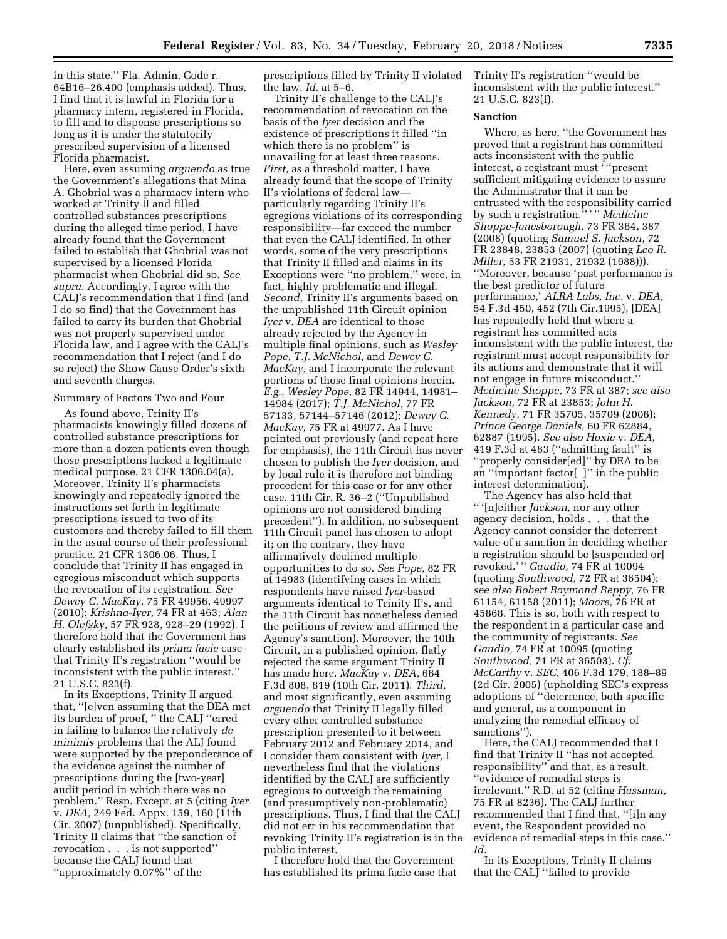in this state.'' Fla. Admin. Code r. 64B16–26.400 (emphasis added). Thus, I find that it is lawful in Florida for a pharmacy intern, registered in Florida, to fill and to dispense prescriptions so long as it is under the statutorily prescribed supervision of a licensed Florida pharmacist.

Here, even assuming *arguendo* as true the Government's allegations that Mina A. Ghobrial was a pharmacy intern who worked at Trinity II and filled controlled substances prescriptions during the alleged time period, I have already found that the Government failed to establish that Ghobrial was not supervised by a licensed Florida pharmacist when Ghobrial did so. *See supra.* Accordingly, I agree with the CALJ's recommendation that I find (and I do so find) that the Government has failed to carry its burden that Ghobrial was not properly supervised under Florida law, and I agree with the CALJ's recommendation that I reject (and I do so reject) the Show Cause Order's sixth and seventh charges.

## Summary of Factors Two and Four

As found above, Trinity II's pharmacists knowingly filled dozens of controlled substance prescriptions for more than a dozen patients even though those prescriptions lacked a legitimate medical purpose. 21 CFR 1306.04(a). Moreover, Trinity II's pharmacists knowingly and repeatedly ignored the instructions set forth in legitimate prescriptions issued to two of its customers and thereby failed to fill them in the usual course of their professional practice. 21 CFR 1306.06. Thus, I conclude that Trinity II has engaged in egregious misconduct which supports the revocation of its registration. *See Dewey C. MacKay,* 75 FR 49956, 49997 (2010); *Krishna-Iyer,* 74 FR at 463; *Alan H. Olefsky,* 57 FR 928, 928–29 (1992). I therefore hold that the Government has clearly established its *prima facie* case that Trinity II's registration ''would be inconsistent with the public interest.'' 21 U.S.C. 823(f).

In its Exceptions, Trinity II argued that, ''[e]ven assuming that the DEA met its burden of proof, '' the CALJ ''erred in failing to balance the relatively *de minimis* problems that the ALJ found were supported by the preponderance of the evidence against the number of prescriptions during the [two-year] audit period in which there was no problem.'' Resp. Except. at 5 (citing *Iyer*  v. *DEA,* 249 Fed. Appx. 159, 160 (11th Cir. 2007) (unpublished). Specifically, Trinity II claims that ''the sanction of revocation . . . is not supported'' because the CALJ found that ''approximately 0.07%'' of the

prescriptions filled by Trinity II violated the law. *Id.* at 5–6.

Trinity II's challenge to the CALJ's recommendation of revocation on the basis of the *Iyer* decision and the existence of prescriptions it filled ''in which there is no problem'' is unavailing for at least three reasons. *First,* as a threshold matter, I have already found that the scope of Trinity II's violations of federal law particularly regarding Trinity II's egregious violations of its corresponding responsibility—far exceed the number that even the CALJ identified. In other words, some of the very prescriptions that Trinity II filled and claims in its Exceptions were ''no problem,'' were, in fact, highly problematic and illegal. *Second,* Trinity II's arguments based on the unpublished 11th Circuit opinion *Iyer* v. *DEA* are identical to those already rejected by the Agency in multiple final opinions, such as *Wesley Pope, T.J. McNichol,* and *Dewey C. MacKay,* and I incorporate the relevant portions of those final opinions herein. *E.g., Wesley Pope,* 82 FR 14944, 14981– 14984 (2017); *T.J. McNichol,* 77 FR 57133, 57144–57146 (2012); *Dewey C. MacKay,* 75 FR at 49977. As I have pointed out previously (and repeat here for emphasis), the 11th Circuit has never chosen to publish the *Iyer* decision, and by local rule it is therefore not binding precedent for this case or for any other case. 11th Cir. R. 36–2 (''Unpublished opinions are not considered binding precedent''). In addition, no subsequent 11th Circuit panel has chosen to adopt it; on the contrary, they have affirmatively declined multiple opportunities to do so. *See Pope,* 82 FR at 14983 (identifying cases in which respondents have raised *Iyer*-based arguments identical to Trinity II's, and the 11th Circuit has nonetheless denied the petitions of review and affirmed the Agency's sanction). Moreover, the 10th Circuit, in a published opinion, flatly rejected the same argument Trinity II has made here. *MacKay* v. *DEA,* 664 F.3d 808, 819 (10th Cir. 2011). *Third,*  and most significantly, even assuming *arguendo* that Trinity II legally filled every other controlled substance prescription presented to it between February 2012 and February 2014, and I consider them consistent with *Iyer,* I nevertheless find that the violations identified by the CALJ are sufficiently egregious to outweigh the remaining (and presumptively non-problematic) prescriptions. Thus, I find that the CALJ did not err in his recommendation that revoking Trinity II's registration is in the public interest.

I therefore hold that the Government has established its prima facie case that Trinity II's registration ''would be inconsistent with the public interest.'' 21 U.S.C. 823(f).

#### **Sanction**

Where, as here, ''the Government has proved that a registrant has committed acts inconsistent with the public interest, a registrant must ' ''present sufficient mitigating evidence to assure the Administrator that it can be entrusted with the responsibility carried by such a registration."<sup>\*\*</sup> *Medicine Shoppe-Jonesborough,* 73 FR 364, 387 (2008) (quoting *Samuel S. Jackson,* 72 FR 23848, 23853 (2007) (quoting *Leo R. Miller,* 53 FR 21931, 21932 (1988))). ''Moreover, because 'past performance is the best predictor of future performance,' *ALRA Labs, Inc.* v. *DEA,*  54 F.3d 450, 452 (7th Cir.1995), [DEA] has repeatedly held that where a registrant has committed acts inconsistent with the public interest, the registrant must accept responsibility for its actions and demonstrate that it will not engage in future misconduct.'' *Medicine Shoppe,* 73 FR at 387; *see also Jackson,* 72 FR at 23853; *John H. Kennedy,* 71 FR 35705, 35709 (2006); *Prince George Daniels,* 60 FR 62884, 62887 (1995). *See also Hoxie* v. *DEA,*  419 F.3d at 483 (''admitting fault'' is ''properly consider[ed]'' by DEA to be an ''important factor[ ]'' in the public interest determination).

The Agency has also held that '' '[n]either *Jackson,* nor any other agency decision, holds . . . that the Agency cannot consider the deterrent value of a sanction in deciding whether a registration should be [suspended or] revoked.' '' *Gaudio,* 74 FR at 10094 (quoting *Southwood,* 72 FR at 36504); *see also Robert Raymond Reppy,* 76 FR 61154, 61158 (2011); *Moore,* 76 FR at 45868. This is so, both with respect to the respondent in a particular case and the community of registrants. *See Gaudio,* 74 FR at 10095 (quoting *Southwood,* 71 FR at 36503). *Cf. McCarthy* v. *SEC,* 406 F.3d 179, 188–89 (2d Cir. 2005) (upholding SEC's express adoptions of ''deterrence, both specific and general, as a component in analyzing the remedial efficacy of sanctions'').

Here, the CALJ recommended that I find that Trinity II ''has not accepted responsibility'' and that, as a result, ''evidence of remedial steps is irrelevant.'' R.D. at 52 (citing *Hassman,*  75 FR at 8236). The CALJ further recommended that I find that, ''[i]n any event, the Respondent provided no evidence of remedial steps in this case.'' *Id.* 

In its Exceptions, Trinity II claims that the CALJ ''failed to provide